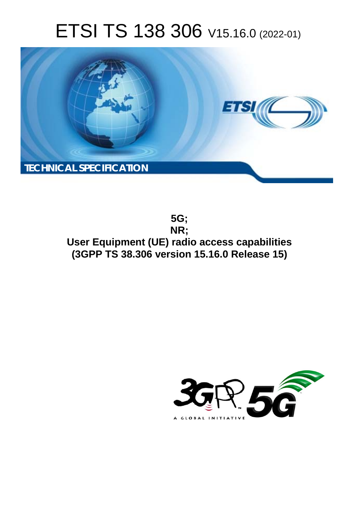# ETSI TS 138 306 V15.16.0 (2022-01)



**5G; NR; User Equipment (UE) radio access capabilities (3GPP TS 38.306 version 15.16.0 Release 15)** 

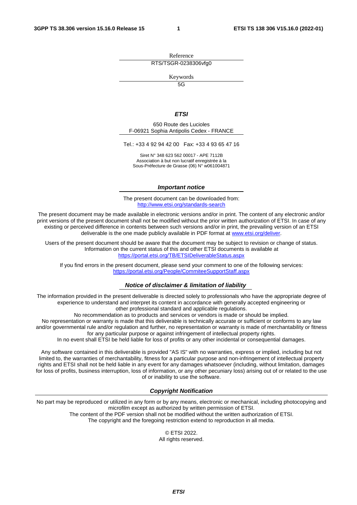Reference RTS/TSGR-0238306vfg0

Keywords

 $\overline{5G}$ 

#### *ETSI*

650 Route des Lucioles F-06921 Sophia Antipolis Cedex - FRANCE

Tel.: +33 4 92 94 42 00 Fax: +33 4 93 65 47 16

Siret N° 348 623 562 00017 - APE 7112B Association à but non lucratif enregistrée à la Sous-Préfecture de Grasse (06) N° w061004871

#### *Important notice*

The present document can be downloaded from: <http://www.etsi.org/standards-search>

The present document may be made available in electronic versions and/or in print. The content of any electronic and/or print versions of the present document shall not be modified without the prior written authorization of ETSI. In case of any existing or perceived difference in contents between such versions and/or in print, the prevailing version of an ETSI deliverable is the one made publicly available in PDF format at [www.etsi.org/deliver](http://www.etsi.org/deliver).

Users of the present document should be aware that the document may be subject to revision or change of status. Information on the current status of this and other ETSI documents is available at <https://portal.etsi.org/TB/ETSIDeliverableStatus.aspx>

If you find errors in the present document, please send your comment to one of the following services: <https://portal.etsi.org/People/CommiteeSupportStaff.aspx>

#### *Notice of disclaimer & limitation of liability*

The information provided in the present deliverable is directed solely to professionals who have the appropriate degree of experience to understand and interpret its content in accordance with generally accepted engineering or other professional standard and applicable regulations.

No recommendation as to products and services or vendors is made or should be implied.

No representation or warranty is made that this deliverable is technically accurate or sufficient or conforms to any law and/or governmental rule and/or regulation and further, no representation or warranty is made of merchantability or fitness for any particular purpose or against infringement of intellectual property rights.

In no event shall ETSI be held liable for loss of profits or any other incidental or consequential damages.

Any software contained in this deliverable is provided "AS IS" with no warranties, express or implied, including but not limited to, the warranties of merchantability, fitness for a particular purpose and non-infringement of intellectual property rights and ETSI shall not be held liable in any event for any damages whatsoever (including, without limitation, damages for loss of profits, business interruption, loss of information, or any other pecuniary loss) arising out of or related to the use of or inability to use the software.

#### *Copyright Notification*

No part may be reproduced or utilized in any form or by any means, electronic or mechanical, including photocopying and microfilm except as authorized by written permission of ETSI. The content of the PDF version shall not be modified without the written authorization of ETSI.

The copyright and the foregoing restriction extend to reproduction in all media.

© ETSI 2022. All rights reserved.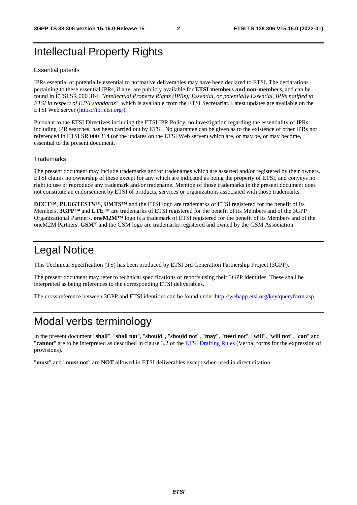# Intellectual Property Rights

#### Essential patents

IPRs essential or potentially essential to normative deliverables may have been declared to ETSI. The declarations pertaining to these essential IPRs, if any, are publicly available for **ETSI members and non-members**, and can be found in ETSI SR 000 314: *"Intellectual Property Rights (IPRs); Essential, or potentially Essential, IPRs notified to ETSI in respect of ETSI standards"*, which is available from the ETSI Secretariat. Latest updates are available on the ETSI Web server ([https://ipr.etsi.org/\)](https://ipr.etsi.org/).

Pursuant to the ETSI Directives including the ETSI IPR Policy, no investigation regarding the essentiality of IPRs, including IPR searches, has been carried out by ETSI. No guarantee can be given as to the existence of other IPRs not referenced in ETSI SR 000 314 (or the updates on the ETSI Web server) which are, or may be, or may become, essential to the present document.

#### **Trademarks**

The present document may include trademarks and/or tradenames which are asserted and/or registered by their owners. ETSI claims no ownership of these except for any which are indicated as being the property of ETSI, and conveys no right to use or reproduce any trademark and/or tradename. Mention of those trademarks in the present document does not constitute an endorsement by ETSI of products, services or organizations associated with those trademarks.

**DECT™**, **PLUGTESTS™**, **UMTS™** and the ETSI logo are trademarks of ETSI registered for the benefit of its Members. **3GPP™** and **LTE™** are trademarks of ETSI registered for the benefit of its Members and of the 3GPP Organizational Partners. **oneM2M™** logo is a trademark of ETSI registered for the benefit of its Members and of the oneM2M Partners. **GSM**® and the GSM logo are trademarks registered and owned by the GSM Association.

# Legal Notice

This Technical Specification (TS) has been produced by ETSI 3rd Generation Partnership Project (3GPP).

The present document may refer to technical specifications or reports using their 3GPP identities. These shall be interpreted as being references to the corresponding ETSI deliverables.

The cross reference between 3GPP and ETSI identities can be found under<http://webapp.etsi.org/key/queryform.asp>.

# Modal verbs terminology

In the present document "**shall**", "**shall not**", "**should**", "**should not**", "**may**", "**need not**", "**will**", "**will not**", "**can**" and "**cannot**" are to be interpreted as described in clause 3.2 of the [ETSI Drafting Rules](https://portal.etsi.org/Services/editHelp!/Howtostart/ETSIDraftingRules.aspx) (Verbal forms for the expression of provisions).

"**must**" and "**must not**" are **NOT** allowed in ETSI deliverables except when used in direct citation.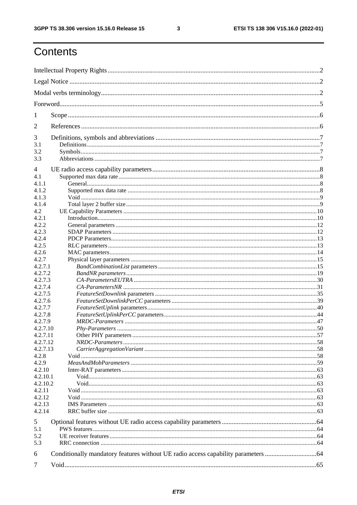$\mathbf{3}$ 

# Contents

| 1              |  |
|----------------|--|
| 2              |  |
| 3              |  |
| 3.1            |  |
| 3.2<br>3.3     |  |
|                |  |
| $\overline{4}$ |  |
| 4.1            |  |
| 4.1.1          |  |
| 4.1.2          |  |
| 4.1.3          |  |
| 4.1.4          |  |
| 4.2            |  |
| 4.2.1          |  |
| 4.2.2          |  |
| 4.2.3          |  |
| 4.2.4          |  |
| 4.2.5          |  |
| 4.2.6          |  |
| 4.2.7          |  |
| 4.2.7.1        |  |
| 4.2.7.2        |  |
| 4.2.7.3        |  |
| 4.2.7.4        |  |
| 4.2.7.5        |  |
| 4.2.7.6        |  |
| 4.2.7.7        |  |
| 4.2.7.8        |  |
| 4.2.7.9        |  |
| 4.2.7.10       |  |
| 4.2.7.11       |  |
| 4.2.7.12       |  |
| 4.2.7.13       |  |
| 4.2.8          |  |
| 4.2.9          |  |
| 4.2.10         |  |
| 4.2.10.1       |  |
| 4.2.10.2       |  |
| 4.2.11         |  |
| 4.2.12         |  |
| 4.2.13         |  |
| 4.2.14         |  |
| 5              |  |
| 5.1            |  |
| 5.2            |  |
| 5.3            |  |
| 6              |  |
|                |  |
| 7              |  |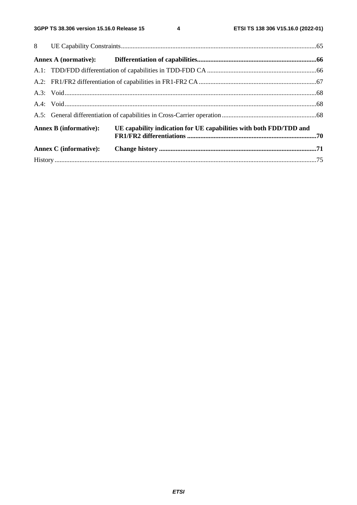$\overline{\mathbf{4}}$ 

| <b>Annex B</b> (informative): | UE capability indication for UE capabilities with both FDD/TDD and |  |
|-------------------------------|--------------------------------------------------------------------|--|
| <b>Annex C</b> (informative): |                                                                    |  |
|                               |                                                                    |  |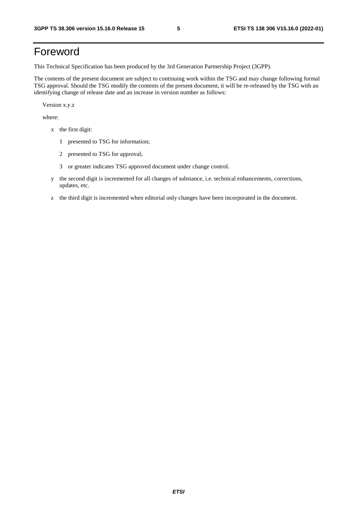# Foreword

This Technical Specification has been produced by the 3rd Generation Partnership Project (3GPP).

The contents of the present document are subject to continuing work within the TSG and may change following formal TSG approval. Should the TSG modify the contents of the present document, it will be re-released by the TSG with an identifying change of release date and an increase in version number as follows:

Version x.y.z

where:

- x the first digit:
	- 1 presented to TSG for information;
	- 2 presented to TSG for approval;
	- 3 or greater indicates TSG approved document under change control.
- y the second digit is incremented for all changes of substance, i.e. technical enhancements, corrections, updates, etc.
- z the third digit is incremented when editorial only changes have been incorporated in the document.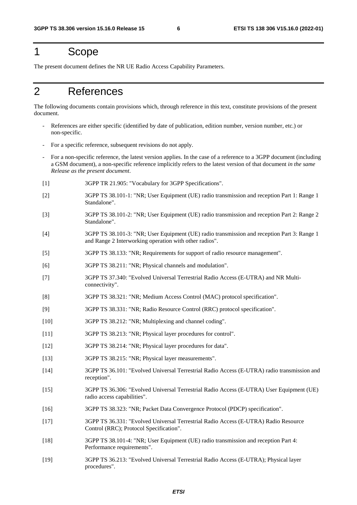# 1 Scope

The present document defines the NR UE Radio Access Capability Parameters.

# 2 References

The following documents contain provisions which, through reference in this text, constitute provisions of the present document.

- References are either specific (identified by date of publication, edition number, version number, etc.) or non-specific.
- For a specific reference, subsequent revisions do not apply.
- For a non-specific reference, the latest version applies. In the case of a reference to a 3GPP document (including a GSM document), a non-specific reference implicitly refers to the latest version of that document *in the same Release as the present document*.
- [1] 3GPP TR 21.905: "Vocabulary for 3GPP Specifications".
- [2] 3GPP TS 38.101-1: "NR; User Equipment (UE) radio transmission and reception Part 1: Range 1 Standalone".
- [3] 3GPP TS 38.101-2: "NR; User Equipment (UE) radio transmission and reception Part 2: Range 2 Standalone".
- [4] 3GPP TS 38.101-3: "NR; User Equipment (UE) radio transmission and reception Part 3: Range 1 and Range 2 Interworking operation with other radios".
- [5] 3GPP TS 38.133: "NR; Requirements for support of radio resource management".
- [6] 3GPP TS 38.211: "NR; Physical channels and modulation".
- [7] 3GPP TS 37.340: "Evolved Universal Terrestrial Radio Access (E-UTRA) and NR Multiconnectivity".
- [8] 3GPP TS 38.321: "NR; Medium Access Control (MAC) protocol specification".
- [9] 3GPP TS 38.331: "NR; Radio Resource Control (RRC) protocol specification".
- [10] 3GPP TS 38.212: "NR; Multiplexing and channel coding".
- [11] 3GPP TS 38.213: "NR; Physical layer procedures for control".
- [12] 3GPP TS 38.214: "NR; Physical layer procedures for data".
- [13] 3GPP TS 38.215: "NR; Physical layer measurements".
- [14] 3GPP TS 36.101: "Evolved Universal Terrestrial Radio Access (E-UTRA) radio transmission and reception".
- [15] 3GPP TS 36.306: "Evolved Universal Terrestrial Radio Access (E-UTRA) User Equipment (UE) radio access capabilities".
- [16] 3GPP TS 38.323: "NR; Packet Data Convergence Protocol (PDCP) specification".
- [17] 3GPP TS 36.331: "Evolved Universal Terrestrial Radio Access (E-UTRA) Radio Resource Control (RRC); Protocol Specification".
- [18] 3GPP TS 38.101-4: "NR; User Equipment (UE) radio transmission and reception Part 4: Performance requirements".
- [19] 3GPP TS 36.213: "Evolved Universal Terrestrial Radio Access (E-UTRA); Physical layer procedures".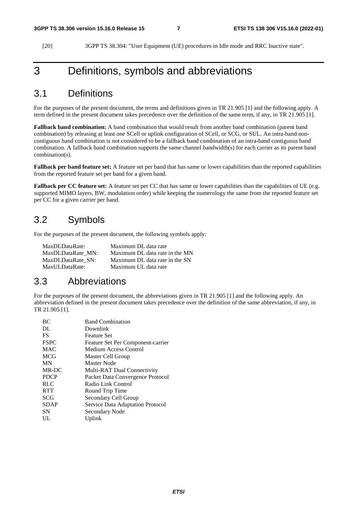[20] 3GPP TS 38.304: "User Equipment (UE) procedures in Idle mode and RRC Inactive state".

### 3 Definitions, symbols and abbreviations

#### 3.1 Definitions

For the purposes of the present document, the terms and definitions given in TR 21.905 [1] and the following apply. A term defined in the present document takes precedence over the definition of the same term, if any, in TR 21.905 [1].

**Fallback band combination:** A band combination that would result from another band combination (parent band combination) by releasing at least one SCell or uplink configuration of SCell, or SCG, or SUL. An intra-band noncontiguous band combination is not considered to be a fallback band combination of an intra-band contiguous band combination. A fallback band combination supports the same channel bandwidth(s) for each carrier as its parent band combination(s).

**Fallback per band feature set:** A feature set per band that has same or lower capabilities than the reported capabilities from the reported feature set per band for a given band.

**Fallback per CC feature set:** A feature set per CC that has same or lower capabilities than the capabilities of UE (e.g. supported MIMO layers, BW, modulation order) while keeping the numerology the same from the reported feature set per CC for a given carrier per band.

#### 3.2 Symbols

For the purposes of the present document, the following symbols apply:

| MaxDLDataRate:    | Maximum DL data rate           |
|-------------------|--------------------------------|
| MaxDLDataRate MN: | Maximum DL data rate in the MN |
| MaxDLDataRate SN: | Maximum DL data rate in the SN |
| MaxULDataRate:    | Maximum UL data rate           |

#### 3.3 Abbreviations

For the purposes of the present document, the abbreviations given in TR 21.905 [1] and the following apply. An abbreviation defined in the present document takes precedence over the definition of the same abbreviation, if any, in TR 21.905 [1].

| <b>BC</b>   | <b>Band Combination</b>           |
|-------------|-----------------------------------|
| DL          | Downlink                          |
| FS          | Feature Set                       |
| <b>FSPC</b> | Feature Set Per Component-carrier |
| <b>MAC</b>  | Medium Access Control             |
| <b>MCG</b>  | Master Cell Group                 |
| <b>MN</b>   | Master Node                       |
| MR-DC       | Multi-RAT Dual Connectivity       |
| <b>PDCP</b> | Packet Data Convergence Protocol  |
| <b>RLC</b>  | Radio Link Control                |
| <b>RTT</b>  | Round Trip Time                   |
| SCG         | Secondary Cell Group              |
| <b>SDAP</b> | Service Data Adaptation Protocol  |
| <b>SN</b>   | Secondary Node                    |
| UL          | Uplink                            |
|             |                                   |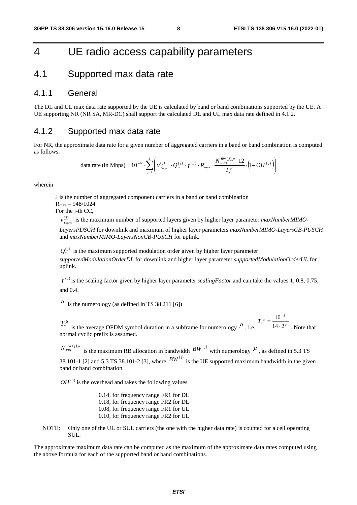### 4 UE radio access capability parameters

#### 4.1 Supported max data rate

#### 4.1.1 General

The DL and UL max data rate supported by the UE is calculated by band or band combinations supported by the UE. A UE supporting NR (NR SA, MR-DC) shall support the calculated DL and UL max data rate defined in 4.1.2.

#### 4.1.2 Supported max data rate

For NR, the approximate data rate for a given number of aggregated carriers in a band or band combination is computed as follows.

data rate (in Mbps) = 
$$
10^{-6} \cdot \sum_{j=1}^{J} \left( v_{Layers}^{(j)} \cdot Q_m^{(j)} \cdot f^{(j)} \cdot R_{max} \cdot \frac{N_{PRB}^{BW(j),\mu} \cdot 12}{T_s^{\mu}} \cdot (1 - OH^{(j)}) \right)
$$

wherein

J is the number of aggregated component carriers in a band or band combination  $R_{\text{max}} = 948/1024$ 

For the j-th CC,

 $v_{Lapers}^{(j)}$  is the maximum number of supported layers given by higher layer parameter *maxNumberMIMO*-

*LayersPDSCH* for downlink and maximum of higher layer parameters *maxNumberMIMO-LayersCB-PUSCH* and *maxNumberMIMO-LayersNonCB-PUSCH* for uplink.

 $Q_{m}^{(j)}$  is the maximum supported modulation order given by higher layer parameter *supportedModulationOrderDL* for downlink and higher layer parameter *supportedModulationOrderUL* for uplink.

 $f^{(j)}$  is the scaling factor given by higher layer parameter *scalingFactor* and can take the values 1, 0.8, 0.75, and 0.4.

 $\mu$  is the numerology (as defined in TS 38.211 [6])

 $T_s^{\mu}$  is the average OFDM symbol duration in a subframe for numerology  $\mu$ , i.e.  $T_s^{\mu} = \frac{18}{14 \cdot 2^{\mu}}$  $T_s^{\mu} = \frac{10^{-3}}{14 \cdot 2}$ . Note that normal cyclic prefix is assumed.

 $N^{BW(j),\mu}_{PRB}$  is the maximum RB allocation in bandwidth  $BW^{(j)}$  with numerology  $\mu$ , as defined in 5.3 TS 38.101-1 [2] and 5.3 TS 38.101-2 [3], where  $BW^{(j)}$  is the UE supported maximum bandwidth in the given band or band combination.

 $OH<sup>(j)</sup>$  is the overhead and takes the following values

- 0.14, for frequency range FR1 for DL 0.18, for frequency range FR2 for DL 0.08, for frequency range FR1 for UL 0.10, for frequency range FR2 for UL
- NOTE: Only one of the UL or SUL carriers (the one with the higher data rate) is counted for a cell operating SUL.

The approximate maximum data rate can be computed as the maximum of the approximate data rates computed using the above formula for each of the supported band or band combinations.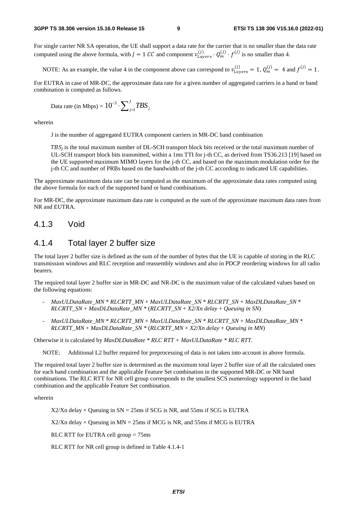For single carrier NR SA operation, the UE shall support a data rate for the carrier that is no smaller than the data rate computed using the above formula, with  $J = 1$  CC and component  $v_{Layers}^{(J)} \cdot Q_m^{(J)} \cdot f^{(J)}$  is no smaller than 4.

NOTE: As an example, the value 4 in the component above can correspond to  $v_{Layers}^{(1)} = 1$ ,  $Q_m^{(1)} = 4$  and  $f^{(1)} = 1$ .

For EUTRA in case of MR-DC, the approximate data rate for a given number of aggregated carriers in a band or band combination is computed as follows.

Data rate (in Mbps) = 
$$
10^{-3} \cdot \sum_{j=1}^{J} TBS_j
$$

wherein

J is the number of aggregated EUTRA component carriers in MR-DC band combination

 $TBS_j$  is the total maximum number of DL-SCH transport block bits received or the total maximum number of  $\overline{S}$ UL-SCH transport block bits transmitted, within a 1ms TTI for j-th CC, as derived from TS36.213 [19] based on the UE supported maximum MIMO layers for the j-th CC, and based on the maximum modulation order for the j-th CC and number of PRBs based on the bandwidth of the j-th CC according to indicated UE capabilities.

The approximate maximum data rate can be computed as the maximum of the approximate data rates computed using the above formula for each of the supported band or band combinations.

For MR-DC, the approximate maximum data rate is computed as the sum of the approximate maximum data rates from NR and EUTRA.

#### 4.1.3 Void

#### 4.1.4 Total layer 2 buffer size

The total layer 2 buffer size is defined as the sum of the number of bytes that the UE is capable of storing in the RLC transmission windows and RLC reception and reassembly windows and also in PDCP reordering windows for all radio bearers.

The required total layer 2 buffer size in MR-DC and NR-DC is the maximum value of the calculated values based on the following equations:

- *MaxULDataRate\_MN* \* *RLCRTT\_MN* + *MaxULDataRate\_SN* \* *RLCRTT\_SN* + *MaxDLDataRate\_SN* \* *RLCRTT\_SN* + *MaxDLDataRate\_MN \** (*RLCRTT\_SN* + *X2/Xn delay* + *Queuing in SN*)
- *MaxULDataRate\_MN* \* *RLCRTT\_MN* + *MaxULDataRate\_SN* \* *RLCRTT\_SN* + *MaxDLDataRate\_MN* \* *RLCRTT\_MN* + *MaxDLDataRate\_SN \** (*RLCRTT\_MN* + *X2/Xn delay* + *Queuing in MN*)

Otherwise it is calculated by *MaxDLDataRate \* RLC RTT + MaxULDataRate \* RLC RTT*.

NOTE: Additional L2 buffer required for preprocessing of data is not taken into account in above formula.

The required total layer 2 buffer size is determined as the maximum total layer 2 buffer size of all the calculated ones for each band combination and the applicable Feature Set combination in the supported MR-DC or NR band combinations. The RLC RTT for NR cell group corresponds to the smallest SCS numerology supported in the band combination and the applicable Feature Set combination.

wherein

 $X2/Xn$  delay + Queuing in  $SN = 25$ ms if SCG is NR, and 55ms if SCG is EUTRA

 $X2/Xn$  delay + Queuing in  $MN = 25$ ms if MCG is NR, and 55ms if MCG is EUTRA

RLC RTT for EUTRA cell group = 75ms

RLC RTT for NR cell group is defined in Table 4.1.4-1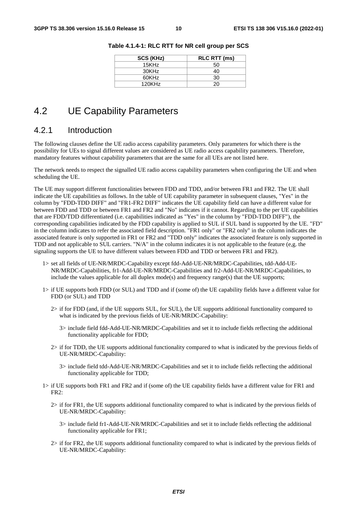| SCS (KHz) | <b>RLC RTT (ms)</b> |
|-----------|---------------------|
| 15KHz     | 50                  |
| 30KHz     | 40                  |
| 60KHz     | 30                  |
| 120KHz    | 20                  |

**Table 4.1.4-1: RLC RTT for NR cell group per SCS** 

#### 4.2 UE Capability Parameters

#### 4.2.1 Introduction

The following clauses define the UE radio access capability parameters. Only parameters for which there is the possibility for UEs to signal different values are considered as UE radio access capability parameters. Therefore, mandatory features without capability parameters that are the same for all UEs are not listed here.

The network needs to respect the signalled UE radio access capability parameters when configuring the UE and when scheduling the UE.

The UE may support different functionalities between FDD and TDD, and/or between FR1 and FR2. The UE shall indicate the UE capabilities as follows. In the table of UE capability parameter in subsequent clauses, "Yes" in the column by "FDD-TDD DIFF" and "FR1-FR2 DIFF" indicates the UE capability field can have a different value for between FDD and TDD or between FR1 and FR2 and "No" indicates if it cannot. Regarding to the per UE capabilities that are FDD/TDD differentiated (i.e. capabilities indicated as "Yes" in the column by "FDD-TDD DIFF"), the corresponding capabilities indicated by the FDD capability is applied to SUL if SUL band is supported by the UE. "FD" in the column indicates to refer the associated field description. "FR1 only" or "FR2 only" in the column indicates the associated feature is only supported in FR1 or FR2 and "TDD only" indicates the associated feature is only supported in TDD and not applicable to SUL carriers. "N/A" in the column indicates it is not applicable to the feature (e,g. the signaling supports the UE to have different values between FDD and TDD or between FR1 and FR2).

- 1> set all fields of UE-NR/MRDC-Capability except fdd-Add-UE-NR/MRDC-Capabilities, tdd-Add-UE-NR/MRDC-Capabilities, fr1-Add-UE-NR/MRDC-Capabilities and fr2-Add-UE-NR/MRDC-Capabilities, to include the values applicable for all duplex mode(s) and frequency range(s) that the UE supports;
- 1> if UE supports both FDD (or SUL) and TDD and if (some of) the UE capability fields have a different value for FDD (or SUL) and TDD
	- 2> if for FDD (and, if the UE supports SUL, for SUL), the UE supports additional functionality compared to what is indicated by the previous fields of UE-NR/MRDC-Capability:
		- 3> include field fdd-Add-UE-NR/MRDC-Capabilities and set it to include fields reflecting the additional functionality applicable for FDD;
	- 2> if for TDD, the UE supports additional functionality compared to what is indicated by the previous fields of UE-NR/MRDC-Capability:
		- 3> include field tdd-Add-UE-NR/MRDC-Capabilities and set it to include fields reflecting the additional functionality applicable for TDD;
- 1> if UE supports both FR1 and FR2 and if (some of) the UE capability fields have a different value for FR1 and FR2:
	- 2> if for FR1, the UE supports additional functionality compared to what is indicated by the previous fields of UE-NR/MRDC-Capability:
		- 3> include field fr1-Add-UE-NR/MRDC-Capabilities and set it to include fields reflecting the additional functionality applicable for FR1;
	- 2> if for FR2, the UE supports additional functionality compared to what is indicated by the previous fields of UE-NR/MRDC-Capability: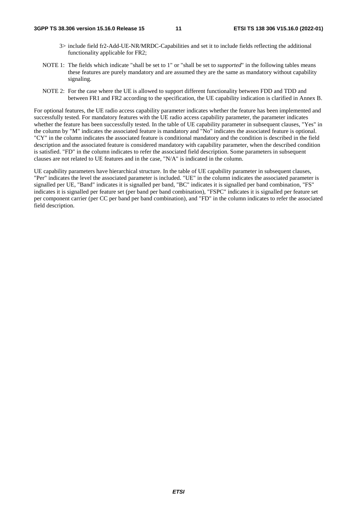- 3> include field fr2-Add-UE-NR/MRDC-Capabilities and set it to include fields reflecting the additional functionality applicable for FR2;
- NOTE 1: The fields which indicate "shall be set to 1" or "shall be set to *supported*" in the following tables means these features are purely mandatory and are assumed they are the same as mandatory without capability signaling.
- NOTE 2: For the case where the UE is allowed to support different functionality between FDD and TDD and between FR1 and FR2 according to the specification, the UE capability indication is clarified in Annex B.

For optional features, the UE radio access capability parameter indicates whether the feature has been implemented and successfully tested. For mandatory features with the UE radio access capability parameter, the parameter indicates whether the feature has been successfully tested. In the table of UE capability parameter in subsequent clauses, "Yes" in the column by "M" indicates the associated feature is mandatory and "No" indicates the associated feature is optional. "CY" in the column indicates the associated feature is conditional mandatory and the condition is described in the field description and the associated feature is considered mandatory with capability parameter, when the described condition is satisfied. "FD" in the column indicates to refer the associated field description. Some parameters in subsequent clauses are not related to UE features and in the case, "N/A" is indicated in the column.

UE capability parameters have hierarchical structure. In the table of UE capability parameter in subsequent clauses, "Per" indicates the level the associated parameter is included. "UE" in the column indicates the associated parameter is signalled per UE, "Band" indicates it is signalled per band, "BC" indicates it is signalled per band combination, "FS" indicates it is signalled per feature set (per band per band combination), "FSPC" indicates it is signalled per feature set per component carrier (per CC per band per band combination), and "FD" in the column indicates to refer the associated field description.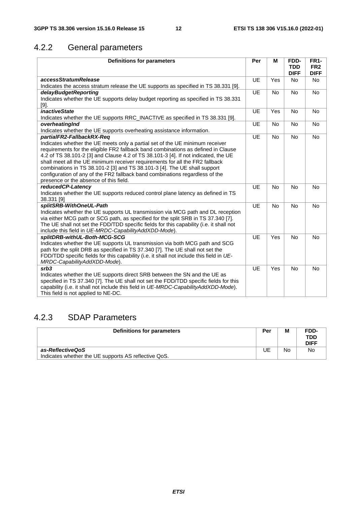# 4.2.2 General parameters

| <b>Definitions for parameters</b>                                                             | Per       | M         | FDD-<br><b>TDD</b> | <b>FR1-</b><br>FR <sub>2</sub> |
|-----------------------------------------------------------------------------------------------|-----------|-----------|--------------------|--------------------------------|
|                                                                                               |           |           | <b>DIFF</b>        | <b>DIFF</b>                    |
| accessStratumRelease                                                                          | UE        | Yes       | <b>No</b>          | <b>No</b>                      |
| Indicates the access stratum release the UE supports as specified in TS 38.331 [9].           |           |           |                    |                                |
| delayBudgetReporting                                                                          | <b>UE</b> | <b>No</b> | <b>No</b>          | <b>No</b>                      |
| Indicates whether the UE supports delay budget reporting as specified in TS 38.331<br>$[9]$ . |           |           |                    |                                |
| <i>inactiveState</i>                                                                          | UE        | Yes       | <b>No</b>          | <b>No</b>                      |
| Indicates whether the UE supports RRC_INACTIVE as specified in TS 38.331 [9].                 |           |           |                    |                                |
| overheatingInd                                                                                | UE        | <b>No</b> | <b>No</b>          | No                             |
| Indicates whether the UE supports overheating assistance information.                         |           |           |                    |                                |
| partialFR2-FallbackRX-Req                                                                     | UE        | <b>No</b> | No                 | No                             |
| Indicates whether the UE meets only a partial set of the UE minimum receiver                  |           |           |                    |                                |
| requirements for the eligible FR2 fallback band combinations as defined in Clause             |           |           |                    |                                |
| 4.2 of TS 38.101-2 [3] and Clause 4.2 of TS 38.101-3 [4]. If not indicated, the UE            |           |           |                    |                                |
| shall meet all the UE minimum receiver requirements for all the FR2 fallback                  |           |           |                    |                                |
| combinations in TS 38.101-2 [3] and TS 38.101-3 [4]. The UE shall support                     |           |           |                    |                                |
| configuration of any of the FR2 fallback band combinations regardless of the                  |           |           |                    |                                |
| presence or the absence of this field.                                                        |           |           |                    |                                |
| reducedCP-Latency                                                                             | UE        | <b>No</b> | <b>No</b>          | <b>No</b>                      |
| Indicates whether the UE supports reduced control plane latency as defined in TS              |           |           |                    |                                |
| 38.331 [9]                                                                                    |           |           |                    |                                |
| splitSRB-WithOneUL-Path                                                                       | <b>UE</b> | No        | <b>No</b>          | No                             |
| Indicates whether the UE supports UL transmission via MCG path and DL reception               |           |           |                    |                                |
| via either MCG path or SCG path, as specified for the split SRB in TS 37.340 [7].             |           |           |                    |                                |
| The UE shall not set the FDD/TDD specific fields for this capability (i.e. it shall not       |           |           |                    |                                |
| include this field in UE-MRDC-CapabilityAddXDD-Mode).                                         |           |           |                    |                                |
| splitDRB-withUL-Both-MCG-SCG                                                                  | UE        | Yes       | No                 | No                             |
| Indicates whether the UE supports UL transmission via both MCG path and SCG                   |           |           |                    |                                |
| path for the split DRB as specified in TS 37.340 [7]. The UE shall not set the                |           |           |                    |                                |
| FDD/TDD specific fields for this capability (i.e. it shall not include this field in UE-      |           |           |                    |                                |
| MRDC-CapabilityAddXDD-Mode).                                                                  |           |           |                    |                                |
| srb3                                                                                          | UE        | Yes       | <b>No</b>          | <b>No</b>                      |
| Indicates whether the UE supports direct SRB between the SN and the UE as                     |           |           |                    |                                |
| specified in TS 37.340 [7]. The UE shall not set the FDD/TDD specific fields for this         |           |           |                    |                                |
| capability (i.e. it shall not include this field in UE-MRDC-CapabilityAddXDD-Mode).           |           |           |                    |                                |
| This field is not applied to NE-DC.                                                           |           |           |                    |                                |

### 4.2.3 SDAP Parameters

| Definitions for parameters                           | Per | M  | FDD-<br><b>TDD</b><br><b>DIFF</b> |
|------------------------------------------------------|-----|----|-----------------------------------|
| as-ReflectiveQoS                                     | JE  | No | No                                |
| Indicates whether the UE supports AS reflective QoS. |     |    |                                   |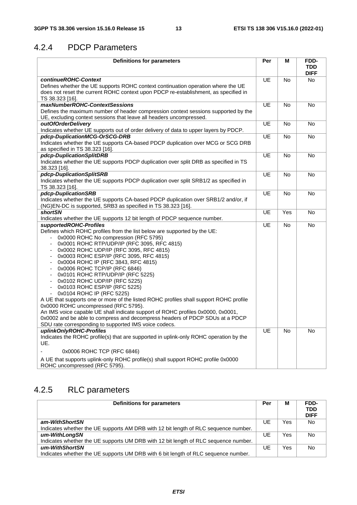#### 4.2.4 PDCP Parameters

| <b>Definitions for parameters</b>                                                                                                                                                                                                                                                                                                                                                                                                                                                                                                                                                                                                                                                                                                                                                                                                                                                                                                                                         | Per       | Μ         | FDD-<br><b>TDD</b><br><b>DIFF</b> |
|---------------------------------------------------------------------------------------------------------------------------------------------------------------------------------------------------------------------------------------------------------------------------------------------------------------------------------------------------------------------------------------------------------------------------------------------------------------------------------------------------------------------------------------------------------------------------------------------------------------------------------------------------------------------------------------------------------------------------------------------------------------------------------------------------------------------------------------------------------------------------------------------------------------------------------------------------------------------------|-----------|-----------|-----------------------------------|
| continueROHC-Context<br>Defines whether the UE supports ROHC context continuation operation where the UE<br>does not reset the current ROHC context upon PDCP re-establishment, as specified in<br>TS 38.323 [16].                                                                                                                                                                                                                                                                                                                                                                                                                                                                                                                                                                                                                                                                                                                                                        | <b>UE</b> | <b>No</b> | <b>No</b>                         |
| maxNumberROHC-ContextSessions<br>Defines the maximum number of header compression context sessions supported by the<br>UE, excluding context sessions that leave all headers uncompressed.                                                                                                                                                                                                                                                                                                                                                                                                                                                                                                                                                                                                                                                                                                                                                                                | <b>UE</b> | No        | No                                |
| outOfOrderDelivery<br>Indicates whether UE supports out of order delivery of data to upper layers by PDCP.                                                                                                                                                                                                                                                                                                                                                                                                                                                                                                                                                                                                                                                                                                                                                                                                                                                                | UE        | No        | <b>No</b>                         |
| pdcp-DuplicationMCG-OrSCG-DRB<br>Indicates whether the UE supports CA-based PDCP duplication over MCG or SCG DRB<br>as specified in TS 38.323 [16].                                                                                                                                                                                                                                                                                                                                                                                                                                                                                                                                                                                                                                                                                                                                                                                                                       | UE        | <b>No</b> | <b>No</b>                         |
| pdcp-DuplicationSplitDRB<br>Indicates whether the UE supports PDCP duplication over split DRB as specified in TS<br>38.323 [16].                                                                                                                                                                                                                                                                                                                                                                                                                                                                                                                                                                                                                                                                                                                                                                                                                                          | UE        | No        | No                                |
| pdcp-DuplicationSplitSRB<br>Indicates whether the UE supports PDCP duplication over split SRB1/2 as specified in<br>TS 38.323 [16].                                                                                                                                                                                                                                                                                                                                                                                                                                                                                                                                                                                                                                                                                                                                                                                                                                       | UE        | <b>No</b> | <b>No</b>                         |
| pdcp-DuplicationSRB<br>Indicates whether the UE supports CA-based PDCP duplication over SRB1/2 and/or, if<br>(NG)EN-DC is supported, SRB3 as specified in TS 38.323 [16].                                                                                                                                                                                                                                                                                                                                                                                                                                                                                                                                                                                                                                                                                                                                                                                                 | <b>UE</b> | No        | No                                |
| <b>shortSN</b><br>Indicates whether the UE supports 12 bit length of PDCP sequence number.                                                                                                                                                                                                                                                                                                                                                                                                                                                                                                                                                                                                                                                                                                                                                                                                                                                                                | <b>UE</b> | Yes       | No                                |
| supportedROHC-Profiles<br>Defines which ROHC profiles from the list below are supported by the UE:<br>0x0000 ROHC No compression (RFC 5795)<br>0x0001 ROHC RTP/UDP/IP (RFC 3095, RFC 4815)<br>÷,<br>0x0002 ROHC UDP/IP (RFC 3095, RFC 4815)<br>$\overline{a}$<br>0x0003 ROHC ESP/IP (RFC 3095, RFC 4815)<br>$\overline{a}$<br>0x0004 ROHC IP (RFC 3843, RFC 4815)<br>$\overline{\phantom{a}}$<br>0x0006 ROHC TCP/IP (RFC 6846)<br>$\overline{a}$<br>0x0101 ROHC RTP/UDP/IP (RFC 5225)<br>$\overline{a}$<br>0x0102 ROHC UDP/IP (RFC 5225)<br>÷,<br>0x0103 ROHC ESP/IP (RFC 5225)<br>0x0104 ROHC IP (RFC 5225)<br>A UE that supports one or more of the listed ROHC profiles shall support ROHC profile<br>0x0000 ROHC uncompressed (RFC 5795).<br>An IMS voice capable UE shall indicate support of ROHC profiles 0x0000, 0x0001,<br>0x0002 and be able to compress and decompress headers of PDCP SDUs at a PDCP<br>SDU rate corresponding to supported IMS voice codecs. | UE        | <b>No</b> | <b>No</b>                         |
| uplinkOnlyROHC-Profiles<br>Indicates the ROHC profile(s) that are supported in uplink-only ROHC operation by the<br>UE.<br>0x0006 ROHC TCP (RFC 6846)<br>A UE that supports uplink-only ROHC profile(s) shall support ROHC profile 0x0000                                                                                                                                                                                                                                                                                                                                                                                                                                                                                                                                                                                                                                                                                                                                 | <b>UE</b> | <b>No</b> | No                                |
| ROHC uncompressed (RFC 5795).                                                                                                                                                                                                                                                                                                                                                                                                                                                                                                                                                                                                                                                                                                                                                                                                                                                                                                                                             |           |           |                                   |

# 4.2.5 RLC parameters

| Definitions for parameters                                                          | Per | М   | FDD-<br><b>TDD</b><br><b>DIFF</b> |
|-------------------------------------------------------------------------------------|-----|-----|-----------------------------------|
| am-WithShortSN                                                                      | UE  | Yes | <b>No</b>                         |
| Indicates whether the UE supports AM DRB with 12 bit length of RLC sequence number. |     |     |                                   |
| um-WithLongSN                                                                       | UE  | Yes | <b>No</b>                         |
| Indicates whether the UE supports UM DRB with 12 bit length of RLC sequence number. |     |     |                                   |
| um-WithShortSN                                                                      | UE  | Yes | <b>No</b>                         |
| Indicates whether the UE supports UM DRB with 6 bit length of RLC sequence number.  |     |     |                                   |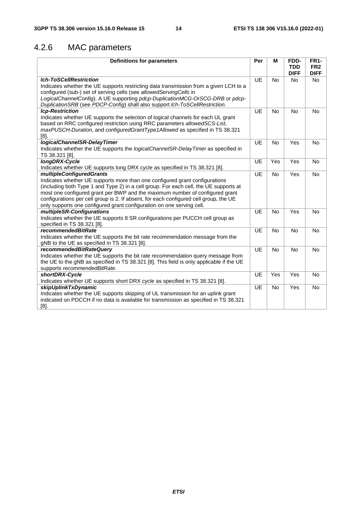# 4.2.6 MAC parameters

| <b>Definitions for parameters</b>                                                                                                                                                                                                                                                                                                                                                                                                                         | Per       | M         | FDD-<br><b>TDD</b><br><b>DIFF</b> | <b>FR1-</b><br>FR <sub>2</sub><br><b>DIFF</b> |
|-----------------------------------------------------------------------------------------------------------------------------------------------------------------------------------------------------------------------------------------------------------------------------------------------------------------------------------------------------------------------------------------------------------------------------------------------------------|-----------|-----------|-----------------------------------|-----------------------------------------------|
| <b>Ich-ToSCellRestriction</b><br>Indicates whether the UE supports restricting data transmission from a given LCH to a<br>configured (sub-) set of serving cells (see allowedServingCells in<br>LogicalChannelConfig). A UE supporting pdcp-DuplicationMCG-OrSCG-DRB or pdcp-<br>DuplicationSRB (see PDCP-Config) shall also support Ich-ToSCellRestriction.                                                                                              | <b>UE</b> | <b>No</b> | <b>No</b>                         | No                                            |
| <b>Icp-Restriction</b><br>Indicates whether UE supports the selection of logical channels for each UL grant<br>based on RRC configured restriction using RRC parameters allowedSCS-List,<br>maxPUSCH-Duration, and configuredGrantType1Allowed as specified in TS 38.321<br>[8].                                                                                                                                                                          | <b>UE</b> | <b>No</b> | <b>No</b>                         | <b>No</b>                                     |
| logicalChannelSR-DelayTimer<br>Indicates whether the UE supports the logicalChannelSR-DelayTimer as specified in<br>TS 38.321 [8].                                                                                                                                                                                                                                                                                                                        | <b>UE</b> | <b>No</b> | Yes                               | <b>No</b>                                     |
| longDRX-Cycle<br>Indicates whether UE supports long DRX cycle as specified in TS 38.321 [8].                                                                                                                                                                                                                                                                                                                                                              | <b>UE</b> | Yes       | Yes                               | <b>No</b>                                     |
| <i>multipleConfiguredGrants</i><br>Indicates whether UE supports more than one configured grant configurations<br>(including both Type 1 and Type 2) in a cell group. For each cell, the UE supports at<br>most one configured grant per BWP and the maximum number of configured grant<br>configurations per cell group is 2. If absent, for each configured cell group, the UE<br>only supports one configured grant configuration on one serving cell. | <b>UE</b> | <b>No</b> | Yes                               | <b>No</b>                                     |
| multipleSR-Configurations<br>Indicates whether the UE supports 8 SR configurations per PUCCH cell group as<br>specified in TS 38.321 [8].                                                                                                                                                                                                                                                                                                                 | <b>UE</b> | <b>No</b> | Yes                               | <b>No</b>                                     |
| <i>recommendedBitRate</i><br>Indicates whether the UE supports the bit rate recommendation message from the<br>gNB to the UE as specified in TS 38.321 [8].                                                                                                                                                                                                                                                                                               | <b>UE</b> | <b>No</b> | <b>No</b>                         | <b>No</b>                                     |
| recommendedBitRateQuery<br>Indicates whether the UE supports the bit rate recommendation query message from<br>the UE to the gNB as specified in TS 38.321 [8]. This field is only applicable if the UE<br>supports recommendedBitRate.                                                                                                                                                                                                                   | <b>UE</b> | No        | No                                | No                                            |
| shortDRX-Cycle<br>Indicates whether UE supports short DRX cycle as specified in TS 38.321 [8].                                                                                                                                                                                                                                                                                                                                                            | <b>UE</b> | Yes       | Yes                               | No                                            |
| skipUplinkTxDynamic<br>Indicates whether the UE supports skipping of UL transmission for an uplink grant<br>indicated on PDCCH if no data is available for transmission as specified in TS 38.321<br>$[8]$ .                                                                                                                                                                                                                                              | UE        | <b>No</b> | Yes                               | No                                            |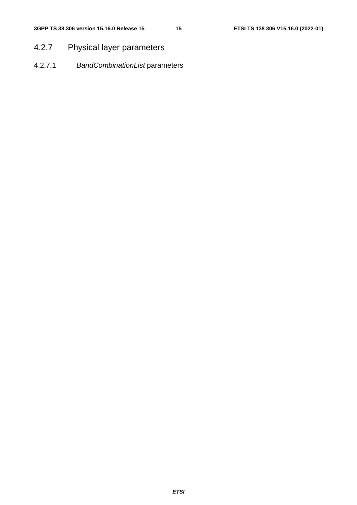# 4.2.7 Physical layer parameters

4.2.7.1 *BandCombinationList* parameters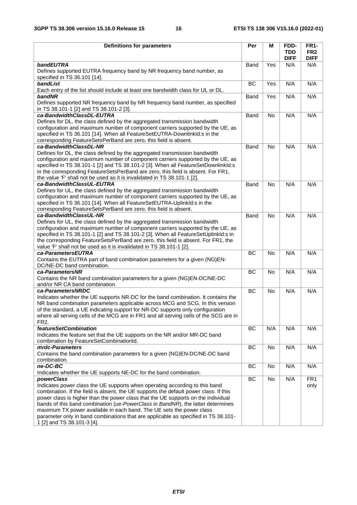| <b>Definitions for parameters</b>                                                                                        | Per       | M         | FDD-                      | <b>FR1-</b>                    |
|--------------------------------------------------------------------------------------------------------------------------|-----------|-----------|---------------------------|--------------------------------|
|                                                                                                                          |           |           | <b>TDD</b><br><b>DIFF</b> | FR <sub>2</sub><br><b>DIFF</b> |
| bandEUTRA                                                                                                                | Band      | Yes       | N/A                       | N/A                            |
| Defines supported EUTRA frequency band by NR frequency band number, as<br>specified in TS 36.101 [14].                   |           |           |                           |                                |
| bandList<br>Each entry of the list should include at least one bandwidth class for UL or DL.                             | <b>BC</b> | Yes       | N/A                       | N/A                            |
| bandNR                                                                                                                   | Band      | Yes       | N/A                       | N/A                            |
| Defines supported NR frequency band by NR frequency band number, as specified<br>in TS 38.101-1 [2] and TS 38.101-2 [3]. |           |           |                           |                                |
| ca-BandwidthClassDL-EUTRA                                                                                                | Band      | No        | N/A                       | N/A                            |
| Defines for DL, the class defined by the aggregated transmission bandwidth                                               |           |           |                           |                                |
| configuration and maximum number of component carriers supported by the UE, as                                           |           |           |                           |                                |
| specified in TS 36.101 [14]. When all FeatureSetEUTRA-DownlinkId:s in the                                                |           |           |                           |                                |
| corresponding FeatureSetsPerBand are zero, this field is absent.                                                         |           |           |                           |                                |
| ca-BandwidthClassDL-NR                                                                                                   | Band      | No        | N/A                       | N/A                            |
| Defines for DL, the class defined by the aggregated transmission bandwidth                                               |           |           |                           |                                |
| configuration and maximum number of component carriers supported by the UE, as                                           |           |           |                           |                                |
| specified in TS 38.101-1 [2] and TS 38.101-2 [3]. When all FeatureSetDownlinkld:s                                        |           |           |                           |                                |
| in the corresponding FeatureSetsPerBand are zero, this field is absent. For FR1,                                         |           |           |                           |                                |
| the value 'F' shall not be used as it is invalidated in TS 38.101-1 [2].                                                 |           |           |                           |                                |
| ca-BandwidthClassUL-EUTRA                                                                                                | Band      | <b>No</b> | N/A                       | N/A                            |
| Defines for UL, the class defined by the aggregated transmission bandwidth                                               |           |           |                           |                                |
| configuration and maximum number of component carriers supported by the UE, as                                           |           |           |                           |                                |
| specified in TS 36.101 [14]. When all FeatureSetEUTRA-UplinkId:s in the                                                  |           |           |                           |                                |
| corresponding FeatureSetsPerBand are zero, this field is absent.                                                         |           |           |                           |                                |
| ca-BandwidthClassUL-NR                                                                                                   | Band      | <b>No</b> | N/A                       | N/A                            |
| Defines for UL, the class defined by the aggregated transmission bandwidth                                               |           |           |                           |                                |
| configuration and maximum number of component carriers supported by the UE, as                                           |           |           |                           |                                |
| specified in TS 38.101-1 [2] and TS 38.101-2 [3]. When all FeatureSetUplinkId:s in                                       |           |           |                           |                                |
| the corresponding FeatureSetsPerBand are zero, this field is absent. For FR1, the                                        |           |           |                           |                                |
| value 'F' shall not be used as it is invalidated in TS 38.101-1 [2].                                                     |           |           |                           |                                |
| ca-ParametersEUTRA                                                                                                       | BC        | <b>No</b> | N/A                       | N/A                            |
| Contains the EUTRA part of band combination parameters for a given (NG)EN-                                               |           |           |                           |                                |
| DC/NE-DC band combination.                                                                                               |           |           |                           |                                |
| ca-ParametersNR                                                                                                          | <b>BC</b> | <b>No</b> | N/A                       | N/A                            |
| Contains the NR band combination parameters for a given (NG)EN-DC/NE-DC                                                  |           |           |                           |                                |
| and/or NR CA band combination.                                                                                           |           |           |                           |                                |
| ca-ParametersNRDC                                                                                                        | BC        | <b>No</b> | N/A                       | N/A                            |
| Indicates whether the UE supports NR-DC for the band combination. It contains the                                        |           |           |                           |                                |
| NR band combination parameters applicable across MCG and SCG. In this version                                            |           |           |                           |                                |
| of the standard, a UE indicating support for NR-DC supports only configuration                                           |           |           |                           |                                |
| where all serving cells of the MCG are in FR1 and all serving cells of the SCG are in                                    |           |           |                           |                                |
| FR <sub>2</sub> .                                                                                                        |           |           |                           |                                |
| <b>featureSetCombination</b>                                                                                             | BC        | N/A       | N/A                       | N/A                            |
| Indicates the feature set that the UE supports on the NR and/or MR-DC band                                               |           |           |                           |                                |
| combination by FeatureSetCombinationId.                                                                                  |           |           |                           |                                |
| mrdc-Parameters                                                                                                          | BC        | No        | N/A                       | N/A                            |
| Contains the band combination parameters for a given (NG)EN-DC/NE-DC band                                                |           |           |                           |                                |
| combination.                                                                                                             |           |           |                           |                                |
| ne-DC-BC                                                                                                                 | BC        | No        | N/A                       | N/A                            |
| Indicates whether the UE supports NE-DC for the band combination.                                                        |           |           |                           |                                |
| powerClass                                                                                                               | BC        | No        | N/A                       | FR <sub>1</sub>                |
| Indicates power class the UE supports when operating according to this band                                              |           |           |                           | only                           |
| combination. If the field is absent, the UE supports the default power class. If this                                    |           |           |                           |                                |
| power class is higher than the power class that the UE supports on the individual                                        |           |           |                           |                                |
| bands of this band combination (ue-PowerClass in BandNR), the latter determines                                          |           |           |                           |                                |
| maximum TX power available in each band. The UE sets the power class                                                     |           |           |                           |                                |
| parameter only in band combinations that are applicable as specified in TS 38.101-                                       |           |           |                           |                                |
| 1 [2] and TS 38.101-3 [4].                                                                                               |           |           |                           |                                |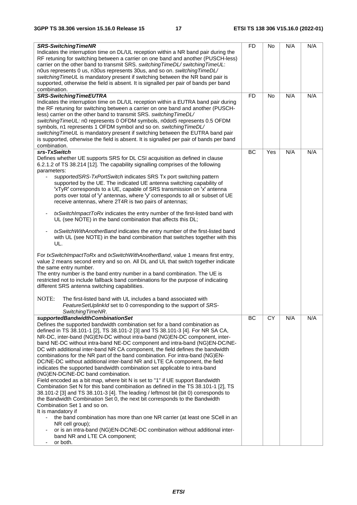| <b>SRS-SwitchingTimeNR</b><br>Indicates the interruption time on DL/UL reception within a NR band pair during the<br>RF retuning for switching between a carrier on one band and another (PUSCH-less)<br>carrier on the other band to transmit SRS. switching TimeDL/ switching TimeUL:<br>n0us represents 0 us, n30us represents 30us, and so on. switching TimeDL/<br>switching TimeUL is mandatory present if switching between the NR band pair is<br>supported, otherwise the field is absent. It is signalled per pair of bands per band<br>combination.                                                                                                                                                                                                                                                                                                                                                                                                                                                                                                                                                                                                                                                                                                                                                                                                               | <b>FD</b> | No        | N/A | N/A |
|------------------------------------------------------------------------------------------------------------------------------------------------------------------------------------------------------------------------------------------------------------------------------------------------------------------------------------------------------------------------------------------------------------------------------------------------------------------------------------------------------------------------------------------------------------------------------------------------------------------------------------------------------------------------------------------------------------------------------------------------------------------------------------------------------------------------------------------------------------------------------------------------------------------------------------------------------------------------------------------------------------------------------------------------------------------------------------------------------------------------------------------------------------------------------------------------------------------------------------------------------------------------------------------------------------------------------------------------------------------------------|-----------|-----------|-----|-----|
|                                                                                                                                                                                                                                                                                                                                                                                                                                                                                                                                                                                                                                                                                                                                                                                                                                                                                                                                                                                                                                                                                                                                                                                                                                                                                                                                                                              |           |           |     |     |
| <b>SRS-SwitchingTimeEUTRA</b><br>Indicates the interruption time on DL/UL reception within a EUTRA band pair during<br>the RF retuning for switching between a carrier on one band and another (PUSCH-<br>less) carrier on the other band to transmit SRS. switching TimeDL/<br>switchingTimeUL: n0 represents 0 OFDM symbols, n0dot5 represents 0.5 OFDM<br>symbols, n1 represents 1 OFDM symbol and so on. switching TimeDL/<br>switching TimeUL is mandatory present if switching between the EUTRA band pair<br>is supported, otherwise the field is absent. It is signalled per pair of bands per band<br>combination.                                                                                                                                                                                                                                                                                                                                                                                                                                                                                                                                                                                                                                                                                                                                                  | <b>FD</b> | No        | N/A | N/A |
| srs-TxSwitch                                                                                                                                                                                                                                                                                                                                                                                                                                                                                                                                                                                                                                                                                                                                                                                                                                                                                                                                                                                                                                                                                                                                                                                                                                                                                                                                                                 | BC        | Yes       | N/A | N/A |
| Defines whether UE supports SRS for DL CSI acquisition as defined in clause<br>6.2.1.2 of TS 38.214 [12]. The capability signalling comprises of the following<br>parameters:<br>supportedSRS-TxPortSwitch indicates SRS Tx port switching pattern<br>$\overline{\phantom{a}}$<br>supported by the UE. The indicated UE antenna switching capability of<br>'xTyR' corresponds to a UE, capable of SRS transmission on 'x' antenna<br>ports over total of 'y' antennas, where 'y' corresponds to all or subset of UE<br>receive antennas, where 2T4R is two pairs of antennas;<br>txSwitchImpactToRx indicates the entry number of the first-listed band with<br>$\overline{\phantom{a}}$<br>UL (see NOTE) in the band combination that affects this DL;<br>txSwitchWithAnotherBand indicates the entry number of the first-listed band<br>with UL (see NOTE) in the band combination that switches together with this<br>UL.                                                                                                                                                                                                                                                                                                                                                                                                                                                 |           |           |     |     |
| For txSwitchImpactToRx and txSwitchWithAnotherBand, value 1 means first entry,<br>value 2 means second entry and so on. All DL and UL that switch together indicate<br>the same entry number.<br>The entry number is the band entry number in a band combination. The UE is<br>restricted not to include fallback band combinations for the purpose of indicating<br>different SRS antenna switching capabilities.<br>NOTE:<br>The first-listed band with UL includes a band associated with                                                                                                                                                                                                                                                                                                                                                                                                                                                                                                                                                                                                                                                                                                                                                                                                                                                                                 |           |           |     |     |
| FeatureSetUplinkId set to 0 corresponding to the support of SRS-<br>SwitchingTimeNR.                                                                                                                                                                                                                                                                                                                                                                                                                                                                                                                                                                                                                                                                                                                                                                                                                                                                                                                                                                                                                                                                                                                                                                                                                                                                                         |           |           |     |     |
| supportedBandwidthCombinationSet<br>Defines the supported bandwidth combination set for a band combination as<br>defined in TS 38.101-1 [2], TS 38.101-2 [3] and TS 38.101-3 [4]. For NR SA CA,<br>NR-DC, inter-band (NG)EN-DC without intra-band (NG)EN-DC component, inter-<br>band NE-DC without intra-band NE-DC component and intra-band (NG)EN-DC/NE-<br>DC with additional inter-band NR CA component, the field defines the bandwidth<br>combinations for the NR part of the band combination. For intra-band (NG)EN-<br>DC/NE-DC without additional inter-band NR and LTE CA component, the field<br>indicates the supported bandwidth combination set applicable to intra-band<br>(NG)EN-DC/NE-DC band combination.<br>Field encoded as a bit map, where bit N is set to "1" if UE support Bandwidth<br>Combination Set N for this band combination as defined in the TS 38.101-1 [2], TS<br>38.101-2 [3] and TS 38.101-3 [4]. The leading / leftmost bit (bit 0) corresponds to<br>the Bandwidth Combination Set 0, the next bit corresponds to the Bandwidth<br>Combination Set 1 and so on.<br>It is mandatory if<br>the band combination has more than one NR carrier (at least one SCell in an<br>$\blacksquare$<br>NR cell group);<br>or is an intra-band (NG)EN-DC/NE-DC combination without additional inter-<br>band NR and LTE CA component;<br>or both. | BC        | <b>CY</b> | N/A | N/A |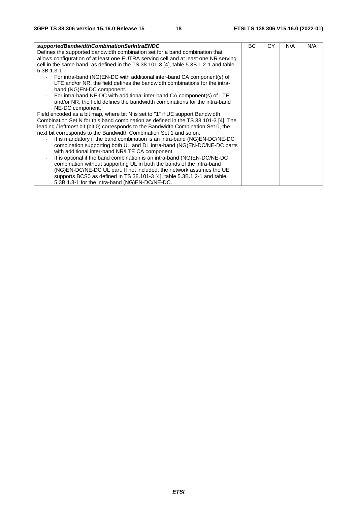| supportedBandwidthCombinationSetIntraENDC                                            | BC. | СY | N/A | N/A |
|--------------------------------------------------------------------------------------|-----|----|-----|-----|
| Defines the supported bandwidth combination set for a band combination that          |     |    |     |     |
| allows configuration of at least one EUTRA serving cell and at least one NR serving  |     |    |     |     |
| cell in the same band, as defined in the TS 38.101-3 [4], table 5.3B.1.2-1 and table |     |    |     |     |
| $5.3B.1.3-1.$                                                                        |     |    |     |     |
| For intra-band (NG)EN-DC with additional inter-band CA component(s) of               |     |    |     |     |
| LTE and/or NR, the field defines the bandwidth combinations for the intra-           |     |    |     |     |
| band (NG)EN-DC component.                                                            |     |    |     |     |
| - For intra-band NE-DC with additional inter-band CA component(s) of LTE             |     |    |     |     |
| and/or NR, the field defines the bandwidth combinations for the intra-band           |     |    |     |     |
| NE-DC component.                                                                     |     |    |     |     |
| Field encoded as a bit map, where bit N is set to "1" if UE support Bandwidth        |     |    |     |     |
| Combination Set N for this band combination as defined in the TS 38.101-3 [4]. The   |     |    |     |     |
| leading / leftmost bit (bit 0) corresponds to the Bandwidth Combination Set 0, the   |     |    |     |     |
| next bit corresponds to the Bandwidth Combination Set 1 and so on.                   |     |    |     |     |
| It is mandatory if the band combination is an intra-band (NG)EN-DC/NE-DC             |     |    |     |     |
| combination supporting both UL and DL intra-band (NG)EN-DC/NE-DC parts               |     |    |     |     |
| with additional inter-band NR/LTE CA component.                                      |     |    |     |     |
| It is optional if the band combination is an intra-band (NG)EN-DC/NE-DC              |     |    |     |     |
| combination without supporting UL in both the bands of the intra-band                |     |    |     |     |
| (NG)EN-DC/NE-DC UL part. If not included, the network assumes the UE                 |     |    |     |     |
| supports BCS0 as defined in TS 38.101-3 [4], table 5.3B.1.2-1 and table              |     |    |     |     |
| 5.3B.1.3-1 for the intra-band (NG)EN-DC/NE-DC.                                       |     |    |     |     |
|                                                                                      |     |    |     |     |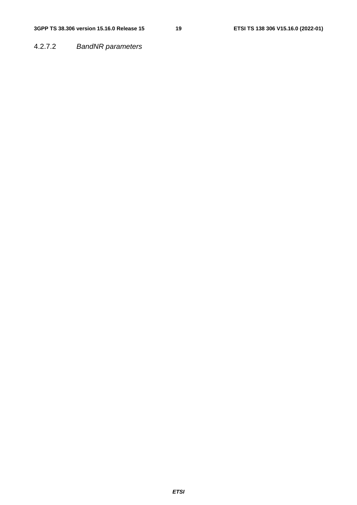4.2.7.2 *BandNR parameters*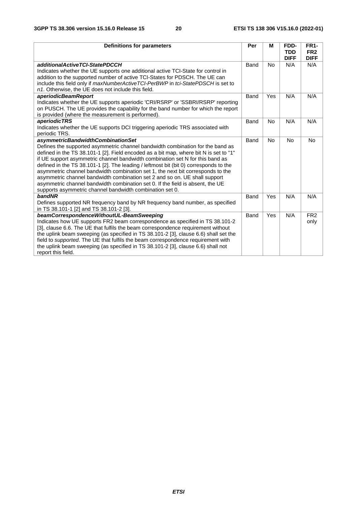| <b>Definitions for parameters</b>                                                                                                                                      | Per  | м         | FDD-               | <b>FR1-</b>        |
|------------------------------------------------------------------------------------------------------------------------------------------------------------------------|------|-----------|--------------------|--------------------|
|                                                                                                                                                                        |      |           | <b>TDD</b>         | FR <sub>2</sub>    |
| additionalActiveTCI-StatePDCCH                                                                                                                                         | Band | <b>No</b> | <b>DIFF</b><br>N/A | <b>DIFF</b><br>N/A |
| Indicates whether the UE supports one additional active TCI-State for control in                                                                                       |      |           |                    |                    |
| addition to the supported number of active TCI-States for PDSCH. The UE can                                                                                            |      |           |                    |                    |
| include this field only if maxNumberActiveTCI-PerBWP in tci-StatePDSCH is set to                                                                                       |      |           |                    |                    |
| n1. Otherwise, the UE does not include this field.                                                                                                                     |      |           |                    |                    |
| aperiodicBeamReport                                                                                                                                                    | Band | Yes       | N/A                | N/A                |
| Indicates whether the UE supports aperiodic 'CRI/RSRP' or 'SSBRI/RSRP' reporting                                                                                       |      |           |                    |                    |
| on PUSCH. The UE provides the capability for the band number for which the report                                                                                      |      |           |                    |                    |
| is provided (where the measurement is performed).                                                                                                                      |      |           |                    |                    |
| aperiodicTRS                                                                                                                                                           | Band | <b>No</b> | N/A                | N/A                |
| Indicates whether the UE supports DCI triggering aperiodic TRS associated with                                                                                         |      |           |                    |                    |
| periodic TRS.                                                                                                                                                          |      |           |                    |                    |
| asymmetricBandwidthCombinationSet                                                                                                                                      | Band | No        | <b>No</b>          | <b>No</b>          |
| Defines the supported asymmetric channel bandwidth combination for the band as                                                                                         |      |           |                    |                    |
| defined in the TS 38.101-1 [2]. Field encoded as a bit map, where bit N is set to "1"<br>if UE support asymmetric channel bandwidth combination set N for this band as |      |           |                    |                    |
| defined in the TS 38.101-1 [2]. The leading / leftmost bit (bit 0) corresponds to the                                                                                  |      |           |                    |                    |
| asymmetric channel bandwidth combination set 1, the next bit corresponds to the                                                                                        |      |           |                    |                    |
| asymmetric channel bandwidth combination set 2 and so on. UE shall support                                                                                             |      |           |                    |                    |
| asymmetric channel bandwidth combination set 0. If the field is absent, the UE                                                                                         |      |           |                    |                    |
| supports asymmetric channel bandwidth combination set 0.                                                                                                               |      |           |                    |                    |
| bandNR                                                                                                                                                                 | Band | Yes       | N/A                | N/A                |
| Defines supported NR frequency band by NR frequency band number, as specified                                                                                          |      |           |                    |                    |
| in TS 38.101-1 [2] and TS 38.101-2 [3].                                                                                                                                |      |           |                    |                    |
| beamCorrespondenceWithoutUL-BeamSweeping                                                                                                                               | Band | Yes       | N/A                | FR <sub>2</sub>    |
| Indicates how UE supports FR2 beam correspondence as specified in TS 38.101-2                                                                                          |      |           |                    | only               |
| [3], clause 6.6. The UE that fulfils the beam correspondence requirement without                                                                                       |      |           |                    |                    |
| the uplink beam sweeping (as specified in TS 38.101-2 [3], clause 6.6) shall set the                                                                                   |      |           |                    |                    |
| field to supported. The UE that fulfils the beam correspondence requirement with                                                                                       |      |           |                    |                    |
| the uplink beam sweeping (as specified in TS 38.101-2 [3], clause 6.6) shall not                                                                                       |      |           |                    |                    |
| report this field.                                                                                                                                                     |      |           |                    |                    |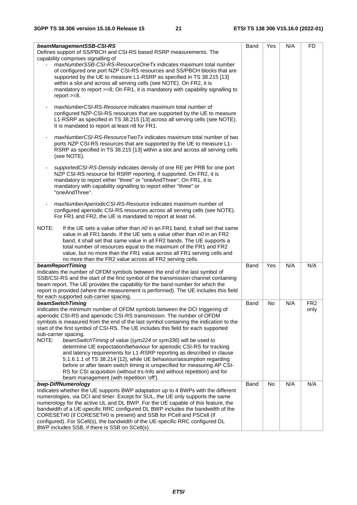| Band<br>Yes<br>N/A<br>beamManagementSSB-CSI-RS<br>FD<br>Defines support of SS/PBCH and CSI-RS based RSRP measurements. The<br>capability comprises signalling of<br>maxNumberSSB-CSI-RS-ResourceOneTx indicates maximum total number<br>of configured one port NZP CSI-RS resources and SS/PBCH blocks that are<br>supported by the UE to measure L1-RSRP as specified in TS 38.215 [13]<br>within a slot and across all serving cells (see NOTE). On FR2, it is<br>mandatory to report >=8; On FR1, it is mandatory with capability signalling to<br>report $>=8$ .<br>maxNumberCSI-RS-Resource indicates maximum total number of<br>$\qquad \qquad \blacksquare$<br>configured NZP-CSI-RS resources that are supported by the UE to measure<br>L1-RSRP as specified in TS 38.215 [13] across all serving cells (see NOTE).<br>It is mandated to report at least n8 for FR1.<br>maxNumberCSI-RS-ResourceTwoTx indicates maximum total number of two<br>ports NZP CSI-RS resources that are supported by the UE to measure L1-<br>RSRP as specified in TS 38.215 [13] within a slot and across all serving cells<br>(see NOTE).<br>supportedCSI-RS-Density indicates density of one RE per PRB for one port<br>NZP CSI-RS resource for RSRP reporting, if supported. On FR2, it is<br>mandatory to report either "three" or "oneAndThree"; On FR1, it is<br>mandatory with capability signalling to report either "three" or<br>"oneAndThree".<br>maxNumberAperiodicCSI-RS-Resource indicates maximum number of<br>$\overline{\phantom{a}}$<br>configured aperiodic CSI-RS resources across all serving cells (see NOTE).<br>For FR1 and FR2, the UE is mandated to report at least n4.<br>NOTE:<br>If the UE sets a value other than $n0$ in an FR1 band, it shall set that same<br>value in all FR1 bands. If the UE sets a value other than $n0$ in an FR2<br>band, it shall set that same value in all FR2 bands. The UE supports a<br>total number of resources equal to the maximum of the FR1 and FR2<br>value, but no more than the FR1 value across all FR1 serving cells and<br>no more than the FR2 value across all FR2 serving cells.<br>Yes<br>N/A<br>N/A<br>beamReportTiming<br>Band<br>Indicates the number of OFDM symbols between the end of the last symbol of<br>SSB/CSI-RS and the start of the first symbol of the transmission channel containing<br>beam report. The UE provides the capability for the band number for which the<br>report is provided (where the measurement is performed). The UE includes this field<br>for each supported sub-carrier spacing.<br>N/A<br>beamSwitchTiming<br>FR <sub>2</sub><br>Band<br>No<br>Indicates the minimum number of OFDM symbols between the DCI triggering of<br>only<br>aperiodic CSI-RS and aperiodic CSI-RS transmission. The number of OFDM<br>symbols is measured from the end of the last symbol containing the indication to the |
|-----------------------------------------------------------------------------------------------------------------------------------------------------------------------------------------------------------------------------------------------------------------------------------------------------------------------------------------------------------------------------------------------------------------------------------------------------------------------------------------------------------------------------------------------------------------------------------------------------------------------------------------------------------------------------------------------------------------------------------------------------------------------------------------------------------------------------------------------------------------------------------------------------------------------------------------------------------------------------------------------------------------------------------------------------------------------------------------------------------------------------------------------------------------------------------------------------------------------------------------------------------------------------------------------------------------------------------------------------------------------------------------------------------------------------------------------------------------------------------------------------------------------------------------------------------------------------------------------------------------------------------------------------------------------------------------------------------------------------------------------------------------------------------------------------------------------------------------------------------------------------------------------------------------------------------------------------------------------------------------------------------------------------------------------------------------------------------------------------------------------------------------------------------------------------------------------------------------------------------------------------------------------------------------------------------------------------------------------------------------------------------------------------------------------------------------------------------------------------------------------------------------------------------------------------------------------------------------------------------------------------------------------------------------------------------------------------------------------------------------------------------------------------------------------------------------------------------------------------------------------------------------------------------------|
|                                                                                                                                                                                                                                                                                                                                                                                                                                                                                                                                                                                                                                                                                                                                                                                                                                                                                                                                                                                                                                                                                                                                                                                                                                                                                                                                                                                                                                                                                                                                                                                                                                                                                                                                                                                                                                                                                                                                                                                                                                                                                                                                                                                                                                                                                                                                                                                                                                                                                                                                                                                                                                                                                                                                                                                                                                                                                                                 |
|                                                                                                                                                                                                                                                                                                                                                                                                                                                                                                                                                                                                                                                                                                                                                                                                                                                                                                                                                                                                                                                                                                                                                                                                                                                                                                                                                                                                                                                                                                                                                                                                                                                                                                                                                                                                                                                                                                                                                                                                                                                                                                                                                                                                                                                                                                                                                                                                                                                                                                                                                                                                                                                                                                                                                                                                                                                                                                                 |
|                                                                                                                                                                                                                                                                                                                                                                                                                                                                                                                                                                                                                                                                                                                                                                                                                                                                                                                                                                                                                                                                                                                                                                                                                                                                                                                                                                                                                                                                                                                                                                                                                                                                                                                                                                                                                                                                                                                                                                                                                                                                                                                                                                                                                                                                                                                                                                                                                                                                                                                                                                                                                                                                                                                                                                                                                                                                                                                 |
|                                                                                                                                                                                                                                                                                                                                                                                                                                                                                                                                                                                                                                                                                                                                                                                                                                                                                                                                                                                                                                                                                                                                                                                                                                                                                                                                                                                                                                                                                                                                                                                                                                                                                                                                                                                                                                                                                                                                                                                                                                                                                                                                                                                                                                                                                                                                                                                                                                                                                                                                                                                                                                                                                                                                                                                                                                                                                                                 |
|                                                                                                                                                                                                                                                                                                                                                                                                                                                                                                                                                                                                                                                                                                                                                                                                                                                                                                                                                                                                                                                                                                                                                                                                                                                                                                                                                                                                                                                                                                                                                                                                                                                                                                                                                                                                                                                                                                                                                                                                                                                                                                                                                                                                                                                                                                                                                                                                                                                                                                                                                                                                                                                                                                                                                                                                                                                                                                                 |
|                                                                                                                                                                                                                                                                                                                                                                                                                                                                                                                                                                                                                                                                                                                                                                                                                                                                                                                                                                                                                                                                                                                                                                                                                                                                                                                                                                                                                                                                                                                                                                                                                                                                                                                                                                                                                                                                                                                                                                                                                                                                                                                                                                                                                                                                                                                                                                                                                                                                                                                                                                                                                                                                                                                                                                                                                                                                                                                 |
|                                                                                                                                                                                                                                                                                                                                                                                                                                                                                                                                                                                                                                                                                                                                                                                                                                                                                                                                                                                                                                                                                                                                                                                                                                                                                                                                                                                                                                                                                                                                                                                                                                                                                                                                                                                                                                                                                                                                                                                                                                                                                                                                                                                                                                                                                                                                                                                                                                                                                                                                                                                                                                                                                                                                                                                                                                                                                                                 |
|                                                                                                                                                                                                                                                                                                                                                                                                                                                                                                                                                                                                                                                                                                                                                                                                                                                                                                                                                                                                                                                                                                                                                                                                                                                                                                                                                                                                                                                                                                                                                                                                                                                                                                                                                                                                                                                                                                                                                                                                                                                                                                                                                                                                                                                                                                                                                                                                                                                                                                                                                                                                                                                                                                                                                                                                                                                                                                                 |
|                                                                                                                                                                                                                                                                                                                                                                                                                                                                                                                                                                                                                                                                                                                                                                                                                                                                                                                                                                                                                                                                                                                                                                                                                                                                                                                                                                                                                                                                                                                                                                                                                                                                                                                                                                                                                                                                                                                                                                                                                                                                                                                                                                                                                                                                                                                                                                                                                                                                                                                                                                                                                                                                                                                                                                                                                                                                                                                 |
|                                                                                                                                                                                                                                                                                                                                                                                                                                                                                                                                                                                                                                                                                                                                                                                                                                                                                                                                                                                                                                                                                                                                                                                                                                                                                                                                                                                                                                                                                                                                                                                                                                                                                                                                                                                                                                                                                                                                                                                                                                                                                                                                                                                                                                                                                                                                                                                                                                                                                                                                                                                                                                                                                                                                                                                                                                                                                                                 |
|                                                                                                                                                                                                                                                                                                                                                                                                                                                                                                                                                                                                                                                                                                                                                                                                                                                                                                                                                                                                                                                                                                                                                                                                                                                                                                                                                                                                                                                                                                                                                                                                                                                                                                                                                                                                                                                                                                                                                                                                                                                                                                                                                                                                                                                                                                                                                                                                                                                                                                                                                                                                                                                                                                                                                                                                                                                                                                                 |
|                                                                                                                                                                                                                                                                                                                                                                                                                                                                                                                                                                                                                                                                                                                                                                                                                                                                                                                                                                                                                                                                                                                                                                                                                                                                                                                                                                                                                                                                                                                                                                                                                                                                                                                                                                                                                                                                                                                                                                                                                                                                                                                                                                                                                                                                                                                                                                                                                                                                                                                                                                                                                                                                                                                                                                                                                                                                                                                 |
|                                                                                                                                                                                                                                                                                                                                                                                                                                                                                                                                                                                                                                                                                                                                                                                                                                                                                                                                                                                                                                                                                                                                                                                                                                                                                                                                                                                                                                                                                                                                                                                                                                                                                                                                                                                                                                                                                                                                                                                                                                                                                                                                                                                                                                                                                                                                                                                                                                                                                                                                                                                                                                                                                                                                                                                                                                                                                                                 |
|                                                                                                                                                                                                                                                                                                                                                                                                                                                                                                                                                                                                                                                                                                                                                                                                                                                                                                                                                                                                                                                                                                                                                                                                                                                                                                                                                                                                                                                                                                                                                                                                                                                                                                                                                                                                                                                                                                                                                                                                                                                                                                                                                                                                                                                                                                                                                                                                                                                                                                                                                                                                                                                                                                                                                                                                                                                                                                                 |
|                                                                                                                                                                                                                                                                                                                                                                                                                                                                                                                                                                                                                                                                                                                                                                                                                                                                                                                                                                                                                                                                                                                                                                                                                                                                                                                                                                                                                                                                                                                                                                                                                                                                                                                                                                                                                                                                                                                                                                                                                                                                                                                                                                                                                                                                                                                                                                                                                                                                                                                                                                                                                                                                                                                                                                                                                                                                                                                 |
|                                                                                                                                                                                                                                                                                                                                                                                                                                                                                                                                                                                                                                                                                                                                                                                                                                                                                                                                                                                                                                                                                                                                                                                                                                                                                                                                                                                                                                                                                                                                                                                                                                                                                                                                                                                                                                                                                                                                                                                                                                                                                                                                                                                                                                                                                                                                                                                                                                                                                                                                                                                                                                                                                                                                                                                                                                                                                                                 |
|                                                                                                                                                                                                                                                                                                                                                                                                                                                                                                                                                                                                                                                                                                                                                                                                                                                                                                                                                                                                                                                                                                                                                                                                                                                                                                                                                                                                                                                                                                                                                                                                                                                                                                                                                                                                                                                                                                                                                                                                                                                                                                                                                                                                                                                                                                                                                                                                                                                                                                                                                                                                                                                                                                                                                                                                                                                                                                                 |
|                                                                                                                                                                                                                                                                                                                                                                                                                                                                                                                                                                                                                                                                                                                                                                                                                                                                                                                                                                                                                                                                                                                                                                                                                                                                                                                                                                                                                                                                                                                                                                                                                                                                                                                                                                                                                                                                                                                                                                                                                                                                                                                                                                                                                                                                                                                                                                                                                                                                                                                                                                                                                                                                                                                                                                                                                                                                                                                 |
|                                                                                                                                                                                                                                                                                                                                                                                                                                                                                                                                                                                                                                                                                                                                                                                                                                                                                                                                                                                                                                                                                                                                                                                                                                                                                                                                                                                                                                                                                                                                                                                                                                                                                                                                                                                                                                                                                                                                                                                                                                                                                                                                                                                                                                                                                                                                                                                                                                                                                                                                                                                                                                                                                                                                                                                                                                                                                                                 |
|                                                                                                                                                                                                                                                                                                                                                                                                                                                                                                                                                                                                                                                                                                                                                                                                                                                                                                                                                                                                                                                                                                                                                                                                                                                                                                                                                                                                                                                                                                                                                                                                                                                                                                                                                                                                                                                                                                                                                                                                                                                                                                                                                                                                                                                                                                                                                                                                                                                                                                                                                                                                                                                                                                                                                                                                                                                                                                                 |
|                                                                                                                                                                                                                                                                                                                                                                                                                                                                                                                                                                                                                                                                                                                                                                                                                                                                                                                                                                                                                                                                                                                                                                                                                                                                                                                                                                                                                                                                                                                                                                                                                                                                                                                                                                                                                                                                                                                                                                                                                                                                                                                                                                                                                                                                                                                                                                                                                                                                                                                                                                                                                                                                                                                                                                                                                                                                                                                 |
|                                                                                                                                                                                                                                                                                                                                                                                                                                                                                                                                                                                                                                                                                                                                                                                                                                                                                                                                                                                                                                                                                                                                                                                                                                                                                                                                                                                                                                                                                                                                                                                                                                                                                                                                                                                                                                                                                                                                                                                                                                                                                                                                                                                                                                                                                                                                                                                                                                                                                                                                                                                                                                                                                                                                                                                                                                                                                                                 |
|                                                                                                                                                                                                                                                                                                                                                                                                                                                                                                                                                                                                                                                                                                                                                                                                                                                                                                                                                                                                                                                                                                                                                                                                                                                                                                                                                                                                                                                                                                                                                                                                                                                                                                                                                                                                                                                                                                                                                                                                                                                                                                                                                                                                                                                                                                                                                                                                                                                                                                                                                                                                                                                                                                                                                                                                                                                                                                                 |
|                                                                                                                                                                                                                                                                                                                                                                                                                                                                                                                                                                                                                                                                                                                                                                                                                                                                                                                                                                                                                                                                                                                                                                                                                                                                                                                                                                                                                                                                                                                                                                                                                                                                                                                                                                                                                                                                                                                                                                                                                                                                                                                                                                                                                                                                                                                                                                                                                                                                                                                                                                                                                                                                                                                                                                                                                                                                                                                 |
|                                                                                                                                                                                                                                                                                                                                                                                                                                                                                                                                                                                                                                                                                                                                                                                                                                                                                                                                                                                                                                                                                                                                                                                                                                                                                                                                                                                                                                                                                                                                                                                                                                                                                                                                                                                                                                                                                                                                                                                                                                                                                                                                                                                                                                                                                                                                                                                                                                                                                                                                                                                                                                                                                                                                                                                                                                                                                                                 |
|                                                                                                                                                                                                                                                                                                                                                                                                                                                                                                                                                                                                                                                                                                                                                                                                                                                                                                                                                                                                                                                                                                                                                                                                                                                                                                                                                                                                                                                                                                                                                                                                                                                                                                                                                                                                                                                                                                                                                                                                                                                                                                                                                                                                                                                                                                                                                                                                                                                                                                                                                                                                                                                                                                                                                                                                                                                                                                                 |
|                                                                                                                                                                                                                                                                                                                                                                                                                                                                                                                                                                                                                                                                                                                                                                                                                                                                                                                                                                                                                                                                                                                                                                                                                                                                                                                                                                                                                                                                                                                                                                                                                                                                                                                                                                                                                                                                                                                                                                                                                                                                                                                                                                                                                                                                                                                                                                                                                                                                                                                                                                                                                                                                                                                                                                                                                                                                                                                 |
|                                                                                                                                                                                                                                                                                                                                                                                                                                                                                                                                                                                                                                                                                                                                                                                                                                                                                                                                                                                                                                                                                                                                                                                                                                                                                                                                                                                                                                                                                                                                                                                                                                                                                                                                                                                                                                                                                                                                                                                                                                                                                                                                                                                                                                                                                                                                                                                                                                                                                                                                                                                                                                                                                                                                                                                                                                                                                                                 |
|                                                                                                                                                                                                                                                                                                                                                                                                                                                                                                                                                                                                                                                                                                                                                                                                                                                                                                                                                                                                                                                                                                                                                                                                                                                                                                                                                                                                                                                                                                                                                                                                                                                                                                                                                                                                                                                                                                                                                                                                                                                                                                                                                                                                                                                                                                                                                                                                                                                                                                                                                                                                                                                                                                                                                                                                                                                                                                                 |
|                                                                                                                                                                                                                                                                                                                                                                                                                                                                                                                                                                                                                                                                                                                                                                                                                                                                                                                                                                                                                                                                                                                                                                                                                                                                                                                                                                                                                                                                                                                                                                                                                                                                                                                                                                                                                                                                                                                                                                                                                                                                                                                                                                                                                                                                                                                                                                                                                                                                                                                                                                                                                                                                                                                                                                                                                                                                                                                 |
|                                                                                                                                                                                                                                                                                                                                                                                                                                                                                                                                                                                                                                                                                                                                                                                                                                                                                                                                                                                                                                                                                                                                                                                                                                                                                                                                                                                                                                                                                                                                                                                                                                                                                                                                                                                                                                                                                                                                                                                                                                                                                                                                                                                                                                                                                                                                                                                                                                                                                                                                                                                                                                                                                                                                                                                                                                                                                                                 |
|                                                                                                                                                                                                                                                                                                                                                                                                                                                                                                                                                                                                                                                                                                                                                                                                                                                                                                                                                                                                                                                                                                                                                                                                                                                                                                                                                                                                                                                                                                                                                                                                                                                                                                                                                                                                                                                                                                                                                                                                                                                                                                                                                                                                                                                                                                                                                                                                                                                                                                                                                                                                                                                                                                                                                                                                                                                                                                                 |
|                                                                                                                                                                                                                                                                                                                                                                                                                                                                                                                                                                                                                                                                                                                                                                                                                                                                                                                                                                                                                                                                                                                                                                                                                                                                                                                                                                                                                                                                                                                                                                                                                                                                                                                                                                                                                                                                                                                                                                                                                                                                                                                                                                                                                                                                                                                                                                                                                                                                                                                                                                                                                                                                                                                                                                                                                                                                                                                 |
|                                                                                                                                                                                                                                                                                                                                                                                                                                                                                                                                                                                                                                                                                                                                                                                                                                                                                                                                                                                                                                                                                                                                                                                                                                                                                                                                                                                                                                                                                                                                                                                                                                                                                                                                                                                                                                                                                                                                                                                                                                                                                                                                                                                                                                                                                                                                                                                                                                                                                                                                                                                                                                                                                                                                                                                                                                                                                                                 |
|                                                                                                                                                                                                                                                                                                                                                                                                                                                                                                                                                                                                                                                                                                                                                                                                                                                                                                                                                                                                                                                                                                                                                                                                                                                                                                                                                                                                                                                                                                                                                                                                                                                                                                                                                                                                                                                                                                                                                                                                                                                                                                                                                                                                                                                                                                                                                                                                                                                                                                                                                                                                                                                                                                                                                                                                                                                                                                                 |
|                                                                                                                                                                                                                                                                                                                                                                                                                                                                                                                                                                                                                                                                                                                                                                                                                                                                                                                                                                                                                                                                                                                                                                                                                                                                                                                                                                                                                                                                                                                                                                                                                                                                                                                                                                                                                                                                                                                                                                                                                                                                                                                                                                                                                                                                                                                                                                                                                                                                                                                                                                                                                                                                                                                                                                                                                                                                                                                 |
|                                                                                                                                                                                                                                                                                                                                                                                                                                                                                                                                                                                                                                                                                                                                                                                                                                                                                                                                                                                                                                                                                                                                                                                                                                                                                                                                                                                                                                                                                                                                                                                                                                                                                                                                                                                                                                                                                                                                                                                                                                                                                                                                                                                                                                                                                                                                                                                                                                                                                                                                                                                                                                                                                                                                                                                                                                                                                                                 |
|                                                                                                                                                                                                                                                                                                                                                                                                                                                                                                                                                                                                                                                                                                                                                                                                                                                                                                                                                                                                                                                                                                                                                                                                                                                                                                                                                                                                                                                                                                                                                                                                                                                                                                                                                                                                                                                                                                                                                                                                                                                                                                                                                                                                                                                                                                                                                                                                                                                                                                                                                                                                                                                                                                                                                                                                                                                                                                                 |
|                                                                                                                                                                                                                                                                                                                                                                                                                                                                                                                                                                                                                                                                                                                                                                                                                                                                                                                                                                                                                                                                                                                                                                                                                                                                                                                                                                                                                                                                                                                                                                                                                                                                                                                                                                                                                                                                                                                                                                                                                                                                                                                                                                                                                                                                                                                                                                                                                                                                                                                                                                                                                                                                                                                                                                                                                                                                                                                 |
|                                                                                                                                                                                                                                                                                                                                                                                                                                                                                                                                                                                                                                                                                                                                                                                                                                                                                                                                                                                                                                                                                                                                                                                                                                                                                                                                                                                                                                                                                                                                                                                                                                                                                                                                                                                                                                                                                                                                                                                                                                                                                                                                                                                                                                                                                                                                                                                                                                                                                                                                                                                                                                                                                                                                                                                                                                                                                                                 |
|                                                                                                                                                                                                                                                                                                                                                                                                                                                                                                                                                                                                                                                                                                                                                                                                                                                                                                                                                                                                                                                                                                                                                                                                                                                                                                                                                                                                                                                                                                                                                                                                                                                                                                                                                                                                                                                                                                                                                                                                                                                                                                                                                                                                                                                                                                                                                                                                                                                                                                                                                                                                                                                                                                                                                                                                                                                                                                                 |
|                                                                                                                                                                                                                                                                                                                                                                                                                                                                                                                                                                                                                                                                                                                                                                                                                                                                                                                                                                                                                                                                                                                                                                                                                                                                                                                                                                                                                                                                                                                                                                                                                                                                                                                                                                                                                                                                                                                                                                                                                                                                                                                                                                                                                                                                                                                                                                                                                                                                                                                                                                                                                                                                                                                                                                                                                                                                                                                 |
|                                                                                                                                                                                                                                                                                                                                                                                                                                                                                                                                                                                                                                                                                                                                                                                                                                                                                                                                                                                                                                                                                                                                                                                                                                                                                                                                                                                                                                                                                                                                                                                                                                                                                                                                                                                                                                                                                                                                                                                                                                                                                                                                                                                                                                                                                                                                                                                                                                                                                                                                                                                                                                                                                                                                                                                                                                                                                                                 |
|                                                                                                                                                                                                                                                                                                                                                                                                                                                                                                                                                                                                                                                                                                                                                                                                                                                                                                                                                                                                                                                                                                                                                                                                                                                                                                                                                                                                                                                                                                                                                                                                                                                                                                                                                                                                                                                                                                                                                                                                                                                                                                                                                                                                                                                                                                                                                                                                                                                                                                                                                                                                                                                                                                                                                                                                                                                                                                                 |
|                                                                                                                                                                                                                                                                                                                                                                                                                                                                                                                                                                                                                                                                                                                                                                                                                                                                                                                                                                                                                                                                                                                                                                                                                                                                                                                                                                                                                                                                                                                                                                                                                                                                                                                                                                                                                                                                                                                                                                                                                                                                                                                                                                                                                                                                                                                                                                                                                                                                                                                                                                                                                                                                                                                                                                                                                                                                                                                 |
| start of the first symbol of CSI-RS. The UE includes this field for each supported                                                                                                                                                                                                                                                                                                                                                                                                                                                                                                                                                                                                                                                                                                                                                                                                                                                                                                                                                                                                                                                                                                                                                                                                                                                                                                                                                                                                                                                                                                                                                                                                                                                                                                                                                                                                                                                                                                                                                                                                                                                                                                                                                                                                                                                                                                                                                                                                                                                                                                                                                                                                                                                                                                                                                                                                                              |
| sub-carrier spacing.                                                                                                                                                                                                                                                                                                                                                                                                                                                                                                                                                                                                                                                                                                                                                                                                                                                                                                                                                                                                                                                                                                                                                                                                                                                                                                                                                                                                                                                                                                                                                                                                                                                                                                                                                                                                                                                                                                                                                                                                                                                                                                                                                                                                                                                                                                                                                                                                                                                                                                                                                                                                                                                                                                                                                                                                                                                                                            |
| NOTE:<br>beamSwitchTiming of value (sym224 or sym336) will be used to                                                                                                                                                                                                                                                                                                                                                                                                                                                                                                                                                                                                                                                                                                                                                                                                                                                                                                                                                                                                                                                                                                                                                                                                                                                                                                                                                                                                                                                                                                                                                                                                                                                                                                                                                                                                                                                                                                                                                                                                                                                                                                                                                                                                                                                                                                                                                                                                                                                                                                                                                                                                                                                                                                                                                                                                                                           |
| determine UE expectation/behaviour for aperiodic CSI-RS for tracking                                                                                                                                                                                                                                                                                                                                                                                                                                                                                                                                                                                                                                                                                                                                                                                                                                                                                                                                                                                                                                                                                                                                                                                                                                                                                                                                                                                                                                                                                                                                                                                                                                                                                                                                                                                                                                                                                                                                                                                                                                                                                                                                                                                                                                                                                                                                                                                                                                                                                                                                                                                                                                                                                                                                                                                                                                            |
| and latency requirements for L1-RSRP reporting as described in clause                                                                                                                                                                                                                                                                                                                                                                                                                                                                                                                                                                                                                                                                                                                                                                                                                                                                                                                                                                                                                                                                                                                                                                                                                                                                                                                                                                                                                                                                                                                                                                                                                                                                                                                                                                                                                                                                                                                                                                                                                                                                                                                                                                                                                                                                                                                                                                                                                                                                                                                                                                                                                                                                                                                                                                                                                                           |
| 5.1.6.1.1 of TS 38.214 [12], while UE behaviour/assumption regarding                                                                                                                                                                                                                                                                                                                                                                                                                                                                                                                                                                                                                                                                                                                                                                                                                                                                                                                                                                                                                                                                                                                                                                                                                                                                                                                                                                                                                                                                                                                                                                                                                                                                                                                                                                                                                                                                                                                                                                                                                                                                                                                                                                                                                                                                                                                                                                                                                                                                                                                                                                                                                                                                                                                                                                                                                                            |
| before or after beam switch timing is unspecified for measuring AP CSI-                                                                                                                                                                                                                                                                                                                                                                                                                                                                                                                                                                                                                                                                                                                                                                                                                                                                                                                                                                                                                                                                                                                                                                                                                                                                                                                                                                                                                                                                                                                                                                                                                                                                                                                                                                                                                                                                                                                                                                                                                                                                                                                                                                                                                                                                                                                                                                                                                                                                                                                                                                                                                                                                                                                                                                                                                                         |
| RS for CSI acquisition (without trs-Info and without repetition) and for                                                                                                                                                                                                                                                                                                                                                                                                                                                                                                                                                                                                                                                                                                                                                                                                                                                                                                                                                                                                                                                                                                                                                                                                                                                                                                                                                                                                                                                                                                                                                                                                                                                                                                                                                                                                                                                                                                                                                                                                                                                                                                                                                                                                                                                                                                                                                                                                                                                                                                                                                                                                                                                                                                                                                                                                                                        |
| beam management (with repetition 'off').<br>N/A<br>N/A                                                                                                                                                                                                                                                                                                                                                                                                                                                                                                                                                                                                                                                                                                                                                                                                                                                                                                                                                                                                                                                                                                                                                                                                                                                                                                                                                                                                                                                                                                                                                                                                                                                                                                                                                                                                                                                                                                                                                                                                                                                                                                                                                                                                                                                                                                                                                                                                                                                                                                                                                                                                                                                                                                                                                                                                                                                          |
| Band<br>No<br>bwp-DiffNumerology                                                                                                                                                                                                                                                                                                                                                                                                                                                                                                                                                                                                                                                                                                                                                                                                                                                                                                                                                                                                                                                                                                                                                                                                                                                                                                                                                                                                                                                                                                                                                                                                                                                                                                                                                                                                                                                                                                                                                                                                                                                                                                                                                                                                                                                                                                                                                                                                                                                                                                                                                                                                                                                                                                                                                                                                                                                                                |
| Indicates whether the UE supports BWP adaptation up to 4 BWPs with the different<br>numerologies, via DCI and timer. Except for SUL, the UE only supports the same                                                                                                                                                                                                                                                                                                                                                                                                                                                                                                                                                                                                                                                                                                                                                                                                                                                                                                                                                                                                                                                                                                                                                                                                                                                                                                                                                                                                                                                                                                                                                                                                                                                                                                                                                                                                                                                                                                                                                                                                                                                                                                                                                                                                                                                                                                                                                                                                                                                                                                                                                                                                                                                                                                                                              |
|                                                                                                                                                                                                                                                                                                                                                                                                                                                                                                                                                                                                                                                                                                                                                                                                                                                                                                                                                                                                                                                                                                                                                                                                                                                                                                                                                                                                                                                                                                                                                                                                                                                                                                                                                                                                                                                                                                                                                                                                                                                                                                                                                                                                                                                                                                                                                                                                                                                                                                                                                                                                                                                                                                                                                                                                                                                                                                                 |
| numerology for the active UL and DL BWP. For the UE capable of this feature, the<br>bandwidth of a UE-specific RRC configured DL BWP includes the bandwidth of the                                                                                                                                                                                                                                                                                                                                                                                                                                                                                                                                                                                                                                                                                                                                                                                                                                                                                                                                                                                                                                                                                                                                                                                                                                                                                                                                                                                                                                                                                                                                                                                                                                                                                                                                                                                                                                                                                                                                                                                                                                                                                                                                                                                                                                                                                                                                                                                                                                                                                                                                                                                                                                                                                                                                              |
| CORESET#0 (if CORESET#0 is present) and SSB for PCell and PSCell (if                                                                                                                                                                                                                                                                                                                                                                                                                                                                                                                                                                                                                                                                                                                                                                                                                                                                                                                                                                                                                                                                                                                                                                                                                                                                                                                                                                                                                                                                                                                                                                                                                                                                                                                                                                                                                                                                                                                                                                                                                                                                                                                                                                                                                                                                                                                                                                                                                                                                                                                                                                                                                                                                                                                                                                                                                                            |
| configured). For SCell(s), the bandwidth of the UE-specific RRC configured DL                                                                                                                                                                                                                                                                                                                                                                                                                                                                                                                                                                                                                                                                                                                                                                                                                                                                                                                                                                                                                                                                                                                                                                                                                                                                                                                                                                                                                                                                                                                                                                                                                                                                                                                                                                                                                                                                                                                                                                                                                                                                                                                                                                                                                                                                                                                                                                                                                                                                                                                                                                                                                                                                                                                                                                                                                                   |
| BWP includes SSB, if there is SSB on SCell(s).                                                                                                                                                                                                                                                                                                                                                                                                                                                                                                                                                                                                                                                                                                                                                                                                                                                                                                                                                                                                                                                                                                                                                                                                                                                                                                                                                                                                                                                                                                                                                                                                                                                                                                                                                                                                                                                                                                                                                                                                                                                                                                                                                                                                                                                                                                                                                                                                                                                                                                                                                                                                                                                                                                                                                                                                                                                                  |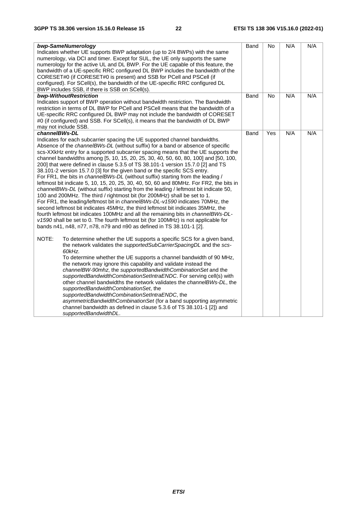| bwp-SameNumerology<br>Indicates whether UE supports BWP adaptation (up to 2/4 BWPs) with the same<br>numerology, via DCI and timer. Except for SUL, the UE only supports the same<br>numerology for the active UL and DL BWP. For the UE capable of this feature, the<br>bandwidth of a UE-specific RRC configured DL BWP includes the bandwidth of the<br>CORESET#0 (if CORESET#0 is present) and SSB for PCell and PSCell (if<br>configured). For SCell(s), the bandwidth of the UE-specific RRC configured DL<br>BWP includes SSB, if there is SSB on SCell(s).                                                                                                                                                                                                                                                                                                                                                                                                                                                                                                                                                                                                                                                                                                                                            | Band | <b>No</b> | N/A | N/A |
|---------------------------------------------------------------------------------------------------------------------------------------------------------------------------------------------------------------------------------------------------------------------------------------------------------------------------------------------------------------------------------------------------------------------------------------------------------------------------------------------------------------------------------------------------------------------------------------------------------------------------------------------------------------------------------------------------------------------------------------------------------------------------------------------------------------------------------------------------------------------------------------------------------------------------------------------------------------------------------------------------------------------------------------------------------------------------------------------------------------------------------------------------------------------------------------------------------------------------------------------------------------------------------------------------------------|------|-----------|-----|-----|
| bwp-WithoutRestriction<br>Indicates support of BWP operation without bandwidth restriction. The Bandwidth<br>restriction in terms of DL BWP for PCell and PSCell means that the bandwidth of a<br>UE-specific RRC configured DL BWP may not include the bandwidth of CORESET<br>#0 (if configured) and SSB. For SCell(s), it means that the bandwidth of DL BWP<br>may not include SSB.                                                                                                                                                                                                                                                                                                                                                                                                                                                                                                                                                                                                                                                                                                                                                                                                                                                                                                                       | Band | No        | N/A | N/A |
| channelBWs-DL<br>Indicates for each subcarrier spacing the UE supported channel bandwidths.<br>Absence of the channelBWs-DL (without suffix) for a band or absence of specific<br>scs-XXkHz entry for a supported subcarrier spacing means that the UE supports the<br>channel bandwidths among [5, 10, 15, 20, 25, 30, 40, 50, 60, 80, 100] and [50, 100,<br>200] that were defined in clause 5.3.5 of TS 38.101-1 version 15.7.0 [2] and TS<br>38.101-2 version 15.7.0 [3] for the given band or the specific SCS entry.<br>For FR1, the bits in <i>channelBWs-DL</i> (without suffix) starting from the leading /<br>leftmost bit indicate 5, 10, 15, 20, 25, 30, 40, 50, 60 and 80MHz. For FR2, the bits in<br>channelBWs-DL (without suffix) starting from the leading / leftmost bit indicate 50,<br>100 and 200MHz. The third / rightmost bit (for 200MHz) shall be set to 1.<br>For FR1, the leading/leftmost bit in channelBWs-DL-v1590 indicates 70MHz, the<br>second leftmost bit indicates 45MHz, the third leftmost bit indicates 35MHz, the<br>fourth leftmost bit indicates 100MHz and all the remaining bits in channelBWs-DL-<br>v1590 shall be set to 0. The fourth leftmost bit (for 100MHz) is not applicable for<br>bands n41, n48, n77, n78, n79 and n90 as defined in TS 38.101-1 [2]. | Band | Yes       | N/A | N/A |
| NOTE:<br>To determine whether the UE supports a specific SCS for a given band,<br>the network validates the <i>supportedSubCarrierSpacingDL</i> and the scs-<br>60kHz.<br>To determine whether the UE supports a channel bandwidth of 90 MHz,<br>the network may ignore this capability and validate instead the<br>channelBW-90mhz, the supportedBandwidthCombinationSet and the<br>supportedBandwidthCombinationSetIntraENDC. For serving cell(s) with<br>other channel bandwidths the network validates the channelBWs-DL, the<br>supportedBandwidthCombinationSet, the<br>supportedBandwidthCombinationSetIntraENDC, the<br>asymmetricBandwidthCombinationSet (for a band supporting asymmetric<br>channel bandwidth as defined in clause 5.3.6 of TS 38.101-1 [2]) and<br>supportedBandwidthDL.                                                                                                                                                                                                                                                                                                                                                                                                                                                                                                          |      |           |     |     |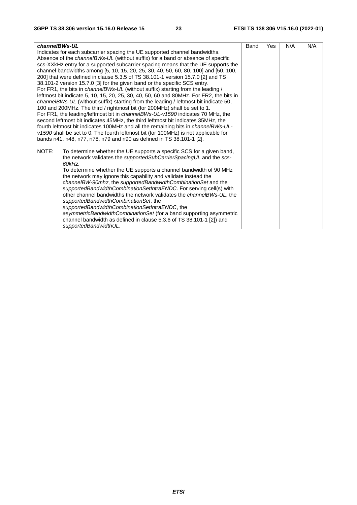| channelBWs-UL                                                                           | Band | Yes | N/A | N/A |
|-----------------------------------------------------------------------------------------|------|-----|-----|-----|
| Indicates for each subcarrier spacing the UE supported channel bandwidths.              |      |     |     |     |
| Absence of the <i>channelBWs-UL</i> (without suffix) for a band or absence of specific  |      |     |     |     |
| scs-XXkHz entry for a supported subcarrier spacing means that the UE supports the       |      |     |     |     |
| channel bandwidths among [5, 10, 15, 20, 25, 30, 40, 50, 60, 80, 100] and [50, 100,     |      |     |     |     |
| 200] that were defined in clause 5.3.5 of TS 38.101-1 version 15.7.0 [2] and TS         |      |     |     |     |
| 38.101-2 version 15.7.0 [3] for the given band or the specific SCS entry.               |      |     |     |     |
| For FR1, the bits in <i>channelBWs-UL</i> (without suffix) starting from the leading /  |      |     |     |     |
| leftmost bit indicate 5, 10, 15, 20, 25, 30, 40, 50, 60 and 80MHz. For FR2, the bits in |      |     |     |     |
| channelBWs-UL (without suffix) starting from the leading / leftmost bit indicate 50,    |      |     |     |     |
| 100 and 200MHz. The third / rightmost bit (for 200MHz) shall be set to 1.               |      |     |     |     |
| For FR1, the leading/leftmost bit in <i>channelBWs-UL-v1590</i> indicates 70 MHz, the   |      |     |     |     |
| second leftmost bit indicates 45MHz, the third leftmost bit indicates 35MHz, the        |      |     |     |     |
| fourth leftmost bit indicates 100MHz and all the remaining bits in channelBWs-UL-       |      |     |     |     |
| v1590 shall be set to 0. The fourth leftmost bit (for 100MHz) is not applicable for     |      |     |     |     |
| bands n41, n48, n77, n78, n79 and n90 as defined in TS 38.101-1 [2].                    |      |     |     |     |
| NOTE:<br>To determine whether the UE supports a specific SCS for a given band,          |      |     |     |     |
| the network validates the <i>supportedSubCarrierSpacingUL</i> and the scs-              |      |     |     |     |
| 60kHz.                                                                                  |      |     |     |     |
| To determine whether the UE supports a channel bandwidth of 90 MHz                      |      |     |     |     |
| the network may ignore this capability and validate instead the                         |      |     |     |     |
| channeIBW-90mhz, the supportedBandwidthCombinationSet and the                           |      |     |     |     |
| supportedBandwidthCombinationSetIntraENDC. For serving cell(s) with                     |      |     |     |     |
| other channel bandwidths the network validates the channelBWs-UL, the                   |      |     |     |     |
| supportedBandwidthCombinationSet, the                                                   |      |     |     |     |
| supportedBandwidthCombinationSetIntraENDC, the                                          |      |     |     |     |
| asymmetricBandwidthCombinationSet (for a band supporting asymmetric                     |      |     |     |     |
| channel bandwidth as defined in clause 5.3.6 of TS 38.101-1 [2]) and                    |      |     |     |     |
| supportedBandwidthUL.                                                                   |      |     |     |     |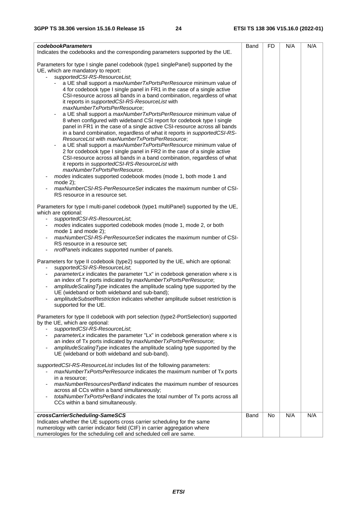| codebookParameters<br>Indicates the codebooks and the corresponding parameters supported by the UE.                                                                                                                                                                                                                                                                                                                                                                                                                                                                                                                                                                                                                                                                                                                                                                                                                                                                                                                                                                                                                                                                                                                                                                                                                                                | Band | FD | N/A | N/A |
|----------------------------------------------------------------------------------------------------------------------------------------------------------------------------------------------------------------------------------------------------------------------------------------------------------------------------------------------------------------------------------------------------------------------------------------------------------------------------------------------------------------------------------------------------------------------------------------------------------------------------------------------------------------------------------------------------------------------------------------------------------------------------------------------------------------------------------------------------------------------------------------------------------------------------------------------------------------------------------------------------------------------------------------------------------------------------------------------------------------------------------------------------------------------------------------------------------------------------------------------------------------------------------------------------------------------------------------------------|------|----|-----|-----|
| Parameters for type I single panel codebook (type1 singlePanel) supported by the<br>UE, which are mandatory to report:<br>supportedCSI-RS-ResourceList;<br>a UE shall support a maxNumberTxPortsPerResource minimum value of<br>4 for codebook type I single panel in FR1 in the case of a single active<br>CSI-resource across all bands in a band combination, regardless of what<br>it reports in supportedCSI-RS-ResourceList with<br>maxNumberTxPortsPerResource;<br>a UE shall support a <i>maxNumberTxPortsPerResource</i> minimum value of<br>8 when configured with wideband CSI report for codebook type I single<br>panel in FR1 in the case of a single active CSI-resource across all bands<br>in a band combination, regardless of what it reports in supportedCSI-RS-<br>ResourceList with maxNumberTxPortsPerResource;<br>a UE shall support a maxNumberTxPortsPerResource minimum value of<br>2 for codebook type I single panel in FR2 in the case of a single active<br>CSI-resource across all bands in a band combination, regardless of what<br>it reports in supportedCSI-RS-ResourceList with<br>maxNumberTxPortsPerResource.<br>modes indicates supported codebook modes (mode 1, both mode 1 and<br>mode $2$ );<br>maxNumberCSI-RS-PerResourceSet indicates the maximum number of CSI-<br>RS resource in a resource set. |      |    |     |     |
| Parameters for type I multi-panel codebook (type1 multiPanel) supported by the UE,<br>which are optional:<br>supportedCSI-RS-ResourceList;<br>modes indicates supported codebook modes (mode 1, mode 2, or both<br>mode 1 and mode 2);<br>maxNumberCSI-RS-PerResourceSet indicates the maximum number of CSI-<br>RS resource in a resource set;<br>nrofPanels indicates supported number of panels.                                                                                                                                                                                                                                                                                                                                                                                                                                                                                                                                                                                                                                                                                                                                                                                                                                                                                                                                                |      |    |     |     |
| Parameters for type II codebook (type2) supported by the UE, which are optional:<br>supportedCSI-RS-ResourceList;<br>parameterLx indicates the parameter "Lx" in codebook generation where x is<br>an index of Tx ports indicated by maxNumberTxPortsPerResource;<br>amplitudeScalingType indicates the amplitude scaling type supported by the<br>UE (wideband or both wideband and sub-band);<br>amplitudeSubsetRestriction indicates whether amplitude subset restriction is<br>supported for the UE.                                                                                                                                                                                                                                                                                                                                                                                                                                                                                                                                                                                                                                                                                                                                                                                                                                           |      |    |     |     |
| Parameters for type II codebook with port selection (type2-PortSelection) supported<br>by the UE, which are optional:<br>supportedCSI-RS-ResourceList;<br>parameterLx indicates the parameter "Lx" in codebook generation where x is<br>an index of Tx ports indicated by maxNumberTxPortsPerResource;<br>amplitudeScalingType indicates the amplitude scaling type supported by the<br>UE (wideband or both wideband and sub-band).                                                                                                                                                                                                                                                                                                                                                                                                                                                                                                                                                                                                                                                                                                                                                                                                                                                                                                               |      |    |     |     |
| supportedCSI-RS-ResourceList includes list of the following parameters:<br>maxNumberTxPortsPerResource indicates the maximum number of Tx ports<br>in a resource:<br>maxNumberResourcesPerBand indicates the maximum number of resources<br>across all CCs within a band simultaneously;<br>totalNumberTxPortsPerBand indicates the total number of Tx ports across all<br>CCs within a band simultaneously.                                                                                                                                                                                                                                                                                                                                                                                                                                                                                                                                                                                                                                                                                                                                                                                                                                                                                                                                       |      |    |     |     |
| crossCarrierScheduling-SameSCS                                                                                                                                                                                                                                                                                                                                                                                                                                                                                                                                                                                                                                                                                                                                                                                                                                                                                                                                                                                                                                                                                                                                                                                                                                                                                                                     | Band | No | N/A | N/A |
| Indicates whether the UE supports cross carrier scheduling for the same                                                                                                                                                                                                                                                                                                                                                                                                                                                                                                                                                                                                                                                                                                                                                                                                                                                                                                                                                                                                                                                                                                                                                                                                                                                                            |      |    |     |     |
| numerology with carrier indicator field (CIF) in carrier aggregation where                                                                                                                                                                                                                                                                                                                                                                                                                                                                                                                                                                                                                                                                                                                                                                                                                                                                                                                                                                                                                                                                                                                                                                                                                                                                         |      |    |     |     |
| numerologies for the scheduling cell and scheduled cell are same.                                                                                                                                                                                                                                                                                                                                                                                                                                                                                                                                                                                                                                                                                                                                                                                                                                                                                                                                                                                                                                                                                                                                                                                                                                                                                  |      |    |     |     |
|                                                                                                                                                                                                                                                                                                                                                                                                                                                                                                                                                                                                                                                                                                                                                                                                                                                                                                                                                                                                                                                                                                                                                                                                                                                                                                                                                    |      |    |     |     |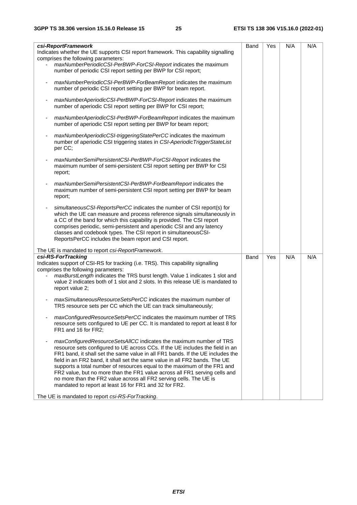| csi-ReportFramework<br>Indicates whether the UE supports CSI report framework. This capability signalling<br>comprises the following parameters:                                                                                                                                                                                                                                                                                                                                                                                                                                                              | Band | Yes | N/A | N/A |
|---------------------------------------------------------------------------------------------------------------------------------------------------------------------------------------------------------------------------------------------------------------------------------------------------------------------------------------------------------------------------------------------------------------------------------------------------------------------------------------------------------------------------------------------------------------------------------------------------------------|------|-----|-----|-----|
| maxNumberPeriodicCSI-PerBWP-ForCSI-Report indicates the maximum<br>number of periodic CSI report setting per BWP for CSI report;                                                                                                                                                                                                                                                                                                                                                                                                                                                                              |      |     |     |     |
| maxNumberPeriodicCSI-PerBWP-ForBeamReport indicates the maximum<br>number of periodic CSI report setting per BWP for beam report.                                                                                                                                                                                                                                                                                                                                                                                                                                                                             |      |     |     |     |
| maxNumberAperiodicCSI-PerBWP-ForCSI-Report indicates the maximum<br>number of aperiodic CSI report setting per BWP for CSI report;                                                                                                                                                                                                                                                                                                                                                                                                                                                                            |      |     |     |     |
| maxNumberAperiodicCSI-PerBWP-ForBeamReport indicates the maximum<br>number of aperiodic CSI report setting per BWP for beam report;                                                                                                                                                                                                                                                                                                                                                                                                                                                                           |      |     |     |     |
| maxNumberAperiodicCSI-triggeringStatePerCC indicates the maximum<br>number of aperiodic CSI triggering states in CSI-Aperiodic Trigger State List<br>per CC;                                                                                                                                                                                                                                                                                                                                                                                                                                                  |      |     |     |     |
| maxNumberSemiPersistentCSI-PerBWP-ForCSI-Report indicates the<br>maximum number of semi-persistent CSI report setting per BWP for CSI<br>report;                                                                                                                                                                                                                                                                                                                                                                                                                                                              |      |     |     |     |
| maxNumberSemiPersistentCSI-PerBWP-ForBeamReport indicates the<br>maximum number of semi-persistent CSI report setting per BWP for beam<br>report;                                                                                                                                                                                                                                                                                                                                                                                                                                                             |      |     |     |     |
| simultaneousCSI-ReportsPerCC indicates the number of CSI report(s) for<br>which the UE can measure and process reference signals simultaneously in<br>a CC of the band for which this capability is provided. The CSI report<br>comprises periodic, semi-persistent and aperiodic CSI and any latency<br>classes and codebook types. The CSI report in simultaneousCSI-<br>ReportsPerCC includes the beam report and CSI report.                                                                                                                                                                              |      |     |     |     |
| The UE is mandated to report csi-ReportFramework.                                                                                                                                                                                                                                                                                                                                                                                                                                                                                                                                                             |      |     |     |     |
| csi-RS-ForTracking<br>Indicates support of CSI-RS for tracking (i.e. TRS). This capability signalling                                                                                                                                                                                                                                                                                                                                                                                                                                                                                                         | Band | Yes | N/A | N/A |
| comprises the following parameters:                                                                                                                                                                                                                                                                                                                                                                                                                                                                                                                                                                           |      |     |     |     |
| maxBurstLength indicates the TRS burst length. Value 1 indicates 1 slot and<br>value 2 indicates both of 1 slot and 2 slots. In this release UE is mandated to<br>report value 2;                                                                                                                                                                                                                                                                                                                                                                                                                             |      |     |     |     |
| maxSimultaneousResourceSetsPerCC indicates the maximum number of<br>TRS resource sets per CC which the UE can track simultaneously;                                                                                                                                                                                                                                                                                                                                                                                                                                                                           |      |     |     |     |
| maxConfiguredResourceSetsPerCC indicates the maximum number of TRS<br>resource sets configured to UE per CC. It is mandated to report at least 8 for<br>FR1 and 16 for FR2;                                                                                                                                                                                                                                                                                                                                                                                                                                   |      |     |     |     |
| maxConfiguredResourceSetsAllCC indicates the maximum number of TRS<br>resource sets configured to UE across CCs. If the UE includes the field in an<br>FR1 band, it shall set the same value in all FR1 bands. If the UE includes the<br>field in an FR2 band, it shall set the same value in all FR2 bands. The UE<br>supports a total number of resources equal to the maximum of the FR1 and<br>FR2 value, but no more than the FR1 value across all FR1 serving cells and<br>no more than the FR2 value across all FR2 serving cells. The UE is<br>mandated to report at least 16 for FR1 and 32 for FR2. |      |     |     |     |
| The UE is mandated to report csi-RS-ForTracking.                                                                                                                                                                                                                                                                                                                                                                                                                                                                                                                                                              |      |     |     |     |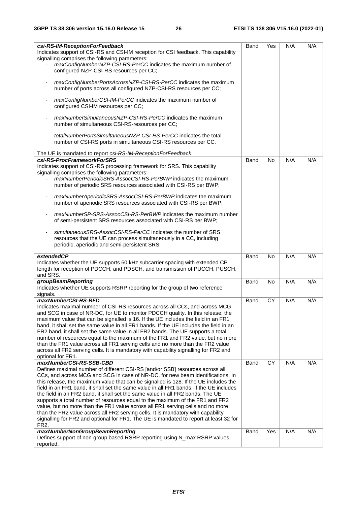| csi-RS-IM-ReceptionForFeedback<br>Indicates support of CSI-RS and CSI-IM reception for CSI feedback. This capability<br>signalling comprises the following parameters:                 | Band | Yes       | N/A | N/A |
|----------------------------------------------------------------------------------------------------------------------------------------------------------------------------------------|------|-----------|-----|-----|
| maxConfigNumberNZP-CSI-RS-PerCC indicates the maximum number of<br>configured NZP-CSI-RS resources per CC;                                                                             |      |           |     |     |
| maxConfigNumberPortsAcrossNZP-CSI-RS-PerCC indicates the maximum<br>number of ports across all configured NZP-CSI-RS resources per CC;                                                 |      |           |     |     |
| maxConfigNumberCSI-IM-PerCC indicates the maximum number of<br>configured CSI-IM resources per CC;                                                                                     |      |           |     |     |
| maxNumberSimultaneousNZP-CSI-RS-PerCC indicates the maximum<br>number of simultaneous CSI-RS-resources per CC;                                                                         |      |           |     |     |
| totalNumberPortsSimultaneousNZP-CSI-RS-PerCC indicates the total<br>number of CSI-RS ports in simultaneous CSI-RS resources per CC.                                                    |      |           |     |     |
| The UE is mandated to report csi-RS-IM-ReceptionForFeedback.                                                                                                                           |      |           |     |     |
| csi-RS-ProcFrameworkForSRS                                                                                                                                                             | Band | <b>No</b> | N/A | N/A |
| Indicates support of CSI-RS processing framework for SRS. This capability                                                                                                              |      |           |     |     |
| signalling comprises the following parameters:                                                                                                                                         |      |           |     |     |
| maxNumberPeriodicSRS-AssocCSI-RS-PerBWP indicates the maximum<br>number of periodic SRS resources associated with CSI-RS per BWP;                                                      |      |           |     |     |
| maxNumberAperiodicSRS-AssocCSI-RS-PerBWP indicates the maximum<br>number of aperiodic SRS resources associated with CSI-RS per BWP;                                                    |      |           |     |     |
| maxNumberSP-SRS-AssocCSI-RS-PerBWP indicates the maximum number<br>of semi-persistent SRS resources associated with CSI-RS per BWP;                                                    |      |           |     |     |
| simultaneous SRS-Assoc CSI-RS-PerCC indicates the number of SRS<br>resources that the UE can process simultaneously in a CC, including<br>periodic, aperiodic and semi-persistent SRS. |      |           |     |     |
|                                                                                                                                                                                        |      |           |     |     |
| extendedCP                                                                                                                                                                             | Band | <b>No</b> | N/A | N/A |
| Indicates whether the UE supports 60 kHz subcarrier spacing with extended CP<br>length for reception of PDCCH, and PDSCH, and transmission of PUCCH, PUSCH,<br>and SRS.                |      |           |     |     |
| groupBeamReporting                                                                                                                                                                     | Band | <b>No</b> | N/A | N/A |
| Indicates whether UE supports RSRP reporting for the group of two reference<br>signals.                                                                                                |      |           |     |     |
| maxNumberCSI-RS-BFD                                                                                                                                                                    | Band | <b>CY</b> | N/A | N/A |
| Indicates maximal number of CSI-RS resources across all CCs, and across MCG<br>and SCG in case of NR-DC, for UE to monitor PDCCH quality. In this release, the                         |      |           |     |     |
| maximum value that can be signalled is 16. If the UE includes the field in an FR1                                                                                                      |      |           |     |     |
| band, it shall set the same value in all FR1 bands. If the UE includes the field in an                                                                                                 |      |           |     |     |
| FR2 band, it shall set the same value in all FR2 bands. The UE supports a total                                                                                                        |      |           |     |     |
| number of resources equal to the maximum of the FR1 and FR2 value, but no more                                                                                                         |      |           |     |     |
| than the FR1 value across all FR1 serving cells and no more than the FR2 value                                                                                                         |      |           |     |     |
| across all FR2 serving cells. It is mandatory with capability signalling for FR2 and                                                                                                   |      |           |     |     |
| optional for FR1.                                                                                                                                                                      |      |           |     |     |
| maxNumberCSI-RS-SSB-CBD                                                                                                                                                                | Band | CY        | N/A | N/A |
| Defines maximal number of different CSI-RS [and/or SSB] resources across all                                                                                                           |      |           |     |     |
| CCs, and across MCG and SCG in case of NR-DC, for new beam identifications. In                                                                                                         |      |           |     |     |
| this release, the maximum value that can be signalled is 128. If the UE includes the                                                                                                   |      |           |     |     |
| field in an FR1 band, it shall set the same value in all FR1 bands. If the UE includes                                                                                                 |      |           |     |     |
| the field in an FR2 band, it shall set the same value in all FR2 bands. The UE<br>supports a total number of resources equal to the maximum of the FR1 and FR2                         |      |           |     |     |
| value, but no more than the FR1 value across all FR1 serving cells and no more                                                                                                         |      |           |     |     |
| than the FR2 value across all FR2 serving cells. It is mandatory with capability                                                                                                       |      |           |     |     |
| signalling for FR2 and optional for FR1. The UE is mandated to report at least 32 for                                                                                                  |      |           |     |     |
| FR <sub>2</sub> .                                                                                                                                                                      |      |           |     |     |
| maxNumberNonGroupBeamReporting                                                                                                                                                         | Band | Yes       | N/A | N/A |
| Defines support of non-group based RSRP reporting using N_max RSRP values                                                                                                              |      |           |     |     |
| reported.                                                                                                                                                                              |      |           |     |     |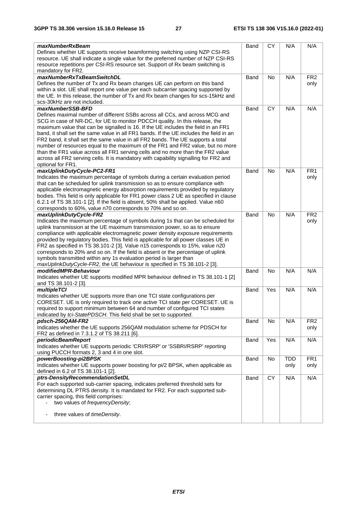| maxNumberRxBeam                                                                                                                                                  | Band | <b>CY</b> | N/A        | N/A             |
|------------------------------------------------------------------------------------------------------------------------------------------------------------------|------|-----------|------------|-----------------|
| Defines whether UE supports receive beamforming switching using NZP CSI-RS                                                                                       |      |           |            |                 |
| resource. UE shall indicate a single value for the preferred number of NZP CSI-RS                                                                                |      |           |            |                 |
| resource repetitions per CSI-RS resource set. Support of Rx beam switching is                                                                                    |      |           |            |                 |
| mandatory for FR2.                                                                                                                                               |      |           |            |                 |
| maxNumberRxTxBeamSwitchDL<br>Defines the number of Tx and Rx beam changes UE can perform on this band                                                            | Band | <b>No</b> | N/A        | FR <sub>2</sub> |
| within a slot. UE shall report one value per each subcarrier spacing supported by                                                                                |      |           |            | only            |
| the UE. In this release, the number of Tx and Rx beam changes for scs-15kHz and                                                                                  |      |           |            |                 |
| scs-30kHz are not included.                                                                                                                                      |      |           |            |                 |
| maxNumberSSB-BFD                                                                                                                                                 | Band | <b>CY</b> | N/A        | N/A             |
| Defines maximal number of different SSBs across all CCs, and across MCG and                                                                                      |      |           |            |                 |
| SCG in case of NR-DC, for UE to monitor PDCCH quality. In this release, the                                                                                      |      |           |            |                 |
| maximum value that can be signalled is 16. If the UE includes the field in an FR1                                                                                |      |           |            |                 |
| band, it shall set the same value in all FR1 bands. If the UE includes the field in an                                                                           |      |           |            |                 |
| FR2 band, it shall set the same value in all FR2 bands. The UE supports a total                                                                                  |      |           |            |                 |
| number of resources equal to the maximum of the FR1 and FR2 value, but no more                                                                                   |      |           |            |                 |
| than the FR1 value across all FR1 serving cells and no more than the FR2 value                                                                                   |      |           |            |                 |
| across all FR2 serving cells. It is mandatory with capability signalling for FR2 and                                                                             |      |           |            |                 |
| optional for FR1.<br>maxUplinkDutyCycle-PC2-FR1                                                                                                                  | Band | No        | N/A        | FR <sub>1</sub> |
| Indicates the maximum percentage of symbols during a certain evaluation period                                                                                   |      |           |            | only            |
| that can be scheduled for uplink transmission so as to ensure compliance with                                                                                    |      |           |            |                 |
| applicable electromagnetic energy absorption requirements provided by regulatory                                                                                 |      |           |            |                 |
| bodies. This field is only applicable for FR1 power class 2 UE as specified in clause                                                                            |      |           |            |                 |
| 6.2.1 of TS 38.101-1 [2]. If the field is absent, 50% shall be applied. Value n60                                                                                |      |           |            |                 |
| corresponds to 60%, value n70 corresponds to 70% and so on.                                                                                                      |      |           |            |                 |
| maxUplinkDutyCycle-FR2                                                                                                                                           | Band | <b>No</b> | N/A        | FR <sub>2</sub> |
| Indicates the maximum percentage of symbols during 1s that can be scheduled for                                                                                  |      |           |            | only            |
| uplink transmission at the UE maximum transmission power, so as to ensure                                                                                        |      |           |            |                 |
| compliance with applicable electromagnetic power density exposure requirements                                                                                   |      |           |            |                 |
| provided by regulatory bodies. This field is applicable for all power classes UE in                                                                              |      |           |            |                 |
| FR2 as specified in TS 38.101-2 [3]. Value n15 corresponds to 15%, value n20<br>corresponds to 20% and so on. If the field is absent or the percentage of uplink |      |           |            |                 |
| symbols transmitted within any 1s evaluation period is larger than                                                                                               |      |           |            |                 |
| maxUplinkDutyCycle-FR2, the UE behaviour is specified in TS 38.101-2 [3].                                                                                        |      |           |            |                 |
| modifiedMPR-Behaviour                                                                                                                                            | Band | No        | N/A        | N/A             |
| Indicates whether UE supports modified MPR behaviour defined in TS 38.101-1 [2]                                                                                  |      |           |            |                 |
| and TS 38.101-2 [3].                                                                                                                                             |      |           |            |                 |
| multipleTCI                                                                                                                                                      | Band | Yes       | N/A        | N/A             |
| Indicates whether UE supports more than one TCI state configurations per                                                                                         |      |           |            |                 |
| CORESET. UE is only required to track one active TCI state per CORESET. UE is                                                                                    |      |           |            |                 |
| required to support minimum between 64 and number of configured TCI states                                                                                       |      |           |            |                 |
| indicated by tci-StatePDSCH. This field shall be set to supported.                                                                                               |      |           |            |                 |
| pdsch-256QAM-FR2                                                                                                                                                 | Band | No        | N/A        | FR <sub>2</sub> |
| Indicates whether the UE supports 256QAM modulation scheme for PDSCH for                                                                                         |      |           |            | only            |
| FR2 as defined in 7.3.1.2 of TS 38.211 [6].<br>periodicBeamReport                                                                                                | Band | Yes       | N/A        | N/A             |
| Indicates whether UE supports periodic 'CRI/RSRP' or 'SSBRI/RSRP' reporting                                                                                      |      |           |            |                 |
| using PUCCH formats 2, 3 and 4 in one slot.                                                                                                                      |      |           |            |                 |
| powerBoosting-pi2BPSK                                                                                                                                            | Band | No        | <b>TDD</b> | FR <sub>1</sub> |
| Indicates whether UE supports power boosting for pi/2 BPSK, when applicable as                                                                                   |      |           | only       | only            |
| defined in 6.2 of TS 38.101-1 [2].                                                                                                                               |      |           |            |                 |
| ptrs-DensityRecommendationSetDL                                                                                                                                  | Band | CY        | N/A        | N/A             |
| For each supported sub-carrier spacing, indicates preferred threshold sets for                                                                                   |      |           |            |                 |
| determining DL PTRS density. It is mandated for FR2. For each supported sub-                                                                                     |      |           |            |                 |
| carrier spacing, this field comprises:                                                                                                                           |      |           |            |                 |
| two values of frequencyDensity;                                                                                                                                  |      |           |            |                 |
| three values of timeDensity.                                                                                                                                     |      |           |            |                 |
|                                                                                                                                                                  |      |           |            |                 |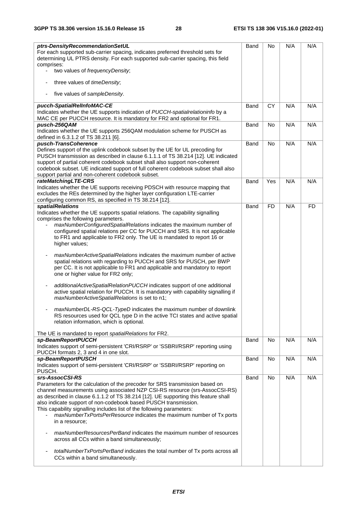| ptrs-DensityRecommendationSetUL                                                                                          | Band | No        | N/A | N/A       |
|--------------------------------------------------------------------------------------------------------------------------|------|-----------|-----|-----------|
| For each supported sub-carrier spacing, indicates preferred threshold sets for                                           |      |           |     |           |
| determining UL PTRS density. For each supported sub-carrier spacing, this field                                          |      |           |     |           |
| comprises:                                                                                                               |      |           |     |           |
| two values of frequencyDensity;                                                                                          |      |           |     |           |
| three values of timeDensity;<br>$\overline{\phantom{a}}$                                                                 |      |           |     |           |
| five values of sampleDensity.<br>$\overline{\phantom{a}}$                                                                |      |           |     |           |
| pucch-SpatialRelInfoMAC-CE                                                                                               | Band | <b>CY</b> | N/A | N/A       |
| Indicates whether the UE supports indication of PUCCH-spatial relationinfo by a                                          |      |           |     |           |
| MAC CE per PUCCH resource. It is mandatory for FR2 and optional for FR1.                                                 |      |           |     |           |
| pusch-256QAM                                                                                                             | Band | No        | N/A | N/A       |
| Indicates whether the UE supports 256QAM modulation scheme for PUSCH as                                                  |      |           |     |           |
| defined in 6.3.1.2 of TS 38.211 [6].                                                                                     |      |           |     |           |
| pusch-TransCoherence                                                                                                     | Band | <b>No</b> | N/A | N/A       |
| Defines support of the uplink codebook subset by the UE for UL precoding for                                             |      |           |     |           |
| PUSCH transmission as described in clause 6.1.1.1 of TS 38.214 [12]. UE indicated                                        |      |           |     |           |
| support of partial coherent codebook subset shall also support non-coherent                                              |      |           |     |           |
| codebook subset. UE indicated support of full coherent codebook subset shall also                                        |      |           |     |           |
| support partial and non-coherent codebook subset.                                                                        |      |           |     |           |
| rateMatchingLTE-CRS                                                                                                      | Band | Yes       | N/A | N/A       |
| Indicates whether the UE supports receiving PDSCH with resource mapping that                                             |      |           |     |           |
| excludes the REs determined by the higher layer configuration LTE-carrier                                                |      |           |     |           |
| configuring common RS, as specified in TS 38.214 [12].                                                                   |      |           |     |           |
| <b>spatialRelations</b>                                                                                                  | Band | <b>FD</b> | N/A | <b>FD</b> |
| Indicates whether the UE supports spatial relations. The capability signalling                                           |      |           |     |           |
| comprises the following parameters.                                                                                      |      |           |     |           |
| maxNumberConfiguredSpatialRelations indicates the maximum number of                                                      |      |           |     |           |
| configured spatial relations per CC for PUCCH and SRS. It is not applicable                                              |      |           |     |           |
| to FR1 and applicable to FR2 only. The UE is mandated to report 16 or                                                    |      |           |     |           |
| higher values;                                                                                                           |      |           |     |           |
|                                                                                                                          |      |           |     |           |
| maxNumberActiveSpatialRelations indicates the maximum number of active<br>$\qquad \qquad \blacksquare$                   |      |           |     |           |
| spatial relations with regarding to PUCCH and SRS for PUSCH, per BWP                                                     |      |           |     |           |
| per CC. It is not applicable to FR1 and applicable and mandatory to report                                               |      |           |     |           |
| one or higher value for FR2 only;                                                                                        |      |           |     |           |
|                                                                                                                          |      |           |     |           |
| additionalActiveSpatialRelationPUCCH indicates support of one additional<br>$\overline{\phantom{a}}$                     |      |           |     |           |
| active spatial relation for PUCCH. It is mandatory with capability signalling if                                         |      |           |     |           |
| maxNumberActiveSpatialRelations is set to n1;                                                                            |      |           |     |           |
|                                                                                                                          |      |           |     |           |
| maxNumberDL-RS-QCL-TypeD indicates the maximum number of downlink                                                        |      |           |     |           |
| RS resources used for QCL type D in the active TCI states and active spatial                                             |      |           |     |           |
| relation information, which is optional.                                                                                 |      |           |     |           |
|                                                                                                                          |      |           |     |           |
| The UE is mandated to report spatialRelations for FR2.                                                                   |      |           |     |           |
| sp-BeamReportPUCCH                                                                                                       | Band | No        | N/A | N/A       |
| Indicates support of semi-persistent 'CRI/RSRP' or 'SSBRI/RSRP' reporting using<br>PUCCH formats 2, 3 and 4 in one slot. |      |           |     |           |
| sp-BeamReportPUSCH                                                                                                       | Band | No        | N/A | N/A       |
| Indicates support of semi-persistent 'CRI/RSRP' or 'SSBRI/RSRP' reporting on                                             |      |           |     |           |
| PUSCH.                                                                                                                   |      |           |     |           |
| srs-AssocCSI-RS                                                                                                          | Band | No        | N/A | N/A       |
| Parameters for the calculation of the precoder for SRS transmission based on                                             |      |           |     |           |
| channel measurements using associated NZP CSI-RS resource (srs-AssocCSI-RS)                                              |      |           |     |           |
| as described in clause 6.1.1.2 of TS 38.214 [12]. UE supporting this feature shall                                       |      |           |     |           |
| also indicate support of non-codebook based PUSCH transmission.                                                          |      |           |     |           |
| This capability signalling includes list of the following parameters:                                                    |      |           |     |           |
| maxNumberTxPortsPerResource indicates the maximum number of Tx ports                                                     |      |           |     |           |
| in a resource;                                                                                                           |      |           |     |           |
|                                                                                                                          |      |           |     |           |
| maxNumberResourcesPerBand indicates the maximum number of resources                                                      |      |           |     |           |
| across all CCs within a band simultaneously;                                                                             |      |           |     |           |
|                                                                                                                          |      |           |     |           |
| totalNumberTxPortsPerBand indicates the total number of Tx ports across all                                              |      |           |     |           |
| CCs within a band simultaneously.                                                                                        |      |           |     |           |
|                                                                                                                          |      |           |     |           |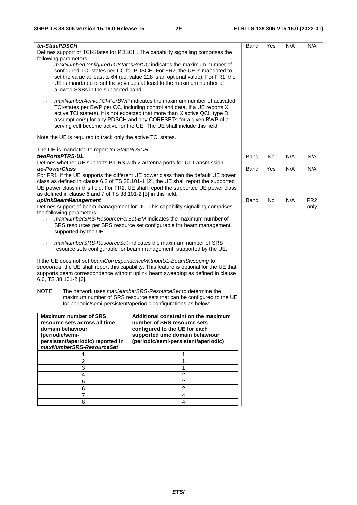| tci-StatePDSCH                                                     |                                                                                          | Band | Yes       | N/A | N/A             |
|--------------------------------------------------------------------|------------------------------------------------------------------------------------------|------|-----------|-----|-----------------|
|                                                                    | Defines support of TCI-States for PDSCH. The capability signalling comprises the         |      |           |     |                 |
| following parameters:                                              |                                                                                          |      |           |     |                 |
| $\overline{\phantom{a}}$                                           | maxNumberConfiguredTCIstatesPerCC indicates the maximum number of                        |      |           |     |                 |
|                                                                    | configured TCI-states per CC for PDSCH. For FR2, the UE is mandated to                   |      |           |     |                 |
|                                                                    | set the value at least to 64 (i.e. value 128 is an optional value). For FR1, the         |      |           |     |                 |
|                                                                    | UE is mandated to set these values at least to the maximum number of                     |      |           |     |                 |
| allowed SSBs in the supported band;                                |                                                                                          |      |           |     |                 |
|                                                                    |                                                                                          |      |           |     |                 |
|                                                                    | maxNumberActiveTCI-PerBWP indicates the maximum number of activated                      |      |           |     |                 |
|                                                                    | TCI-states per BWP per CC, including control and data. If a UE reports X                 |      |           |     |                 |
|                                                                    | active TCI state(s), it is not expected that more than X active QCL type D               |      |           |     |                 |
|                                                                    | assumption(s) for any PDSCH and any CORESETs for a given BWP of a                        |      |           |     |                 |
|                                                                    | serving cell become active for the UE. The UE shall include this field.                  |      |           |     |                 |
|                                                                    |                                                                                          |      |           |     |                 |
| Note the UE is required to track only the active TCI states.       |                                                                                          |      |           |     |                 |
|                                                                    |                                                                                          |      |           |     |                 |
| The UE is mandated to report tci-StatePDSCH.                       |                                                                                          |      |           |     |                 |
| twoPortsPTRS-UL                                                    |                                                                                          | Band | <b>No</b> | N/A | N/A             |
|                                                                    | Defines whether UE supports PT-RS with 2 antenna ports for UL transmission.              |      |           |     |                 |
| ue-PowerClass                                                      |                                                                                          | Band | Yes       | N/A | N/A             |
|                                                                    | For FR1, if the UE supports the different UE power class than the default UE power       |      |           |     |                 |
|                                                                    | class as defined in clause 6.2 of TS 38.101-1 [2], the UE shall report the supported     |      |           |     |                 |
|                                                                    | UE power class in this field. For FR2, UE shall report the supported UE power class      |      |           |     |                 |
| as defined in clause 6 and 7 of TS 38.101-2 [3] in this field.     |                                                                                          |      |           |     |                 |
| uplinkBeamManagement                                               |                                                                                          | Band | <b>No</b> | N/A | FR <sub>2</sub> |
|                                                                    | Defines support of beam management for UL. This capability signalling comprises          |      |           |     | only            |
| the following parameters:                                          |                                                                                          |      |           |     |                 |
|                                                                    | maxNumberSRS-ResourcePerSet-BM indicates the maximum number of                           |      |           |     |                 |
|                                                                    | SRS resources per SRS resource set configurable for beam management,                     |      |           |     |                 |
| supported by the UE.                                               |                                                                                          |      |           |     |                 |
|                                                                    | maxNumberSRS-ResourceSet indicates the maximum number of SRS                             |      |           |     |                 |
|                                                                    | resource sets configurable for beam management, supported by the UE.                     |      |           |     |                 |
|                                                                    |                                                                                          |      |           |     |                 |
| If the UE does not set beamCorrespondenceWithoutUL-BeamSweeping to |                                                                                          |      |           |     |                 |
|                                                                    | supported, the UE shall report this capability. This feature is optional for the UE that |      |           |     |                 |
|                                                                    | supports beam correspondence without uplink beam sweeping as defined in clause           |      |           |     |                 |
| 6.6, TS 38.101-2 [3].                                              |                                                                                          |      |           |     |                 |
|                                                                    |                                                                                          |      |           |     |                 |
| NOTE:                                                              | The network uses maxNumberSRS-ResourceSet to determine the                               |      |           |     |                 |
|                                                                    | maximum number of SRS resource sets that can be configured to the UE                     |      |           |     |                 |
|                                                                    | for periodic/semi-persistent/aperiodic configurations as below:                          |      |           |     |                 |
|                                                                    |                                                                                          |      |           |     |                 |
| <b>Maximum number of SRS</b>                                       | Additional constraint on the maximum                                                     |      |           |     |                 |
| resource sets across all time                                      | number of SRS resource sets                                                              |      |           |     |                 |
| domain behaviour                                                   | configured to the UE for each                                                            |      |           |     |                 |
| (periodic/semi-                                                    | supported time domain behaviour                                                          |      |           |     |                 |
| persistent/aperiodic) reported in                                  | (periodic/semi-persistent/aperiodic)                                                     |      |           |     |                 |
| maxNumberSRS-ResourceSet                                           |                                                                                          |      |           |     |                 |
|                                                                    | 1                                                                                        |      |           |     |                 |
| 2                                                                  | 1                                                                                        |      |           |     |                 |
| 3                                                                  | $\mathbf{1}$                                                                             |      |           |     |                 |
| 4                                                                  | $\overline{c}$                                                                           |      |           |     |                 |
| 5                                                                  | $\overline{2}$                                                                           |      |           |     |                 |
| 6                                                                  | $\overline{a}$                                                                           |      |           |     |                 |
| 7                                                                  | 4                                                                                        |      |           |     |                 |
| 8                                                                  | 4                                                                                        |      |           |     |                 |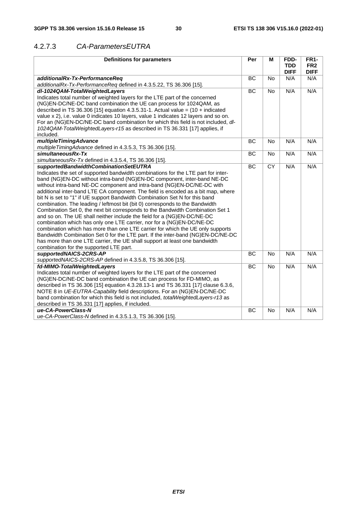#### 4.2.7.3 *CA-ParametersEUTRA*

| <b>Definitions for parameters</b>                                                         | Per       | M         | FDD-<br><b>TDD</b> | <b>FR1-</b><br>FR <sub>2</sub> |
|-------------------------------------------------------------------------------------------|-----------|-----------|--------------------|--------------------------------|
|                                                                                           |           |           | <b>DIFF</b>        | <b>DIFF</b>                    |
| additionalRx-Tx-PerformanceReq                                                            | <b>BC</b> | <b>No</b> | N/A                | N/A                            |
| additionalRx-Tx-PerformanceReq defined in 4.3.5.22, TS 36.306 [15].                       |           |           |                    |                                |
| dl-1024QAM-TotalWeightedLayers                                                            | <b>BC</b> | <b>No</b> | N/A                | N/A                            |
| Indicates total number of weighted layers for the LTE part of the concerned               |           |           |                    |                                |
| (NG)EN-DC/NE-DC band combination the UE can process for 1024QAM, as                       |           |           |                    |                                |
| described in TS 36.306 [15] equation 4.3.5.31-1. Actual value = $(10 + \text{indicated})$ |           |           |                    |                                |
| value x 2), i.e. value 0 indicates 10 layers, value 1 indicates 12 layers and so on.      |           |           |                    |                                |
| For an (NG)EN-DC/NE-DC band combination for which this field is not included, dl-         |           |           |                    |                                |
| 1024QAM-TotalWeightedLayers-r15 as described in TS 36.331 [17] applies, if                |           |           |                    |                                |
| included.                                                                                 |           |           |                    |                                |
| multipleTimingAdvance                                                                     | BC        | <b>No</b> | N/A                | N/A                            |
| multipleTimingAdvance defined in 4.3.5.3, TS 36.306 [15].                                 |           |           |                    |                                |
| simultaneousRx-Tx                                                                         | BC        | <b>No</b> | N/A                | N/A                            |
| simultaneousRx-Tx defined in 4.3.5.4, TS 36.306 [15].                                     |           |           |                    |                                |
| supportedBandwidthCombinationSetEUTRA                                                     | BC        | <b>CY</b> | N/A                | N/A                            |
| Indicates the set of supported bandwidth combinations for the LTE part for inter-         |           |           |                    |                                |
| band (NG)EN-DC without intra-band (NG)EN-DC component, inter-band NE-DC                   |           |           |                    |                                |
| without intra-band NE-DC component and intra-band (NG)EN-DC/NE-DC with                    |           |           |                    |                                |
| additional inter-band LTE CA component. The field is encoded as a bit map, where          |           |           |                    |                                |
| bit N is set to "1" if UE support Bandwidth Combination Set N for this band               |           |           |                    |                                |
| combination. The leading / leftmost bit (bit 0) corresponds to the Bandwidth              |           |           |                    |                                |
| Combination Set 0, the next bit corresponds to the Bandwidth Combination Set 1            |           |           |                    |                                |
| and so on. The UE shall neither include the field for a (NG)EN-DC/NE-DC                   |           |           |                    |                                |
| combination which has only one LTE carrier, nor for a (NG)EN-DC/NE-DC                     |           |           |                    |                                |
| combination which has more than one LTE carrier for which the UE only supports            |           |           |                    |                                |
| Bandwidth Combination Set 0 for the LTE part. If the inter-band (NG)EN-DC/NE-DC           |           |           |                    |                                |
| has more than one LTE carrier, the UE shall support at least one bandwidth                |           |           |                    |                                |
| combination for the supported LTE part.                                                   |           |           |                    |                                |
| supportedNAICS-2CRS-AP                                                                    | BC        | <b>No</b> | N/A                | N/A                            |
| supportedNAICS-2CRS-AP defined in 4.3.5.8, TS 36.306 [15].                                |           |           |                    |                                |
| fd-MIMO-TotalWeightedLayers                                                               | BC        | <b>No</b> | N/A                | N/A                            |
| Indicates total number of weighted layers for the LTE part of the concerned               |           |           |                    |                                |
| (NG)EN-DC/NE-DC band combination the UE can process for FD-MIMO, as                       |           |           |                    |                                |
| described in TS 36.306 [15] equation 4.3.28.13-1 and TS 36.331 [17] clause 6.3.6,         |           |           |                    |                                |
| NOTE 8 in UE-EUTRA-Capability field descriptions. For an (NG)EN-DC/NE-DC                  |           |           |                    |                                |
| band combination for which this field is not included, <i>totalWeightedLayers-r13</i> as  |           |           |                    |                                |
| described in TS 36.331 [17] applies, if included.                                         |           |           |                    |                                |
| ue-CA-PowerClass-N                                                                        | ВC        | No        | N/A                | N/A                            |
| ue-CA-PowerClass-N defined in 4.3.5.1.3, TS 36.306 [15].                                  |           |           |                    |                                |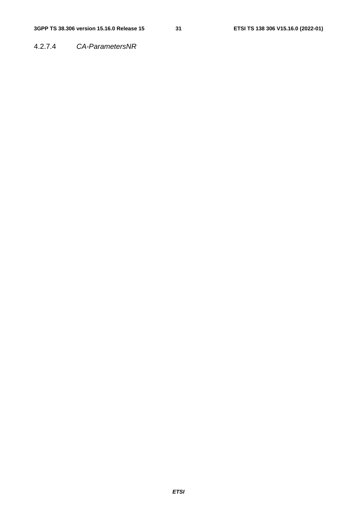4.2.7.4 *CA-ParametersNR*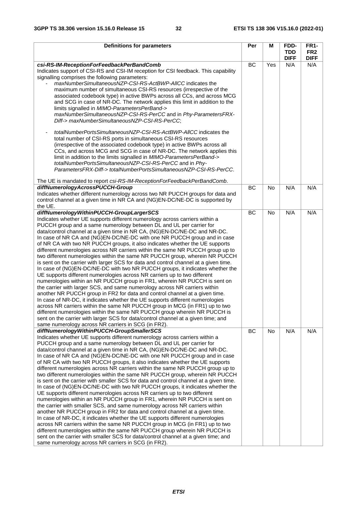| <b>Definitions for parameters</b>                                                                                                                                                                                                                                                                                                                                                                                                                                                                                                                                                                                                                                                                                                                                                                                                                                                                                                                                                                                                                                                                                                                                                                                                                                                                                                                                                                                                                                                                     | Per       | М         | FDD-                      | <b>FR1-</b>                    |
|-------------------------------------------------------------------------------------------------------------------------------------------------------------------------------------------------------------------------------------------------------------------------------------------------------------------------------------------------------------------------------------------------------------------------------------------------------------------------------------------------------------------------------------------------------------------------------------------------------------------------------------------------------------------------------------------------------------------------------------------------------------------------------------------------------------------------------------------------------------------------------------------------------------------------------------------------------------------------------------------------------------------------------------------------------------------------------------------------------------------------------------------------------------------------------------------------------------------------------------------------------------------------------------------------------------------------------------------------------------------------------------------------------------------------------------------------------------------------------------------------------|-----------|-----------|---------------------------|--------------------------------|
|                                                                                                                                                                                                                                                                                                                                                                                                                                                                                                                                                                                                                                                                                                                                                                                                                                                                                                                                                                                                                                                                                                                                                                                                                                                                                                                                                                                                                                                                                                       |           |           | <b>TDD</b><br><b>DIFF</b> | FR <sub>2</sub><br><b>DIFF</b> |
| csi-RS-IM-ReceptionForFeedbackPerBandComb<br>Indicates support of CSI-RS and CSI-IM reception for CSI feedback. This capability<br>signalling comprises the following parameters:<br>maxNumberSimultaneousNZP-CSI-RS-ActBWP-AIICC indicates the<br>maximum number of simultaneous CSI-RS resources (irrespective of the<br>associated codebook type) in active BWPs across all CCs, and across MCG<br>and SCG in case of NR-DC. The network applies this limit in addition to the<br>limits signalled in MIMO-ParametersPerBand-><br>maxNumberSimultaneousNZP-CSI-RS-PerCC and in Phy-ParametersFRX-<br>Diff-> maxNumberSimultaneousNZP-CSI-RS-PerCC;<br>totalNumberPortsSimultaneousNZP-CSI-RS-ActBWP-AllCC indicates the<br>total number of CSI-RS ports in simultaneous CSI-RS resources<br>(irrespective of the associated codebook type) in active BWPs across all<br>CCs, and across MCG and SCG in case of NR-DC. The network applies this<br>limit in addition to the limits signalled in MIMO-ParametersPerBand-><br>totalNumberPortsSimultaneousNZP-CSI-RS-PerCC and in Phy-<br>ParametersFRX-Diff-> totalNumberPortsSimultaneousNZP-CSI-RS-PerCC.                                                                                                                                                                                                                                                                                                                                          | <b>BC</b> | Yes       | N/A                       | N/A                            |
| The UE is mandated to report csi-RS-IM-ReceptionForFeedbackPerBandComb.<br>diffNumerologyAcrossPUCCH-Group<br>Indicates whether different numerology across two NR PUCCH groups for data and<br>control channel at a given time in NR CA and (NG)EN-DC/NE-DC is supported by<br>the UE.                                                                                                                                                                                                                                                                                                                                                                                                                                                                                                                                                                                                                                                                                                                                                                                                                                                                                                                                                                                                                                                                                                                                                                                                               | BC        | <b>No</b> | N/A                       | N/A                            |
| diffNumerologyWithinPUCCH-GroupLargerSCS<br>Indicates whether UE supports different numerology across carriers within a<br>PUCCH group and a same numerology between DL and UL per carrier for<br>data/control channel at a given time in NR CA, (NG)EN-DC/NE-DC and NR-DC.<br>In case of NR CA and (NG)EN-DC/NE-DC with one NR PUCCH group and in case<br>of NR CA with two NR PUCCH groups, it also indicates whether the UE supports<br>different numerologies across NR carriers within the same NR PUCCH group up to<br>two different numerologies within the same NR PUCCH group, wherein NR PUCCH<br>is sent on the carrier with larger SCS for data and control channel at a given time.<br>In case of (NG)EN-DC/NE-DC with two NR PUCCH groups, it indicates whether the<br>UE supports different numerologies across NR carriers up to two different<br>numerologies within an NR PUCCH group in FR1, wherein NR PUCCH is sent on<br>the carrier with larger SCS, and same numerology across NR carriers within<br>another NR PUCCH group in FR2 for data and control channel at a given time.<br>In case of NR-DC, it indicates whether the UE supports different numerologies<br>across NR carriers within the same NR PUCCH group in MCG (in FR1) up to two<br>different numerologies within the same NR PUCCH group wherein NR PUCCH is<br>sent on the carrier with larger SCS for data/control channel at a given time; and<br>same numerology across NR carriers in SCG (in FR2).     | BC        | <b>No</b> | N/A                       | N/A                            |
| diffNumerologyWithinPUCCH-GroupSmallerSCS<br>Indicates whether UE supports different numerology across carriers within a<br>PUCCH group and a same numerology between DL and UL per carrier for<br>data/control channel at a given time in NR CA, (NG)EN-DC/NE-DC and NR-DC.<br>In case of NR CA and (NG)EN-DC/NE-DC with one NR PUCCH group and in case<br>of NR CA with two NR PUCCH groups, it also indicates whether the UE supports<br>different numerologies across NR carriers within the same NR PUCCH group up to<br>two different numerologies within the same NR PUCCH group, wherein NR PUCCH<br>is sent on the carrier with smaller SCS for data and control channel at a given time.<br>In case of (NG)EN-DC/NE-DC with two NR PUCCH groups, it indicates whether the<br>UE supports different numerologies across NR carriers up to two different<br>numerologies within an NR PUCCH group in FR1, wherein NR PUCCH is sent on<br>the carrier with smaller SCS, and same numerology across NR carriers within<br>another NR PUCCH group in FR2 for data and control channel at a given time.<br>In case of NR-DC, it indicates whether the UE supports different numerologies<br>across NR carriers within the same NR PUCCH group in MCG (in FR1) up to two<br>different numerologies within the same NR PUCCH group wherein NR PUCCH is<br>sent on the carrier with smaller SCS for data/control channel at a given time; and<br>same numerology across NR carriers in SCG (in FR2). | <b>BC</b> | <b>No</b> | N/A                       | N/A                            |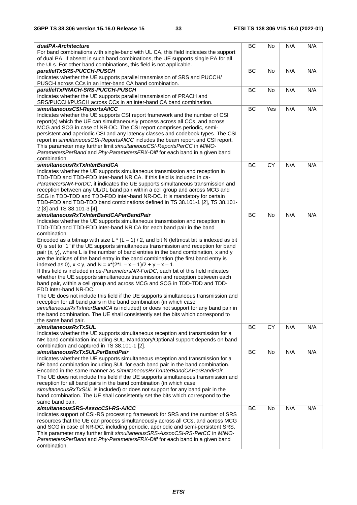| dualPA-Architecture<br>For band combinations with single-band with UL CA, this field indicates the support                                                        | BC        | No  | N/A | N/A |
|-------------------------------------------------------------------------------------------------------------------------------------------------------------------|-----------|-----|-----|-----|
| of dual PA. If absent in such band combinations, the UE supports single PA for all<br>the ULs. For other band combinations, this field is not applicable.         |           |     |     |     |
| parallelTxSRS-PUCCH-PUSCH                                                                                                                                         | BC        | No  | N/A | N/A |
| Indicates whether the UE supports parallel transmission of SRS and PUCCH/<br>PUSCH across CCs in an inter-band CA band combination.                               |           |     |     |     |
| parallelTxPRACH-SRS-PUCCH-PUSCH                                                                                                                                   | BC        | No  | N/A | N/A |
| Indicates whether the UE supports parallel transmission of PRACH and<br>SRS/PUCCH/PUSCH across CCs in an inter-band CA band combination.                          |           |     |     |     |
| simultaneousCSI-ReportsAIICC                                                                                                                                      | BC        | Yes | N/A | N/A |
| Indicates whether the UE supports CSI report framework and the number of CSI                                                                                      |           |     |     |     |
| report(s) which the UE can simultaneously process across all CCs, and across                                                                                      |           |     |     |     |
| MCG and SCG in case of NR-DC. The CSI report comprises periodic, semi-<br>persistent and aperiodic CSI and any latency classes and codebook types. The CSI        |           |     |     |     |
| report in simultaneousCSI-ReportsAIICC includes the beam report and CSI report.                                                                                   |           |     |     |     |
| This parameter may further limit simultaneousCSI-ReportsPerCC in MIMO-                                                                                            |           |     |     |     |
| ParametersPerBand and Phy-ParametersFRX-Diff for each band in a given band                                                                                        |           |     |     |     |
| combination.                                                                                                                                                      |           |     |     |     |
| simultaneousRxTxInterBandCA                                                                                                                                       | BC        | CY  | N/A | N/A |
| Indicates whether the UE supports simultaneous transmission and reception in                                                                                      |           |     |     |     |
| TDD-TDD and TDD-FDD inter-band NR CA. If this field is included in ca-                                                                                            |           |     |     |     |
| ParametersNR-ForDC, it indicates the UE supports simultaneous transmission and<br>reception between any UL/DL band pair within a cell group and across MCG and    |           |     |     |     |
| SCG in TDD-TDD and TDD-FDD inter-band NR-DC. It is mandatory for certain                                                                                          |           |     |     |     |
| TDD-FDD and TDD-TDD band combinations defined in TS 38.101-1 [2], TS 38.101-                                                                                      |           |     |     |     |
| 2 [3] and TS 38.101-3 [4].                                                                                                                                        |           |     |     |     |
| simultaneousRxTxInterBandCAPerBandPair                                                                                                                            | BC        | No  | N/A | N/A |
| Indicates whether the UE supports simultaneous transmission and reception in                                                                                      |           |     |     |     |
| TDD-TDD and TDD-FDD inter-band NR CA for each band pair in the band                                                                                               |           |     |     |     |
| combination.<br>Encoded as a bitmap with size L $*(L-1)/2$ , and bit N (leftmost bit is indexed as bit                                                            |           |     |     |     |
| 0) is set to "1" if the UE supports simultaneous transmission and reception for band                                                                              |           |     |     |     |
| pair (x, y), where L is the number of band entries in the band combination, x and y                                                                               |           |     |     |     |
| are the indices of the band entry in the band combination (the first band entry is                                                                                |           |     |     |     |
| indexed as 0), $x < y$ , and $N = x*(2^*L - x - 1)/2 + y - x - 1$ .                                                                                               |           |     |     |     |
| If this field is included in ca-ParametersNR-ForDC, each bit of this field indicates                                                                              |           |     |     |     |
| whether the UE supports simultaneous transmission and reception between each                                                                                      |           |     |     |     |
| band pair, within a cell group and across MCG and SCG in TDD-TDD and TDD-<br>FDD inter-band NR-DC.                                                                |           |     |     |     |
| The UE does not include this field if the UE supports simultaneous transmission and                                                                               |           |     |     |     |
| reception for all band pairs in the band combination (in which case                                                                                               |           |     |     |     |
| simultaneousRxTxInterBandCA is included) or does not support for any band pair in                                                                                 |           |     |     |     |
| the band combination. The UE shall consistently set the bits which correspond to                                                                                  |           |     |     |     |
| the same band pair.                                                                                                                                               |           |     |     |     |
| simultaneousRxTxSUL<br>Indicates whether the UE supports simultaneous reception and transmission for a                                                            | BC        | CY  | N/A | N/A |
| NR band combination including SUL. Mandatory/Optional support depends on band                                                                                     |           |     |     |     |
| combination and captured in TS 38.101-1 [2].                                                                                                                      |           |     |     |     |
| simultaneousRxTxSULPerBandPair                                                                                                                                    | <b>BC</b> | No  | N/A | N/A |
| Indicates whether the UE supports simultaneous reception and transmission for a                                                                                   |           |     |     |     |
| NR band combination including SUL for each band pair in the band combination.                                                                                     |           |     |     |     |
| Encoded in the same manner as simultaneous RxTxInterBandCAPerBandPair.<br>The UE does not include this field if the UE supports simultaneous transmission and     |           |     |     |     |
| reception for all band pairs in the band combination (in which case                                                                                               |           |     |     |     |
| simultaneousRxTxSUL is included) or does not support for any band pair in the                                                                                     |           |     |     |     |
| band combination. The UE shall consistently set the bits which correspond to the                                                                                  |           |     |     |     |
| same band pair.                                                                                                                                                   |           |     |     |     |
| simultaneousSRS-AssocCSI-RS-AIICC                                                                                                                                 | BC        | No  | N/A | N/A |
| Indicates support of CSI-RS processing framework for SRS and the number of SRS<br>resources that the UE can process simultaneously across all CCs, and across MCG |           |     |     |     |
| and SCG in case of NR-DC, including periodic, aperiodic and semi-persistent SRS.                                                                                  |           |     |     |     |
| This parameter may further limit simultaneous SRS-AssocCSI-RS-PerCC in MIMO-                                                                                      |           |     |     |     |
| ParametersPerBand and Phy-ParametersFRX-Diff for each band in a given band                                                                                        |           |     |     |     |
| combination.                                                                                                                                                      |           |     |     |     |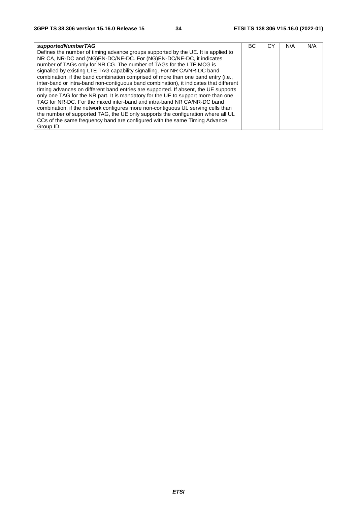| supportedNumberTAG                                                                     | ВC | СY | N/A | N/A |
|----------------------------------------------------------------------------------------|----|----|-----|-----|
| Defines the number of timing advance groups supported by the UE. It is applied to      |    |    |     |     |
| NR CA, NR-DC and (NG)EN-DC/NE-DC. For (NG)EN-DC/NE-DC, it indicates                    |    |    |     |     |
| number of TAGs only for NR CG. The number of TAGs for the LTE MCG is                   |    |    |     |     |
| signalled by existing LTE TAG capability signalling. For NR CA/NR-DC band              |    |    |     |     |
| combination, if the band combination comprised of more than one band entry (i.e.,      |    |    |     |     |
| inter-band or intra-band non-contiguous band combination), it indicates that different |    |    |     |     |
| timing advances on different band entries are supported. If absent, the UE supports    |    |    |     |     |
| only one TAG for the NR part. It is mandatory for the UE to support more than one      |    |    |     |     |
| TAG for NR-DC. For the mixed inter-band and intra-band NR CA/NR-DC band                |    |    |     |     |
| combination, if the network configures more non-contiguous UL serving cells than       |    |    |     |     |
| the number of supported TAG, the UE only supports the configuration where all UL       |    |    |     |     |
| CCs of the same frequency band are configured with the same Timing Advance             |    |    |     |     |
| Group ID.                                                                              |    |    |     |     |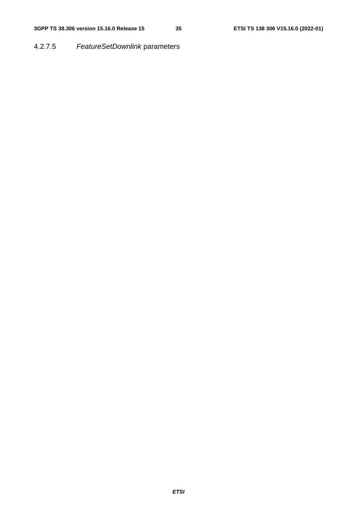#### 4.2.7.5 *FeatureSetDownlink* parameters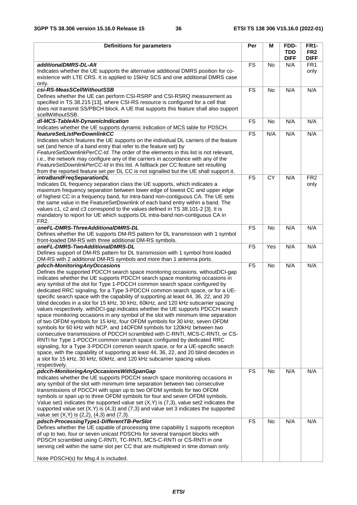| <b>Definitions for parameters</b>                                                                                                                                         | Per       | M         | FDD-                      | <b>FR1-</b>                    |
|---------------------------------------------------------------------------------------------------------------------------------------------------------------------------|-----------|-----------|---------------------------|--------------------------------|
|                                                                                                                                                                           |           |           | <b>TDD</b><br><b>DIFF</b> | FR <sub>2</sub><br><b>DIFF</b> |
| additionalDMRS-DL-Alt                                                                                                                                                     | <b>FS</b> | No        | N/A                       | FR <sub>1</sub>                |
| Indicates whether the UE supports the alternative additional DMRS position for co-<br>existence with LTE CRS. It is applied to 15kHz SCS and one additional DMRS case     |           |           |                           | only                           |
| only.                                                                                                                                                                     |           |           |                           |                                |
| csi-RS-MeasSCellWithoutSSB<br>Defines whether the UE can perform CSI-RSRP and CSI-RSRQ measurement as                                                                     | <b>FS</b> | <b>No</b> | N/A                       | N/A                            |
| specified in TS 38.215 [13], where CSI-RS resource is configured for a cell that                                                                                          |           |           |                           |                                |
| does not transmit SS/PBCH block. A UE that supports this feature shall also support                                                                                       |           |           |                           |                                |
| scellWithoutSSB.                                                                                                                                                          |           |           |                           |                                |
| dl-MCS-TableAlt-DynamicIndication                                                                                                                                         | <b>FS</b> | No        | N/A                       | N/A                            |
| Indicates whether the UE supports dynamic indication of MCS table for PDSCH.<br>featureSetListPerDownlinkCC                                                               | <b>FS</b> | N/A       | N/A                       | N/A                            |
| Indicates which features the UE supports on the individual DL carriers of the feature                                                                                     |           |           |                           |                                |
| set (and hence of a band entry that refer to the feature set) by                                                                                                          |           |           |                           |                                |
| FeatureSetDownlinkPerCC-Id. The order of the elements in this list is not relevant,                                                                                       |           |           |                           |                                |
| i.e., the network may configure any of the carriers in accordance with any of the                                                                                         |           |           |                           |                                |
| FeatureSetDownlinkPerCC-Id in this list. A fallback per CC feature set resulting<br>from the reported feature set per DL CC is not signalled but the UE shall support it. |           |           |                           |                                |
| intraBandFreqSeparationDL                                                                                                                                                 | <b>FS</b> | CY        | N/A                       | FR <sub>2</sub>                |
| Indicates DL frequency separation class the UE supports, which indicates a                                                                                                |           |           |                           | only                           |
| maximum frequency separation between lower edge of lowest CC and upper edge                                                                                               |           |           |                           |                                |
| of highest CC in a frequency band, for intra-band non-contiguous CA. The UE sets                                                                                          |           |           |                           |                                |
| the same value in the FeatureSetDownlink of each band entry within a band. The<br>values c1, c2 and c3 correspond to the values defined in TS 38.101-2 [3]. It is         |           |           |                           |                                |
| mandatory to report for UE which supports DL intra-band non-contiguous CA in                                                                                              |           |           |                           |                                |
| FR <sub>2</sub> .                                                                                                                                                         |           |           |                           |                                |
| oneFL-DMRS-ThreeAdditionalDMRS-DL                                                                                                                                         | <b>FS</b> | No        | N/A                       | N/A                            |
| Defines whether the UE supports DM-RS pattern for DL transmission with 1 symbol                                                                                           |           |           |                           |                                |
| front-loaded DM-RS with three additional DM-RS symbols.<br>oneFL-DMRS-TwoAdditionalDMRS-DL                                                                                | <b>FS</b> | Yes       | N/A                       | N/A                            |
| Defines support of DM-RS pattern for DL transmission with 1 symbol front-loaded                                                                                           |           |           |                           |                                |
| DM-RS with 2 additional DM-RS symbols and more than 1 antenna ports.                                                                                                      |           |           |                           |                                |
| pdcch-MonitoringAnyOccasions                                                                                                                                              | <b>FS</b> | No        | N/A                       | N/A                            |
| Defines the supported PDCCH search space monitoring occasions. withoutDCI-gap                                                                                             |           |           |                           |                                |
| indicates whether the UE supports PDCCH search space monitoring occasions in<br>any symbol of the slot for Type 1-PDCCH common search space configured by                 |           |           |                           |                                |
| dedicated RRC signaling, for a Type 3-PDCCH common search space, or for a UE-                                                                                             |           |           |                           |                                |
| specific search space with the capability of supporting at least 44, 36, 22, and 20                                                                                       |           |           |                           |                                |
| blind decodes in a slot for 15 kHz, 30 kHz, 60kHz, and 120 kHz subcarrier spacing                                                                                         |           |           |                           |                                |
| values respectively. withDCI-gap indicates whether the UE supports PDCCH search                                                                                           |           |           |                           |                                |
| space monitoring occasions in any symbol of the slot with minimum time separation<br>of two OFDM symbols for 15 kHz, four OFDM symbols for 30 kHz, seven OFDM             |           |           |                           |                                |
| symbols for 60 kHz with NCP, and 14OFDM symbols for 120kHz between two                                                                                                    |           |           |                           |                                |
| consecutive transmissions of PDCCH scrambled with C-RNTI, MCS-C-RNTI, or CS-                                                                                              |           |           |                           |                                |
| RNTI for Type 1-PDCCH common search space configured by dedicated RRC                                                                                                     |           |           |                           |                                |
| signaling, for a Type 3-PDCCH common search space, or for a UE-specific search<br>space, with the capability of supporting at least 44, 36, 22, and 20 blind decodes in   |           |           |                           |                                |
| a slot for 15 kHz, 30 kHz, 60kHz, and 120 kHz subcarrier spacing values                                                                                                   |           |           |                           |                                |
| respectively.                                                                                                                                                             |           |           |                           |                                |
| pdcch-MonitoringAnyOccasionsWithSpanGap                                                                                                                                   | <b>FS</b> | No        | N/A                       | N/A                            |
| Indicates whether the UE supports PDCCH search space monitoring occasions in                                                                                              |           |           |                           |                                |
| any symbol of the slot with minimum time separation between two consecutive<br>transmissions of PDCCH with span up to two OFDM symbols for two OFDM                       |           |           |                           |                                |
| symbols or span up to three OFDM symbols for four and seven OFDM symbols.                                                                                                 |           |           |                           |                                |
| Value set1 indicates the supported value set $(X, Y)$ is $(7, 3)$ , value set2 indicates the                                                                              |           |           |                           |                                |
| supported value set $(X,Y)$ is $(4,3)$ and $(7,3)$ and value set 3 indicates the supported                                                                                |           |           |                           |                                |
| value set $(X,Y)$ is $(2,2)$ , $(4,3)$ and $(7,3)$ .<br>pdsch-ProcessingType1-DifferentTB-PerSlot                                                                         | <b>FS</b> |           | N/A                       | N/A                            |
| Defines whether the UE capable of processing time capability 1 supports reception                                                                                         |           | No        |                           |                                |
| of up to two, four or seven unicast PDSCHs for several transport blocks with                                                                                              |           |           |                           |                                |
| PDSCH scrambled using C-RNTI, TC-RNTI, MCS-C-RNTI or CS-RNTI in one                                                                                                       |           |           |                           |                                |
| serving cell within the same slot per CC that are multiplexed in time domain only.                                                                                        |           |           |                           |                                |
| Note PDSCH(s) for Msg.4 is included.                                                                                                                                      |           |           |                           |                                |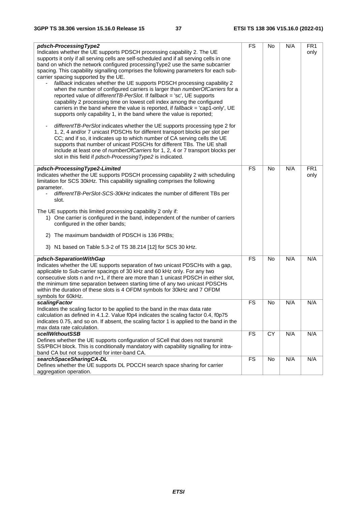| pdsch-ProcessingType2                                                                                   | <b>FS</b> | <b>No</b> | N/A | FR <sub>1</sub> |
|---------------------------------------------------------------------------------------------------------|-----------|-----------|-----|-----------------|
| Indicates whether the UE supports PDSCH processing capability 2. The UE                                 |           |           |     | only            |
|                                                                                                         |           |           |     |                 |
| supports it only if all serving cells are self-scheduled and if all serving cells in one                |           |           |     |                 |
| band on which the network configured processing Type2 use the same subcarrier                           |           |           |     |                 |
| spacing. This capability signalling comprises the following parameters for each sub-                    |           |           |     |                 |
| carrier spacing supported by the UE.                                                                    |           |           |     |                 |
| fallback indicates whether the UE supports PDSCH processing capability 2                                |           |           |     |                 |
| when the number of configured carriers is larger than numberOfCarriers for a                            |           |           |     |                 |
| reported value of differentTB-PerSlot. If fallback = 'sc', UE supports                                  |           |           |     |                 |
| capability 2 processing time on lowest cell index among the configured                                  |           |           |     |                 |
| carriers in the band where the value is reported, if fallback = 'cap1-only', UE                         |           |           |     |                 |
| supports only capability 1, in the band where the value is reported;                                    |           |           |     |                 |
|                                                                                                         |           |           |     |                 |
| differentTB-PerSlot indicates whether the UE supports processing type 2 for<br>$\overline{\phantom{a}}$ |           |           |     |                 |
|                                                                                                         |           |           |     |                 |
| 1, 2, 4 and/or 7 unicast PDSCHs for different transport blocks per slot per                             |           |           |     |                 |
| CC; and if so, it indicates up to which number of CA serving cells the UE                               |           |           |     |                 |
| supports that number of unicast PDSCHs for different TBs. The UE shall                                  |           |           |     |                 |
| include at least one of numberOfCarriers for 1, 2, 4 or 7 transport blocks per                          |           |           |     |                 |
| slot in this field if pdsch-Processing Type2 is indicated.                                              |           |           |     |                 |
|                                                                                                         |           |           |     |                 |
| pdsch-ProcessingType2-Limited                                                                           | <b>FS</b> | <b>No</b> | N/A | FR <sub>1</sub> |
| Indicates whether the UE supports PDSCH processing capability 2 with scheduling                         |           |           |     | only            |
| limitation for SCS 30kHz. This capability signalling comprises the following                            |           |           |     |                 |
| parameter.                                                                                              |           |           |     |                 |
| differentTB-PerSlot-SCS-30kHz indicates the number of different TBs per                                 |           |           |     |                 |
| slot.                                                                                                   |           |           |     |                 |
|                                                                                                         |           |           |     |                 |
| The UE supports this limited processing capability 2 only if:                                           |           |           |     |                 |
| 1) One carrier is configured in the band, independent of the number of carriers                         |           |           |     |                 |
| configured in the other bands;                                                                          |           |           |     |                 |
|                                                                                                         |           |           |     |                 |
| 2) The maximum bandwidth of PDSCH is 136 PRBs;                                                          |           |           |     |                 |
|                                                                                                         |           |           |     |                 |
| 3) N1 based on Table 5.3-2 of TS 38.214 [12] for SCS 30 kHz.                                            |           |           |     |                 |
| pdsch-SeparationWithGap                                                                                 | <b>FS</b> | <b>No</b> | N/A | N/A             |
| Indicates whether the UE supports separation of two unicast PDSCHs with a gap,                          |           |           |     |                 |
| applicable to Sub-carrier spacings of 30 kHz and 60 kHz only. For any two                               |           |           |     |                 |
| consecutive slots n and n+1, if there are more than 1 unicast PDSCH in either slot,                     |           |           |     |                 |
| the minimum time separation between starting time of any two unicast PDSCHs                             |           |           |     |                 |
| within the duration of these slots is 4 OFDM symbols for 30kHz and 7 OFDM                               |           |           |     |                 |
| symbols for 60kHz.                                                                                      |           |           |     |                 |
| scalingFactor                                                                                           | FS        | <b>No</b> | N/A | N/A             |
|                                                                                                         |           |           |     |                 |
| Indicates the scaling factor to be applied to the band in the max data rate                             |           |           |     |                 |
| calculation as defined in 4.1.2. Value f0p4 indicates the scaling factor 0.4, f0p75                     |           |           |     |                 |
| indicates 0.75, and so on. If absent, the scaling factor 1 is applied to the band in the                |           |           |     |                 |
| max data rate calculation.                                                                              |           |           |     |                 |
| scellWithoutSSB                                                                                         | <b>FS</b> | CY        | N/A | N/A             |
| Defines whether the UE supports configuration of SCell that does not transmit                           |           |           |     |                 |
| SS/PBCH block. This is conditionally mandatory with capability signalling for intra-                    |           |           |     |                 |
| band CA but not supported for inter-band CA.                                                            |           |           |     |                 |
| searchSpaceSharingCA-DL                                                                                 | <b>FS</b> | No        | N/A | N/A             |
| Defines whether the UE supports DL PDCCH search space sharing for carrier                               |           |           |     |                 |
| aggregation operation.                                                                                  |           |           |     |                 |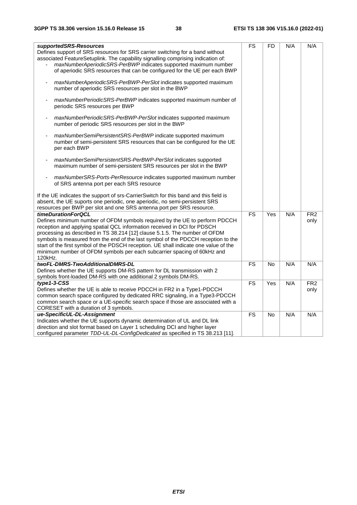| supportedSRS-Resources                                                               | <b>FS</b>              | <b>FD</b> | N/A | N/A             |
|--------------------------------------------------------------------------------------|------------------------|-----------|-----|-----------------|
| Defines support of SRS resources for SRS carrier switching for a band without        |                        |           |     |                 |
| associated FeatureSetuplink. The capability signalling comprising indication of:     |                        |           |     |                 |
| maxNumberAperiodicSRS-PerBWP indicates supported maximum number                      |                        |           |     |                 |
| of aperiodic SRS resources that can be configured for the UE per each BWP            |                        |           |     |                 |
|                                                                                      |                        |           |     |                 |
| maxNumberAperiodicSRS-PerBWP-PerSlot indicates supported maximum                     |                        |           |     |                 |
| number of aperiodic SRS resources per slot in the BWP                                |                        |           |     |                 |
|                                                                                      |                        |           |     |                 |
| maxNumberPeriodicSRS-PerBWP indicates supported maximum number of                    |                        |           |     |                 |
| periodic SRS resources per BWP                                                       |                        |           |     |                 |
|                                                                                      |                        |           |     |                 |
| maxNumberPeriodicSRS-PerBWP-PerSlot indicates supported maximum                      |                        |           |     |                 |
| number of periodic SRS resources per slot in the BWP                                 |                        |           |     |                 |
|                                                                                      |                        |           |     |                 |
| maxNumberSemiPersistentSRS-PerBWP indicate supported maximum                         |                        |           |     |                 |
| number of semi-persistent SRS resources that can be configured for the UE            |                        |           |     |                 |
| per each BWP                                                                         |                        |           |     |                 |
| maxNumberSemiPersistentSRS-PerBWP-PerSlot indicates supported                        |                        |           |     |                 |
| maximum number of semi-persistent SRS resources per slot in the BWP                  |                        |           |     |                 |
|                                                                                      |                        |           |     |                 |
| maxNumberSRS-Ports-PerResource indicates supported maximum number                    |                        |           |     |                 |
| of SRS antenna port per each SRS resource                                            |                        |           |     |                 |
|                                                                                      |                        |           |     |                 |
| If the UE indicates the support of srs-CarrierSwitch for this band and this field is |                        |           |     |                 |
| absent, the UE suports one periodic, one aperiodic, no semi-persistent SRS           |                        |           |     |                 |
| resources per BWP per slot and one SRS antenna port per SRS resource.                |                        |           |     |                 |
| timeDurationForQCL                                                                   | <b>FS</b>              | Yes       | N/A | FR <sub>2</sub> |
| Defines minimum number of OFDM symbols required by the UE to perform PDCCH           |                        |           |     | only            |
| reception and applying spatial QCL information received in DCI for PDSCH             |                        |           |     |                 |
| processing as described in TS 38.214 [12] clause 5.1.5. The number of OFDM           |                        |           |     |                 |
| symbols is measured from the end of the last symbol of the PDCCH reception to the    |                        |           |     |                 |
| start of the first symbol of the PDSCH reception. UE shall indicate one value of the |                        |           |     |                 |
| minimum number of OFDM symbols per each subcarrier spacing of 60kHz and              |                        |           |     |                 |
| 120kHz.                                                                              |                        |           |     |                 |
| twoFL-DMRS-TwoAdditionalDMRS-DL                                                      | $\overline{\text{FS}}$ | <b>No</b> | N/A | N/A             |
| Defines whether the UE supports DM-RS pattern for DL transmission with 2             |                        |           |     |                 |
| symbols front-loaded DM-RS with one additional 2 symbols DM-RS.                      |                        |           |     |                 |
| $type1-3-CSS$                                                                        | <b>FS</b>              | Yes       | N/A | FR <sub>2</sub> |
| Defines whether the UE is able to receive PDCCH in FR2 in a Type1-PDCCH              |                        |           |     | only            |
| common search space configured by dedicated RRC signaling, in a Type3-PDCCH          |                        |           |     |                 |
| common search space or a UE-specific search space if those are associated with a     |                        |           |     |                 |
| CORESET with a duration of 3 symbols.                                                |                        |           |     |                 |
| ue-SpecificUL-DL-Assignment                                                          | <b>FS</b>              | No        | N/A | N/A             |
| Indicates whether the UE supports dynamic determination of UL and DL link            |                        |           |     |                 |
| direction and slot format based on Layer 1 scheduling DCI and higher layer           |                        |           |     |                 |
| configured parameter TDD-UL-DL-ConfigDedicated as specified in TS 38.213 [11].       |                        |           |     |                 |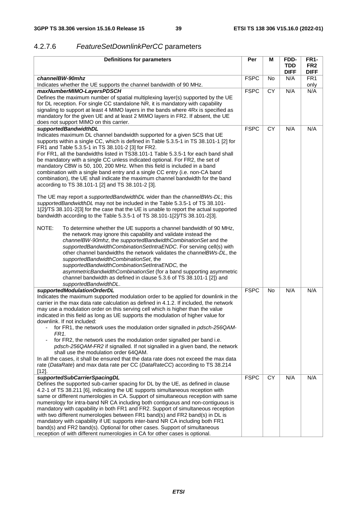### 4.2.7.6 *FeatureSetDownlinkPerCC* parameters

| <b>Definitions for parameters</b>                                                                                                                                                                                                                                                                                                                                                                                                                                                                                                                                                                                                                                                                                                                                                                                                                                                  | Per         | М         | FDD-                | <b>FR1-</b>                    |
|------------------------------------------------------------------------------------------------------------------------------------------------------------------------------------------------------------------------------------------------------------------------------------------------------------------------------------------------------------------------------------------------------------------------------------------------------------------------------------------------------------------------------------------------------------------------------------------------------------------------------------------------------------------------------------------------------------------------------------------------------------------------------------------------------------------------------------------------------------------------------------|-------------|-----------|---------------------|--------------------------------|
|                                                                                                                                                                                                                                                                                                                                                                                                                                                                                                                                                                                                                                                                                                                                                                                                                                                                                    |             |           | TDD.<br><b>DIFF</b> | FR <sub>2</sub><br><b>DIFF</b> |
| channelBW-90mhz                                                                                                                                                                                                                                                                                                                                                                                                                                                                                                                                                                                                                                                                                                                                                                                                                                                                    | <b>FSPC</b> | No        | N/A                 | FR <sub>1</sub>                |
| Indicates whether the UE supports the channel bandwidth of 90 MHz.                                                                                                                                                                                                                                                                                                                                                                                                                                                                                                                                                                                                                                                                                                                                                                                                                 |             |           |                     | only                           |
| maxNumberMIMO-LayersPDSCH<br>Defines the maximum number of spatial multiplexing layer(s) supported by the UE<br>for DL reception. For single CC standalone NR, it is mandatory with capability<br>signaling to support at least 4 MIMO layers in the bands where 4Rx is specified as<br>mandatory for the given UE and at least 2 MIMO layers in FR2. If absent, the UE<br>does not support MIMO on this carrier.                                                                                                                                                                                                                                                                                                                                                                                                                                                                  | <b>FSPC</b> | <b>CY</b> | N/A                 | N/A                            |
| supportedBandwidthDL                                                                                                                                                                                                                                                                                                                                                                                                                                                                                                                                                                                                                                                                                                                                                                                                                                                               | <b>FSPC</b> | <b>CY</b> | N/A                 | N/A                            |
| Indicates maximum DL channel bandwidth supported for a given SCS that UE<br>supports within a single CC, which is defined in Table 5.3.5-1 in TS 38.101-1 [2] for<br>FR1 and Table 5.3.5-1 in TS 38.101-2 [3] for FR2.<br>For FR1, all the bandwidths listed in TS38.101-1 Table 5.3.5-1 for each band shall<br>be mandatory with a single CC unless indicated optional. For FR2, the set of<br>mandatory CBW is 50, 100, 200 MHz. When this field is included in a band<br>combination with a single band entry and a single CC entry (i.e. non-CA band<br>combination), the UE shall indicate the maximum channel bandwidth for the band<br>according to TS 38.101-1 [2] and TS 38.101-2 [3].                                                                                                                                                                                    |             |           |                     |                                |
| The UE may report a supportedBandwidthDL wider than the channelBWs-DL; this<br>supportedBandwidthDL may not be included in the Table 5.3.5-1 of TS 38.101-<br>1[2]/TS 38.101-2[3] for the case that the UE is unable to report the actual supported<br>bandwidth according to the Table 5.3.5-1 of TS 38.101-1[2]/TS 38.101-2[3].                                                                                                                                                                                                                                                                                                                                                                                                                                                                                                                                                  |             |           |                     |                                |
| NOTE:<br>To determine whether the UE supports a channel bandwidth of 90 MHz,<br>the network may ignore this capability and validate instead the<br>channelBW-90mhz, the supportedBandwidthCombinationSet and the<br>supportedBandwidthCombinationSetIntraENDC. For serving cell(s) with<br>other channel bandwidths the network validates the channelBWs-DL, the<br>supportedBandwidthCombinationSet, the<br>supportedBandwidthCombinationSetIntraENDC, the<br>asymmetricBandwidthCombinationSet (for a band supporting asymmetric<br>channel bandwidth as defined in clause 5.3.6 of TS 38.101-1 [2]) and<br>supportedBandwidthDL.                                                                                                                                                                                                                                                |             |           |                     |                                |
| supportedModulationOrderDL                                                                                                                                                                                                                                                                                                                                                                                                                                                                                                                                                                                                                                                                                                                                                                                                                                                         | <b>FSPC</b> | <b>No</b> | N/A                 | N/A                            |
| Indicates the maximum supported modulation order to be applied for downlink in the<br>carrier in the max data rate calculation as defined in 4.1.2. If included, the network<br>may use a modulation order on this serving cell which is higher than the value<br>indicated in this field as long as UE supports the modulation of higher value for<br>downlink. If not included:<br>for FR1, the network uses the modulation order signalled in <i>pdsch-256QAM-</i><br>FR <sub>1</sub> .<br>for FR2, the network uses the modulation order signalled per band i.e.<br>pdsch-256QAM-FR2 if signalled. If not signalled in a given band, the network<br>shall use the modulation order 64QAM.<br>In all the cases, it shall be ensured that the data rate does not exceed the max data<br>rate (DataRate) and max data rate per CC (DataRateCC) according to TS 38.214<br>$[12]$ . |             |           |                     |                                |
| supportedSubCarrierSpacingDL                                                                                                                                                                                                                                                                                                                                                                                                                                                                                                                                                                                                                                                                                                                                                                                                                                                       | <b>FSPC</b> | <b>CY</b> | N/A                 | N/A                            |
| Defines the supported sub-carrier spacing for DL by the UE, as defined in clause<br>4.2-1 of TS 38.211 [6], indicating the UE supports simultaneous reception with<br>same or different numerologies in CA. Support of simultaneous reception with same<br>numerology for intra-band NR CA including both contiguous and non-contiguous is<br>mandatory with capability in both FR1 and FR2. Support of simultaneous reception<br>with two different numerologies between FR1 band(s) and FR2 band(s) in DL is<br>mandatory with capability if UE supports inter-band NR CA including both FR1<br>band(s) and FR2 band(s). Optional for other cases. Support of simultaneous<br>reception of with different numerologies in CA for other cases is optional.                                                                                                                        |             |           |                     |                                |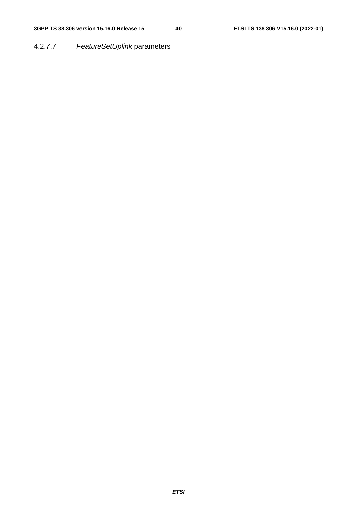### 4.2.7.7 *FeatureSetUplink* parameters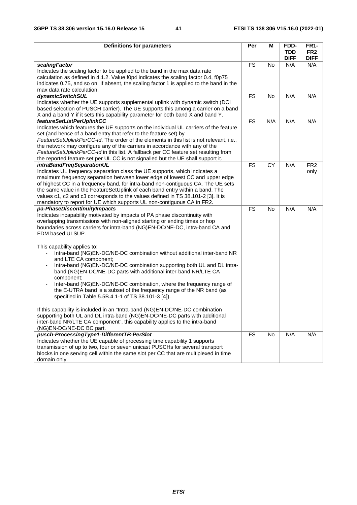| <b>Definitions for parameters</b>                                                                                                                                                                                                                                                                                                                                                                                                                                                                                                           | Per             | M               | FDD-<br><b>TDD</b><br><b>DIFF</b> | <b>FR1-</b><br>FR <sub>2</sub><br><b>DIFF</b> |
|---------------------------------------------------------------------------------------------------------------------------------------------------------------------------------------------------------------------------------------------------------------------------------------------------------------------------------------------------------------------------------------------------------------------------------------------------------------------------------------------------------------------------------------------|-----------------|-----------------|-----------------------------------|-----------------------------------------------|
| scalingFactor<br>Indicates the scaling factor to be applied to the band in the max data rate<br>calculation as defined in 4.1.2. Value f0p4 indicates the scaling factor 0.4, f0p75<br>indicates 0.75, and so on. If absent, the scaling factor 1 is applied to the band in the<br>max data rate calculation.                                                                                                                                                                                                                               | <b>FS</b>       | No              | N/A                               | N/A                                           |
| dynamicSwitchSUL<br>Indicates whether the UE supports supplemental uplink with dynamic switch (DCI<br>based selection of PUSCH carrier). The UE supports this among a carrier on a band<br>X and a band Y if it sets this capability parameter for both band X and band Y.                                                                                                                                                                                                                                                                  | <b>FS</b>       | <b>No</b>       | N/A                               | N/A                                           |
| featureSetListPerUplinkCC<br>Indicates which features the UE supports on the individual UL carriers of the feature<br>set (and hence of a band entry that refer to the feature set) by<br>FeatureSetUplinkPerCC-Id. The order of the elements in this list is not relevant, i.e.,<br>the network may configure any of the carriers in accordance with any of the<br>FeatureSetUplinkPerCC-Id in this list. A fallback per CC feature set resulting from<br>the reported feature set per UL CC is not signalled but the UE shall support it. | $\overline{FS}$ | N/A             | N/A                               | N/A                                           |
| intraBandFreqSeparationUL<br>Indicates UL frequency separation class the UE supports, which indicates a<br>maximum frequency separation between lower edge of lowest CC and upper edge<br>of highest CC in a frequency band, for intra-band non-contiguous CA. The UE sets<br>the same value in the FeatureSetUplink of each band entry within a band. The<br>values c1, c2 and c3 corresponds to the values defined in TS 38.101-2 [3]. It is<br>mandatory to report for UE which supports UL non-contiguous CA in FR2.                    | <b>FS</b>       | $\overline{CY}$ | N/A                               | FR <sub>2</sub><br>only                       |
| pa-PhaseDiscontinuityImpacts<br>Indicates incapability motivated by impacts of PA phase discontinuity with<br>overlapping transmissions with non-aligned starting or ending times or hop<br>boundaries across carriers for intra-band (NG)EN-DC/NE-DC, intra-band CA and<br>FDM based ULSUP.                                                                                                                                                                                                                                                | <b>FS</b>       | No              | N/A                               | N/A                                           |
| This capability applies to:<br>Intra-band (NG)EN-DC/NE-DC combination without additional inter-band NR<br>and LTE CA component;<br>Intra-band (NG)EN-DC/NE-DC combination supporting both UL and DL intra-<br>band (NG)EN-DC/NE-DC parts with additional inter-band NR/LTE CA<br>component;<br>Inter-band (NG)EN-DC/NE-DC combination, where the frequency range of<br>٠<br>the E-UTRA band is a subset of the frequency range of the NR band (as<br>specified in Table 5.5B.4.1-1 of TS 38.101-3 [4]).                                     |                 |                 |                                   |                                               |
| If this capability is included in an "Intra-band (NG)EN-DC/NE-DC combination<br>supporting both UL and DL intra-band (NG)EN-DC/NE-DC parts with additional<br>inter-band NR/LTE CA component", this capability applies to the intra-band<br>(NG)EN-DC/NE-DC BC part.                                                                                                                                                                                                                                                                        |                 |                 |                                   |                                               |
| pusch-ProcessingType1-DifferentTB-PerSlot<br>Indicates whether the UE capable of processing time capability 1 supports<br>transmission of up to two, four or seven unicast PUSCHs for several transport<br>blocks in one serving cell within the same slot per CC that are multiplexed in time<br>domain only.                                                                                                                                                                                                                              | <b>FS</b>       | No              | N/A                               | N/A                                           |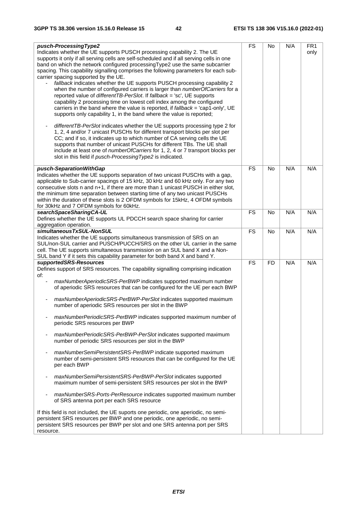| pusch-ProcessingType2                                                                     | <b>FS</b> | No        | N/A | FR <sub>1</sub> |
|-------------------------------------------------------------------------------------------|-----------|-----------|-----|-----------------|
| Indicates whether the UE supports PUSCH processing capability 2. The UE                   |           |           |     | only            |
| supports it only if all serving cells are self-scheduled and if all serving cells in one  |           |           |     |                 |
| band on which the network configured processing Type2 use the same subcarrier             |           |           |     |                 |
| spacing. This capability signalling comprises the following parameters for each sub-      |           |           |     |                 |
| carrier spacing supported by the UE.                                                      |           |           |     |                 |
|                                                                                           |           |           |     |                 |
| fallback indicates whether the UE supports PUSCH processing capability 2                  |           |           |     |                 |
| when the number of configured carriers is larger than numberOfCarriers for a              |           |           |     |                 |
| reported value of differentTB-PerSlot. If fallback = 'sc', UE supports                    |           |           |     |                 |
| capability 2 processing time on lowest cell index among the configured                    |           |           |     |                 |
| carriers in the band where the value is reported, if fallback = 'cap1-only', UE           |           |           |     |                 |
| supports only capability 1, in the band where the value is reported;                      |           |           |     |                 |
|                                                                                           |           |           |     |                 |
| differentTB-PerSlot indicates whether the UE supports processing type 2 for               |           |           |     |                 |
| 1, 2, 4 and/or 7 unicast PUSCHs for different transport blocks per slot per               |           |           |     |                 |
|                                                                                           |           |           |     |                 |
| CC; and if so, it indicates up to which number of CA serving cells the UE                 |           |           |     |                 |
| supports that number of unicast PUSCHs for different TBs. The UE shall                    |           |           |     |                 |
| include at least one of numberOfCarriers for 1, 2, 4 or 7 transport blocks per            |           |           |     |                 |
| slot in this field if pusch-Processing Type2 is indicated.                                |           |           |     |                 |
|                                                                                           |           |           |     |                 |
| pusch-SeparationWithGap                                                                   | <b>FS</b> | <b>No</b> | N/A | N/A             |
| Indicates whether the UE supports separation of two unicast PUSCHs with a gap,            |           |           |     |                 |
| applicable to Sub-carrier spacings of 15 kHz, 30 kHz and 60 kHz only. For any two         |           |           |     |                 |
| consecutive slots n and n+1, if there are more than 1 unicast PUSCH in either slot,       |           |           |     |                 |
| the minimum time separation between starting time of any two unicast PUSCHs               |           |           |     |                 |
| within the duration of these slots is 2 OFDM symbols for 15kHz, 4 OFDM symbols            |           |           |     |                 |
|                                                                                           |           |           |     |                 |
| for 30kHz and 7 OFDM symbols for 60kHz.                                                   |           |           |     |                 |
| searchSpaceSharingCA-UL                                                                   | <b>FS</b> | <b>No</b> | N/A | N/A             |
| Defines whether the UE supports UL PDCCH search space sharing for carrier                 |           |           |     |                 |
| aggregation operation.                                                                    |           |           |     |                 |
| simultaneousTxSUL-NonSUL                                                                  | <b>FS</b> | <b>No</b> | N/A | N/A             |
| Indicates whether the UE supports simultaneous transmission of SRS on an                  |           |           |     |                 |
| SUL/non-SUL carrier and PUSCH/PUCCH/SRS on the other UL carrier in the same               |           |           |     |                 |
| cell. The UE supports simultaneous transmission on an SUL band X and a Non-               |           |           |     |                 |
| SUL band Y if it sets this capability parameter for both band X and band Y.               |           |           |     |                 |
| supportedSRS-Resources                                                                    | <b>FS</b> | <b>FD</b> | N/A | N/A             |
|                                                                                           |           |           |     |                 |
| Defines support of SRS resources. The capability signalling comprising indication         |           |           |     |                 |
| of:                                                                                       |           |           |     |                 |
| maxNumberAperiodicSRS-PerBWP indicates supported maximum number                           |           |           |     |                 |
| of aperiodic SRS resources that can be configured for the UE per each BWP                 |           |           |     |                 |
|                                                                                           |           |           |     |                 |
| maxNumberAperiodicSRS-PerBWP-PerSlot indicates supported maximum                          |           |           |     |                 |
| number of aperiodic SRS resources per slot in the BWP                                     |           |           |     |                 |
|                                                                                           |           |           |     |                 |
| maxNumberPeriodicSRS-PerBWP indicates supported maximum number of                         |           |           |     |                 |
| periodic SRS resources per BWP                                                            |           |           |     |                 |
|                                                                                           |           |           |     |                 |
| maxNumberPeriodicSRS-PerBWP-PerSlot indicates supported maximum                           |           |           |     |                 |
|                                                                                           |           |           |     |                 |
| number of periodic SRS resources per slot in the BWP                                      |           |           |     |                 |
|                                                                                           |           |           |     |                 |
| maxNumberSemiPersistentSRS-PerBWP indicate supported maximum                              |           |           |     |                 |
| number of semi-persistent SRS resources that can be configured for the UE                 |           |           |     |                 |
| per each BWP                                                                              |           |           |     |                 |
|                                                                                           |           |           |     |                 |
| maxNumberSemiPersistentSRS-PerBWP-PerSlot indicates supported<br>$\overline{\phantom{a}}$ |           |           |     |                 |
| maximum number of semi-persistent SRS resources per slot in the BWP                       |           |           |     |                 |
|                                                                                           |           |           |     |                 |
| maxNumberSRS-Ports-PerResource indicates supported maximum number                         |           |           |     |                 |
| of SRS antenna port per each SRS resource                                                 |           |           |     |                 |
|                                                                                           |           |           |     |                 |
| If this field is not included, the UE suports one periodic, one aperiodic, no semi-       |           |           |     |                 |
| persistent SRS resources per BWP and one periodic, one aperiodic, no semi-                |           |           |     |                 |
| persistent SRS resources per BWP per slot and one SRS antenna port per SRS                |           |           |     |                 |
|                                                                                           |           |           |     |                 |
| resource.                                                                                 |           |           |     |                 |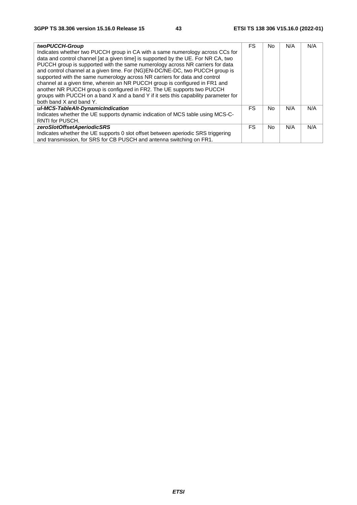| twoPUCCH-Group                                                                      | FS  | No. | N/A | N/A |
|-------------------------------------------------------------------------------------|-----|-----|-----|-----|
| Indicates whether two PUCCH group in CA with a same numerology across CCs for       |     |     |     |     |
| data and control channel [at a given time] is supported by the UE. For NR CA, two   |     |     |     |     |
| PUCCH group is supported with the same numerology across NR carriers for data       |     |     |     |     |
| and control channel at a given time. For (NG)EN-DC/NE-DC, two PUCCH group is        |     |     |     |     |
| supported with the same numerology across NR carriers for data and control          |     |     |     |     |
| channel at a given time, wherein an NR PUCCH group is configured in FR1 and         |     |     |     |     |
| another NR PUCCH group is configured in FR2. The UE supports two PUCCH              |     |     |     |     |
| groups with PUCCH on a band X and a band Y if it sets this capability parameter for |     |     |     |     |
| both band X and band Y.                                                             |     |     |     |     |
| ul-MCS-TableAlt-DynamicIndication                                                   | FS. | No. | N/A | N/A |
| Indicates whether the UE supports dynamic indication of MCS table using MCS-C-      |     |     |     |     |
| RNTI for PUSCH.                                                                     |     |     |     |     |
| zeroSlotOffsetAperiodicSRS                                                          | FS. | No. | N/A | N/A |
| Indicates whether the UE supports 0 slot offset between aperiodic SRS triggering    |     |     |     |     |
| and transmission, for SRS for CB PUSCH and antenna switching on FR1.                |     |     |     |     |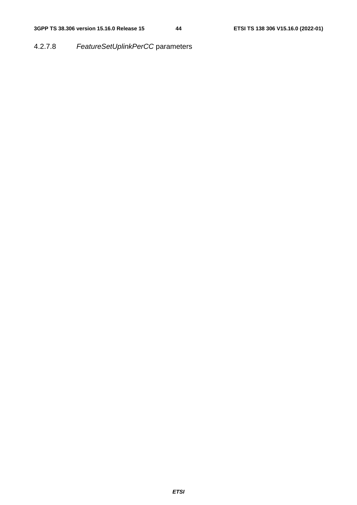### 4.2.7.8 *FeatureSetUplinkPerCC* parameters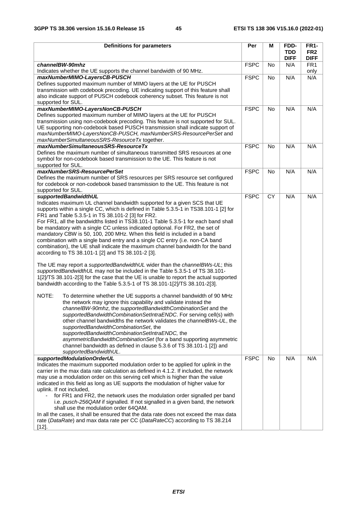| <b>Definitions for parameters</b>                                                                                     | Per         | м         | FDD-        | <b>FR1-</b>     |
|-----------------------------------------------------------------------------------------------------------------------|-------------|-----------|-------------|-----------------|
|                                                                                                                       |             |           | <b>TDD</b>  | FR <sub>2</sub> |
|                                                                                                                       |             |           | <b>DIFF</b> | <b>DIFF</b>     |
| channelBW-90mhz                                                                                                       | <b>FSPC</b> | No        | N/A         | FR <sub>1</sub> |
| Indicates whether the UE supports the channel bandwidth of 90 MHz.                                                    |             |           |             | only            |
| maxNumberMIMO-LayersCB-PUSCH                                                                                          | <b>FSPC</b> | <b>No</b> | N/A         | N/A             |
| Defines supported maximum number of MIMO layers at the UE for PUSCH                                                   |             |           |             |                 |
| transmission with codebook precoding. UE indicating support of this feature shall                                     |             |           |             |                 |
| also indicate support of PUSCH codebook coherency subset. This feature is not                                         |             |           |             |                 |
| supported for SUL.                                                                                                    |             |           |             |                 |
| maxNumberMIMO-LayersNonCB-PUSCH                                                                                       | <b>FSPC</b> | No        | N/A         | N/A             |
| Defines supported maximum number of MIMO layers at the UE for PUSCH                                                   |             |           |             |                 |
| transmission using non-codebook precoding. This feature is not supported for SUL.                                     |             |           |             |                 |
| UE supporting non-codebook based PUSCH transmission shall indicate support of                                         |             |           |             |                 |
| maxNumberMIMO-LayersNonCB-PUSCH, maxNumberSRS-ResourcePerSet and                                                      |             |           |             |                 |
| maxNumberSimultaneousSRS-ResourceTx together.                                                                         |             |           |             |                 |
| maxNumberSimultaneousSRS-ResourceTx                                                                                   | <b>FSPC</b> | <b>No</b> | N/A         | N/A             |
| Defines the maximum number of simultaneous transmitted SRS resources at one                                           |             |           |             |                 |
| symbol for non-codebook based transmission to the UE. This feature is not                                             |             |           |             |                 |
| supported for SUL.                                                                                                    |             |           |             |                 |
| maxNumberSRS-ResourcePerSet                                                                                           | <b>FSPC</b> | <b>No</b> | N/A         | N/A             |
| Defines the maximum number of SRS resources per SRS resource set configured                                           |             |           |             |                 |
| for codebook or non-codebook based transmission to the UE. This feature is not                                        |             |           |             |                 |
| supported for SUL.                                                                                                    |             |           |             |                 |
| supportedBandwidthUL<br>Indicates maximum UL channel bandwidth supported for a given SCS that UE                      | <b>FSPC</b> | <b>CY</b> | N/A         | N/A             |
| supports within a single CC, which is defined in Table 5.3.5-1 in TS38.101-1 [2] for                                  |             |           |             |                 |
| FR1 and Table 5.3.5-1 in TS 38.101-2 [3] for FR2.                                                                     |             |           |             |                 |
| For FR1, all the bandwidths listed in TS38.101-1 Table 5.3.5-1 for each band shall                                    |             |           |             |                 |
| be mandatory with a single CC unless indicated optional. For FR2, the set of                                          |             |           |             |                 |
| mandatory CBW is 50, 100, 200 MHz. When this field is included in a band                                              |             |           |             |                 |
| combination with a single band entry and a single CC entry (i.e. non-CA band                                          |             |           |             |                 |
| combination), the UE shall indicate the maximum channel bandwidth for the band                                        |             |           |             |                 |
| according to TS 38.101-1 [2] and TS 38.101-2 [3].                                                                     |             |           |             |                 |
|                                                                                                                       |             |           |             |                 |
| The UE may report a <i>supportedBandwidthUL</i> wider than the <i>channeIBWs-UL</i> ; this                            |             |           |             |                 |
| supportedBandwidthUL may not be included in the Table 5.3.5-1 of TS 38.101-                                           |             |           |             |                 |
| 1[2]/TS 38.101-2[3] for the case that the UE is unable to report the actual supported                                 |             |           |             |                 |
| bandwidth according to the Table 5.3.5-1 of TS 38.101-1[2]/TS 38.101-2[3].                                            |             |           |             |                 |
|                                                                                                                       |             |           |             |                 |
| NOTE:<br>To determine whether the UE supports a channel bandwidth of 90 MHz                                           |             |           |             |                 |
| the network may ignore this capability and validate instead the                                                       |             |           |             |                 |
| channeIBW-90mhz, the supportedBandwidthCombinationSet and the                                                         |             |           |             |                 |
| supportedBandwidthCombinationSetIntraENDC. For serving cell(s) with                                                   |             |           |             |                 |
| other channel bandwidths the network validates the <i>channelBWs-UL</i> , the                                         |             |           |             |                 |
| supportedBandwidthCombinationSet, the                                                                                 |             |           |             |                 |
| supportedBandwidthCombinationSetIntraENDC, the<br>asymmetricBandwidthCombinationSet (for a band supporting asymmetric |             |           |             |                 |
| channel bandwidth as defined in clause 5.3.6 of TS 38.101-1 [2]) and                                                  |             |           |             |                 |
| supportedBandwidthUL.                                                                                                 |             |           |             |                 |
| supportedModulationOrderUL                                                                                            | <b>FSPC</b> | No        | N/A         | N/A             |
| Indicates the maximum supported modulation order to be applied for uplink in the                                      |             |           |             |                 |
| carrier in the max data rate calculation as defined in 4.1.2. If included, the network                                |             |           |             |                 |
| may use a modulation order on this serving cell which is higher than the value                                        |             |           |             |                 |
| indicated in this field as long as UE supports the modulation of higher value for                                     |             |           |             |                 |
| uplink. If not included,                                                                                              |             |           |             |                 |
| for FR1 and FR2, the network uses the modulation order signalled per band<br>$\blacksquare$                           |             |           |             |                 |
| i.e. pusch-256QAM if signalled. If not signalled in a given band, the network                                         |             |           |             |                 |
| shall use the modulation order 64QAM.                                                                                 |             |           |             |                 |
| In all the cases, it shall be ensured that the data rate does not exceed the max data                                 |             |           |             |                 |
| rate (DataRate) and max data rate per CC (DataRateCC) according to TS 38.214                                          |             |           |             |                 |
| $[12]$ .                                                                                                              |             |           |             |                 |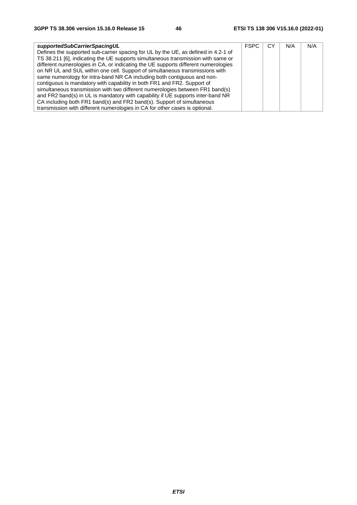| supportedSubCarrierSpacingUL                                                       | <b>FSPC</b> | CУ | N/A | N/A |
|------------------------------------------------------------------------------------|-------------|----|-----|-----|
| Defines the supported sub-carrier spacing for UL by the UE, as defined in 4.2-1 of |             |    |     |     |
| TS 38.211 [6], indicating the UE supports simultaneous transmission with same or   |             |    |     |     |
| different numerologies in CA, or indicating the UE supports different numerologies |             |    |     |     |
| on NR UL and SUL within one cell. Support of simultaneous transmissions with       |             |    |     |     |
| same numerology for intra-band NR CA including both contiguous and non-            |             |    |     |     |
| contiguous is mandatory with capability in both FR1 and FR2. Support of            |             |    |     |     |
| simultaneous transmission with two different numerologies between FR1 band(s)      |             |    |     |     |
| and FR2 band(s) in UL is mandatory with capability if UE supports inter-band NR    |             |    |     |     |
| CA including both FR1 band(s) and FR2 band(s). Support of simultaneous             |             |    |     |     |
| transmission with different numerologies in CA for other cases is optional.        |             |    |     |     |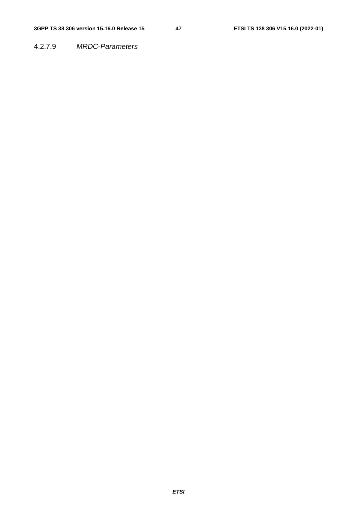4.2.7.9 *MRDC-Parameters*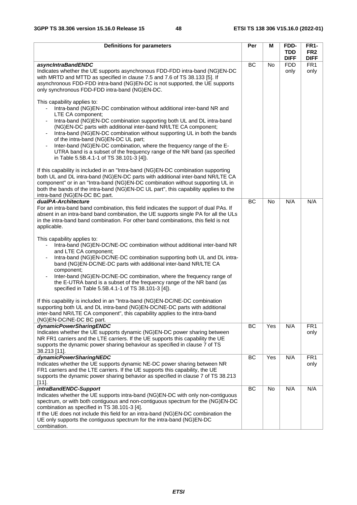| <b>Definitions for parameters</b>                                                                                                                                                                                                                                                                                                                                                                                                                                                                                                                                                                             | Per       | м         | FDD-                      | <b>FR1-</b>                    |
|---------------------------------------------------------------------------------------------------------------------------------------------------------------------------------------------------------------------------------------------------------------------------------------------------------------------------------------------------------------------------------------------------------------------------------------------------------------------------------------------------------------------------------------------------------------------------------------------------------------|-----------|-----------|---------------------------|--------------------------------|
|                                                                                                                                                                                                                                                                                                                                                                                                                                                                                                                                                                                                               |           |           | <b>TDD</b><br><b>DIFF</b> | FR <sub>2</sub><br><b>DIFF</b> |
| asyncIntraBandENDC                                                                                                                                                                                                                                                                                                                                                                                                                                                                                                                                                                                            | <b>BC</b> | <b>No</b> | <b>FDD</b>                | FR <sub>1</sub>                |
| Indicates whether the UE supports asynchronous FDD-FDD intra-band (NG)EN-DC<br>with MRTD and MTTD as specified in clause 7.5 and 7.6 of TS 38.133 [5]. If<br>asynchronous FDD-FDD intra-band (NG)EN-DC is not supported, the UE supports<br>only synchronous FDD-FDD intra-band (NG)EN-DC.                                                                                                                                                                                                                                                                                                                    |           |           | only                      | only                           |
| This capability applies to:<br>Intra-band (NG)EN-DC combination without additional inter-band NR and<br>LTE CA component;<br>Intra-band (NG)EN-DC combination supporting both UL and DL intra-band<br>(NG)EN-DC parts with additional inter-band NR/LTE CA component;<br>Intra-band (NG)EN-DC combination without supporting UL in both the bands<br>of the intra-band (NG)EN-DC UL part;<br>Inter-band (NG)EN-DC combination, where the frequency range of the E-<br>$\blacksquare$<br>UTRA band is a subset of the frequency range of the NR band (as specified<br>in Table 5.5B.4.1-1 of TS 38.101-3 [4]). |           |           |                           |                                |
| If this capability is included in an "Intra-band (NG)EN-DC combination supporting<br>both UL and DL intra-band (NG)EN-DC parts with additional inter-band NR/LTE CA<br>component" or in an "Intra-band (NG)EN-DC combination without supporting UL in<br>both the bands of the intra-band (NG)EN-DC UL part", this capability applies to the<br>intra-band (NG)EN-DC BC part.                                                                                                                                                                                                                                 |           |           |                           |                                |
| dualPA-Architecture                                                                                                                                                                                                                                                                                                                                                                                                                                                                                                                                                                                           | BC        | <b>No</b> | N/A                       | N/A                            |
| For an intra-band band combination, this field indicates the support of dual PAs. If<br>absent in an intra-band band combination, the UE supports single PA for all the ULs<br>in the intra-band band combination. For other band combinations, this field is not<br>applicable.                                                                                                                                                                                                                                                                                                                              |           |           |                           |                                |
| This capability applies to:<br>Intra-band (NG)EN-DC/NE-DC combination without additional inter-band NR<br>and LTE CA component;<br>Intra-band (NG)EN-DC/NE-DC combination supporting both UL and DL intra-<br>band (NG)EN-DC/NE-DC parts with additional inter-band NR/LTE CA<br>component;<br>Inter-band (NG)EN-DC/NE-DC combination, where the frequency range of<br>$\overline{\phantom{a}}$<br>the E-UTRA band is a subset of the frequency range of the NR band (as<br>specified in Table 5.5B.4.1-1 of TS 38.101-3 [4]).                                                                                |           |           |                           |                                |
| If this capability is included in an "Intra-band (NG)EN-DC/NE-DC combination<br>supporting both UL and DL intra-band (NG)EN-DC/NE-DC parts with additional<br>inter-band NR/LTE CA component", this capability applies to the intra-band<br>(NG)EN-DC/NE-DC BC part.                                                                                                                                                                                                                                                                                                                                          |           |           |                           |                                |
| dynamicPowerSharingENDC                                                                                                                                                                                                                                                                                                                                                                                                                                                                                                                                                                                       | BC        | Yes       | N/A                       | FR <sub>1</sub>                |
| Indicates whether the UE supports dynamic (NG)EN-DC power sharing between<br>NR FR1 carriers and the LTE carriers. If the UE supports this capability the UE<br>supports the dynamic power sharing behaviour as specified in clause 7 of TS<br>38.213 [11].                                                                                                                                                                                                                                                                                                                                                   |           |           |                           | only                           |
| dynamicPowerSharingNEDC                                                                                                                                                                                                                                                                                                                                                                                                                                                                                                                                                                                       | BC        | Yes       | N/A                       | FR <sub>1</sub>                |
| Indicates whether the UE supports dynamic NE-DC power sharing between NR<br>FR1 carriers and the LTE carriers. If the UE supports this capability, the UE<br>supports the dynamic power sharing behavior as specified in clause 7 of TS 38.213<br>$[11]$ .                                                                                                                                                                                                                                                                                                                                                    |           |           |                           | only                           |
| intraBandENDC-Support                                                                                                                                                                                                                                                                                                                                                                                                                                                                                                                                                                                         | BC        | <b>No</b> | N/A                       | N/A                            |
| Indicates whether the UE supports intra-band (NG)EN-DC with only non-contiguous<br>spectrum, or with both contiguous and non-contiguous spectrum for the (NG)EN-DC<br>combination as specified in TS 38.101-3 [4].<br>If the UE does not include this field for an intra-band (NG)EN-DC combination the<br>UE only supports the contiguous spectrum for the intra-band (NG)EN-DC<br>combination.                                                                                                                                                                                                              |           |           |                           |                                |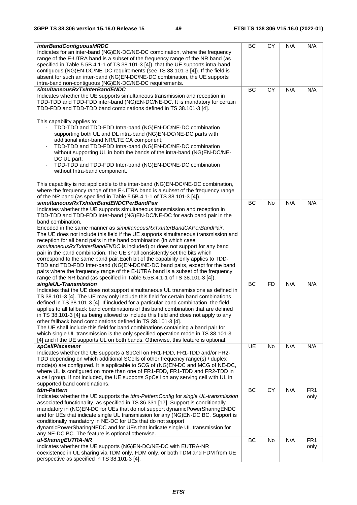| <i>interBandContiguousMRDC</i>                                                         | BC        | <b>CY</b> | N/A | N/A             |
|----------------------------------------------------------------------------------------|-----------|-----------|-----|-----------------|
| Indicates for an inter-band (NG)EN-DC/NE-DC combination, where the frequency           |           |           |     |                 |
| range of the E-UTRA band is a subset of the frequency range of the NR band (as         |           |           |     |                 |
| specified in Table 5.5B.4.1-1 of TS 38.101-3 [4]), that the UE supports intra-band     |           |           |     |                 |
| contiguous (NG)EN-DC/NE-DC requirements (see TS 38.101-3 [4]). If the field is         |           |           |     |                 |
| absent for such an inter-band (NG)EN-DC/NE-DC combination, the UE supports             |           |           |     |                 |
| intra-band non-contiguous (NG)EN-DC/NE-DC requirements.                                |           |           |     |                 |
| simultaneousRxTxInterBandENDC                                                          | BC        | CY        | N/A | N/A             |
| Indicates whether the UE supports simultaneous transmission and reception in           |           |           |     |                 |
| TDD-TDD and TDD-FDD inter-band (NG)EN-DC/NE-DC. It is mandatory for certain            |           |           |     |                 |
| TDD-FDD and TDD-TDD band combinations defined in TS 38.101-3 [4].                      |           |           |     |                 |
|                                                                                        |           |           |     |                 |
| This capability applies to:                                                            |           |           |     |                 |
| TDD-TDD and TDD-FDD Intra-band (NG)EN-DC/NE-DC combination                             |           |           |     |                 |
| supporting both UL and DL intra-band (NG)EN-DC/NE-DC parts with                        |           |           |     |                 |
| additional inter-band NR/LTE CA component;                                             |           |           |     |                 |
| TDD-TDD and TDD-FDD Intra-band (NG)EN-DC/NE-DC combination<br>$\overline{\phantom{a}}$ |           |           |     |                 |
| without supporting UL in both the bands of the intra-band (NG)EN-DC/NE-                |           |           |     |                 |
| DC UL part;                                                                            |           |           |     |                 |
| TDD-TDD and TDD-FDD Inter-band (NG)EN-DC/NE-DC combination<br>$\blacksquare$           |           |           |     |                 |
| without Intra-band component.                                                          |           |           |     |                 |
|                                                                                        |           |           |     |                 |
|                                                                                        |           |           |     |                 |
| This capability is not applicable to the inter-band (NG)EN-DC/NE-DC combination,       |           |           |     |                 |
| where the frequency range of the E-UTRA band is a subset of the frequency range        |           |           |     |                 |
| of the NR band (as specified in Table 5.5B.4.1-1 of TS 38.101-3 [4]).                  |           |           |     |                 |
| simultaneousRxTxInterBandENDCPerBandPair                                               | BC        | <b>No</b> | N/A | N/A             |
| Indicates whether the UE supports simultaneous transmission and reception in           |           |           |     |                 |
| TDD-TDD and TDD-FDD inter-band (NG)EN-DC/NE-DC for each band pair in the               |           |           |     |                 |
| band combination.                                                                      |           |           |     |                 |
| Encoded in the same manner as simultaneous RxTxInter Band CAPer Band Pair.             |           |           |     |                 |
| The UE does not include this field if the UE supports simultaneous transmission and    |           |           |     |                 |
| reception for all band pairs in the band combination (in which case                    |           |           |     |                 |
| simultaneousRxTxInterBandENDC is included) or does not support for any band            |           |           |     |                 |
| pair in the band combination. The UE shall consistently set the bits which             |           |           |     |                 |
| correspond to the same band pair. Each bit of the capability only applies to TDD-      |           |           |     |                 |
| TDD and TDD-FDD Inter-band (NG)EN-DC/NE-DC band pairs, except for the band             |           |           |     |                 |
| pairs where the frequency range of the E-UTRA band is a subset of the frequency        |           |           |     |                 |
| range of the NR band (as specified in Table 5.5B.4.1-1 of TS 38.101-3 [4]).            |           |           |     |                 |
| singleUL-Transmission                                                                  | <b>BC</b> | <b>FD</b> | N/A | N/A             |
| Indicates that the UE does not support simultaneous UL transmissions as defined in     |           |           |     |                 |
| TS 38.101-3 [4]. The UE may only include this field for certain band combinations      |           |           |     |                 |
| defined in TS 38.101-3 [4]. If included for a particular band combination, the field   |           |           |     |                 |
| applies to all fallback band combinations of this band combination that are defined    |           |           |     |                 |
| in TS 38.101-3 [4] as being allowed to include this field and does not apply to any    |           |           |     |                 |
| other fallback band combinations defined in TS 38.101-3 [4].                           |           |           |     |                 |
| The UE shall include this field for band combinations containing a band pair for       |           |           |     |                 |
| which single UL transmission is the only specified operation mode in TS 38.101-3       |           |           |     |                 |
| [4] and if the UE supports UL on both bands. Otherwise, this feature is optional.      |           |           |     |                 |
| spCellPlacement                                                                        | UE        | No        | N/A | N/A             |
| Indicates whether the UE supports a SpCell on FR1-FDD, FR1-TDD and/or FR2-             |           |           |     |                 |
| TDD depending on which additional SCells of other frequency range(s) / duplex          |           |           |     |                 |
| mode(s) are configured. It is applicable to SCG of (NG)EN-DC and MCG of NE-DC,         |           |           |     |                 |
| where UL is configured on more than one of FR1-FDD, FR1-TDD and FR2-TDD in             |           |           |     |                 |
| a cell group. If not included, the UE supports SpCell on any serving cell with UL in   |           |           |     |                 |
| supported band combinations.                                                           |           |           |     |                 |
| tdm-Pattern                                                                            | BC        | CY        | N/A | FR <sub>1</sub> |
| Indicates whether the UE supports the tdm-PatternConfig for single UL-transmission     |           |           |     | only            |
| associated functionality, as specified in TS 36.331 [17]. Support is conditionally     |           |           |     |                 |
| mandatory in (NG)EN-DC for UEs that do not support dynamicPowerSharingENDC             |           |           |     |                 |
| and for UEs that indicate single UL transmission for any (NG)EN-DC BC. Support is      |           |           |     |                 |
| conditionally mandatory in NE-DC for UEs that do not support                           |           |           |     |                 |
| dynamicPowerSharingNEDC and for UEs that indicate single UL transmission for           |           |           |     |                 |
| any NE-DC BC. The feature is optional otherwise.                                       |           |           |     |                 |
| ul-SharingEUTRA-NR                                                                     | BC        | No        | N/A | FR <sub>1</sub> |
| Indicates whether the UE supports (NG)EN-DC/NE-DC with EUTRA-NR                        |           |           |     | only            |
| coexistence in UL sharing via TDM only, FDM only, or both TDM and FDM from UE          |           |           |     |                 |
| perspective as specified in TS 38.101-3 [4].                                           |           |           |     |                 |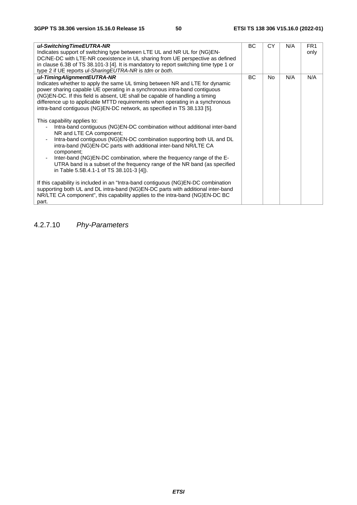| ul-SwitchingTimeEUTRA-NR<br>Indicates support of switching type between LTE UL and NR UL for (NG)EN-<br>DC/NE-DC with LTE-NR coexistence in UL sharing from UE perspective as defined<br>in clause 6.3B of TS 38.101-3 [4]. It is mandatory to report switching time type 1 or<br>type 2 if UE reports ul-SharingEUTRA-NR is tdm or both.                                                                                                                                                                                                                                                                                                                                                                                                                                                                                                                                                                                                                                                                                                                                                                                                                                                                                                              | ВC        | <b>CY</b> | N/A | FR <sub>1</sub><br>only |
|--------------------------------------------------------------------------------------------------------------------------------------------------------------------------------------------------------------------------------------------------------------------------------------------------------------------------------------------------------------------------------------------------------------------------------------------------------------------------------------------------------------------------------------------------------------------------------------------------------------------------------------------------------------------------------------------------------------------------------------------------------------------------------------------------------------------------------------------------------------------------------------------------------------------------------------------------------------------------------------------------------------------------------------------------------------------------------------------------------------------------------------------------------------------------------------------------------------------------------------------------------|-----------|-----------|-----|-------------------------|
| ul-TimingAlignmentEUTRA-NR<br>Indicates whether to apply the same UL timing between NR and LTE for dynamic<br>power sharing capable UE operating in a synchronous intra-band contiguous<br>(NG)EN-DC. If this field is absent, UE shall be capable of handling a timing<br>difference up to applicable MTTD requirements when operating in a synchronous<br>intra-band contiguous (NG)EN-DC network, as specified in TS 38.133 [5].<br>This capability applies to:<br>Intra-band contiguous (NG)EN-DC combination without additional inter-band<br>NR and LTE CA component;<br>Intra-band contiguous (NG)EN-DC combination supporting both UL and DL<br>$\overline{\phantom{a}}$<br>intra-band (NG)EN-DC parts with additional inter-band NR/LTE CA<br>component;<br>Inter-band (NG)EN-DC combination, where the frequency range of the E-<br>$\blacksquare$<br>UTRA band is a subset of the frequency range of the NR band (as specified<br>in Table 5.5B.4.1-1 of TS 38.101-3 [4]).<br>If this capability is included in an "Intra-band contiguous (NG)EN-DC combination<br>supporting both UL and DL intra-band (NG)EN-DC parts with additional inter-band<br>NR/LTE CA component", this capability applies to the intra-band (NG)EN-DC BC<br>part. | <b>BC</b> | No.       | N/A | N/A                     |

4.2.7.10 *Phy-Parameters*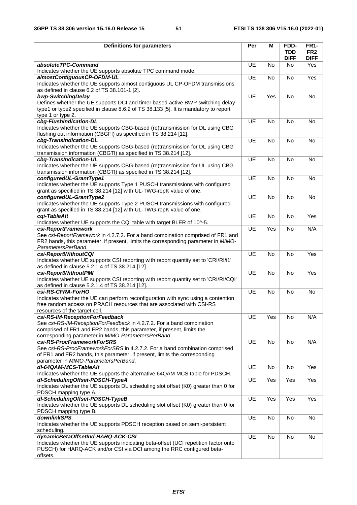| <b>Definitions for parameters</b>                                                                                                                                                                                                       | Per       | М         | FDD-<br><b>TDD</b> | <b>FR1-</b><br>FR <sub>2</sub> |
|-----------------------------------------------------------------------------------------------------------------------------------------------------------------------------------------------------------------------------------------|-----------|-----------|--------------------|--------------------------------|
|                                                                                                                                                                                                                                         |           |           | <b>DIFF</b>        | <b>DIFF</b>                    |
| absoluteTPC-Command<br>Indicates whether the UE supports absolute TPC command mode.                                                                                                                                                     | <b>UE</b> | No        | No.                | Yes                            |
| almostContiguousCP-OFDM-UL<br>Indicates whether the UE supports almost contiguous UL CP-OFDM transmissions                                                                                                                              | UE        | <b>No</b> | No                 | Yes                            |
| as defined in clause 6.2 of TS 38.101-1 [2].<br>bwp-SwitchingDelay                                                                                                                                                                      | UE        | Yes       | No                 | No                             |
| Defines whether the UE supports DCI and timer based active BWP switching delay<br>type1 or type2 specified in clause 8.6.2 of TS 38.133 [5]. It is mandatory to report<br>type 1 or type 2.                                             |           |           |                    |                                |
| cbg-FlushIndication-DL<br>Indicates whether the UE supports CBG-based (re)transmission for DL using CBG<br>flushing out information (CBGFI) as specified in TS 38.214 [12].                                                             | <b>UE</b> | <b>No</b> | <b>No</b>          | <b>No</b>                      |
| cbg-TransIndication-DL<br>Indicates whether the UE supports CBG-based (re)transmission for DL using CBG<br>transmission information (CBGTI) as specified in TS 38.214 [12].                                                             | <b>UE</b> | <b>No</b> | <b>No</b>          | No                             |
| cbg-TransIndication-UL<br>Indicates whether the UE supports CBG-based (re)transmission for UL using CBG<br>transmission information (CBGTI) as specified in TS 38.214 [12].                                                             | UE        | <b>No</b> | <b>No</b>          | <b>No</b>                      |
| configuredUL-GrantType1<br>Indicates whether the UE supports Type 1 PUSCH transmissions with configured<br>grant as specified in TS 38.214 [12] with UL-TWG-repK value of one.                                                          | UE        | <b>No</b> | No                 | No                             |
| configuredUL-GrantType2<br>Indicates whether the UE supports Type 2 PUSCH transmissions with configured                                                                                                                                 | UE        | No        | No                 | No                             |
| grant as specified in TS 38.214 [12] with UL-TWG-repK value of one.<br>cgi-TableAlt                                                                                                                                                     | UE        | No        | No                 | Yes                            |
| Indicates whether UE supports the CQI table with target BLER of 10^-5.<br>csi-ReportFramework                                                                                                                                           | UE        | Yes       | No                 | N/A                            |
| See csi-ReportFramework in 4.2.7.2. For a band combination comprised of FR1 and<br>FR2 bands, this parameter, if present, limits the corresponding parameter in MIMO-<br>ParametersPerBand.                                             |           |           |                    |                                |
| csi-ReportWithoutCQI<br>Indicates whether UE supports CSI reporting with report quantity set to 'CRI/RI/i1'<br>as defined in clause 5.2.1.4 of TS 38.214 [12].                                                                          | UE        | No        | No                 | Yes                            |
| csi-ReportWithoutPMI<br>Indicates whether UE supports CSI reporting with report quantity set to 'CRI/RI/CQI'<br>as defined in clause 5.2.1.4 of TS 38.214 [12].                                                                         | UE        | No        | No                 | Yes                            |
| csi-RS-CFRA-ForHO<br>Indicates whether the UE can perform reconfiguration with sync using a contention<br>free random access on PRACH resources that are associated with CSI-RS<br>resources of the target cell.                        | UE        | <b>No</b> | <b>No</b>          | No                             |
| csi-RS-IM-ReceptionForFeedback<br>See csi-RS-IM-ReceptionForFeedback in 4.2.7.2. For a band combination<br>comprised of FR1 and FR2 bands, this parameter, if present, limits the<br>corresponding parameter in MIMO-ParametersPerBand. | UE        | Yes       | No                 | N/A                            |
| csi-RS-ProcFrameworkForSRS<br>See csi-RS-ProcFrameworkForSRS in 4.2.7.2. For a band combination comprised<br>of FR1 and FR2 bands, this parameter, if present, limits the corresponding<br>parameter in MIMO-ParametersPerBand.         | UE        | No        | No                 | N/A                            |
| dl-64QAM-MCS-TableAlt<br>Indicates whether the UE supports the alternative 64QAM MCS table for PDSCH.                                                                                                                                   | UE        | No        | No                 | Yes                            |
| dl-SchedulingOffset-PDSCH-TypeA<br>Indicates whether the UE supports DL scheduling slot offset (K0) greater than 0 for<br>PDSCH mapping type A.                                                                                         | UE        | Yes       | Yes                | Yes                            |
| dl-SchedulingOffset-PDSCH-TypeB<br>Indicates whether the UE supports DL scheduling slot offset (K0) greater than 0 for<br>PDSCH mapping type B.                                                                                         | UE        | Yes       | Yes                | Yes                            |
| <b>downlinkSPS</b><br>Indicates whether the UE supports PDSCH reception based on semi-persistent                                                                                                                                        | UE        | No        | No                 | No                             |
| scheduling.<br>dynamicBetaOffsetInd-HARQ-ACK-CSI<br>Indicates whether the UE supports indicating beta-offset (UCI repetition factor onto<br>PUSCH) for HARQ-ACK and/or CSI via DCI among the RRC configured beta-<br>offsets.           | UE        | No        | No                 | No                             |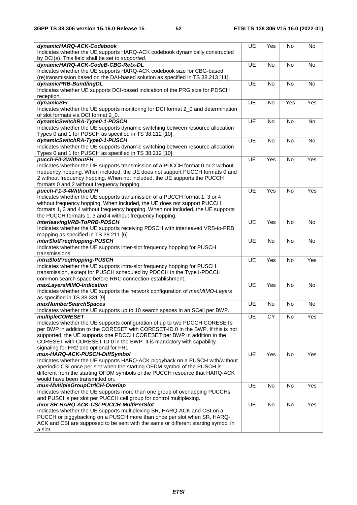| dynamicHARQ-ACK-Codebook                                                                     | UE | Yes       | No             | No             |
|----------------------------------------------------------------------------------------------|----|-----------|----------------|----------------|
| Indicates whether the UE supports HARQ-ACK codebook dynamically constructed                  |    |           |                |                |
| by DCI(s). This field shall be set to supported.                                             |    |           |                |                |
| dynamicHARQ-ACK-CodeB-CBG-Retx-DL                                                            | UE | No        | No             | <b>No</b>      |
| Indicates whether the UE supports HARQ-ACK codebook size for CBG-based                       |    |           |                |                |
| (re)transmission based on the DAI-based solution as specified in TS 38.213 [11].             |    |           |                |                |
| dynamicPRB-BundlingDL                                                                        | UE | No        | N <sub>o</sub> | N <sub>o</sub> |
| Indicates whether UE supports DCI-based indication of the PRG size for PDSCH                 |    |           |                |                |
| reception.                                                                                   |    |           |                |                |
| dynamicSFI                                                                                   | UE | No        | Yes            | Yes            |
| Indicates whether the UE supports monitoring for DCI format 2_0 and determination            |    |           |                |                |
| of slot formats via DCI format 2_0.                                                          |    |           |                |                |
| dynamicSwitchRA-Type0-1-PDSCH                                                                | UE | <b>No</b> | No             | No             |
| Indicates whether the UE supports dynamic switching between resource allocation              |    |           |                |                |
| Types 0 and 1 for PDSCH as specified in TS 38.212 [10].                                      |    |           |                |                |
| dynamicSwitchRA-Type0-1-PUSCH                                                                | UE | No        | No             | No             |
| Indicates whether the UE supports dynamic switching between resource allocation              |    |           |                |                |
|                                                                                              |    |           |                |                |
| Types 0 and 1 for PUSCH as specified in TS 38.212 [10].                                      |    |           |                |                |
| pucch-F0-2WithoutFH                                                                          | UE | Yes       | No             | Yes            |
| Indicates whether the UE supports transmission of a PUCCH format 0 or 2 without              |    |           |                |                |
| frequency hopping. When included, the UE does not support PUCCH formats 0 and                |    |           |                |                |
| 2 without frequency hopping. When not included, the UE supports the PUCCH                    |    |           |                |                |
| formats 0 and 2 without frequency hopping.                                                   |    |           |                |                |
| pucch-F1-3-4WithoutFH                                                                        | UE | Yes       | No             | Yes            |
| Indicates whether the UE supports transmission of a PUCCH format 1, 3 or 4                   |    |           |                |                |
| without frequency hopping. When included, the UE does not support PUCCH                      |    |           |                |                |
| formats 1, 3 and 4 without frequency hopping. When not included, the UE supports             |    |           |                |                |
| the PUCCH formats 1, 3 and 4 without frequency hopping.                                      |    |           |                |                |
| interleaving VRB-ToPRB-PDSCH                                                                 | UE | Yes       | No             | No             |
| Indicates whether the UE supports receiving PDSCH with interleaved VRB-to-PRB                |    |           |                |                |
| mapping as specified in TS 38.211 [6].                                                       |    |           |                |                |
| interSlotFreqHopping-PUSCH                                                                   | UE | No        | No             | No             |
|                                                                                              |    |           |                |                |
| Indicates whether the UE supports inter-slot frequency hopping for PUSCH                     |    |           |                |                |
| transmissions.                                                                               |    |           |                |                |
| intraSlotFreqHopping-PUSCH                                                                   | UE | Yes       | No             | Yes            |
| Indicates whether the UE supports intra-slot frequency hopping for PUSCH                     |    |           |                |                |
| transmission, except for PUSCH scheduled by PDCCH in the Type1-PDCCH                         |    |           |                |                |
| common search space before RRC connection establishment.                                     |    |           |                |                |
|                                                                                              |    |           |                |                |
| maxLayersMIMO-Indication                                                                     | UE | Yes       | No             | No             |
| Indicates whether the UE supports the network configuration of maxMIMO-Layers                |    |           |                |                |
| as specified in TS 38.331 [9].                                                               |    |           |                |                |
| maxNumberSearchSpaces                                                                        | UE | No        | No             | No             |
| Indicates whether the UE supports up to 10 search spaces in an SCell per BWP.                |    |           |                |                |
| <i>multipleCORESET</i>                                                                       | UE | CY        | No             | Yes            |
| Indicates whether the UE supports configuration of up to two PDCCH CORESETs                  |    |           |                |                |
| per BWP in addition to the CORESET with CORESET-ID 0 in the BWP. If this is not              |    |           |                |                |
| supported, the UE supports one PDCCH CORESET per BWP in addition to the                      |    |           |                |                |
| CORESET with CORESET-ID 0 in the BWP. It is mandatory with capability                        |    |           |                |                |
| signaling for FR2 and optional for FR1.                                                      |    |           |                |                |
| mux-HARQ-ACK-PUSCH-DiffSymbol                                                                | UE | Yes       | No             | Yes            |
| Indicates whether the UE supports HARQ-ACK piggyback on a PUSCH with/without                 |    |           |                |                |
| aperiodic CSI once per slot when the starting OFDM symbol of the PUSCH is                    |    |           |                |                |
| different from the starting OFDM symbols of the PUCCH resource that HARQ-ACK                 |    |           |                |                |
| would have been transmitted on.                                                              |    |           |                |                |
| mux-MultipleGroupCtrlCH-Overlap                                                              | UE | No        | No             | Yes            |
| Indicates whether the UE supports more than one group of overlapping PUCCHs                  |    |           |                |                |
| and PUSCHs per slot per PUCCH cell group for control multiplexing.                           |    |           |                |                |
| mux-SR-HARQ-ACK-CSI-PUCCH-MultiPerSlot                                                       | UE | No        | No             | Yes            |
| Indicates whether the UE supports multiplexing SR, HARQ-ACK and CSI on a                     |    |           |                |                |
| PUCCH or piggybacking on a PUSCH more than once per slot when SR, HARQ-                      |    |           |                |                |
| ACK and CSI are supposed to be sent with the same or different starting symbol in<br>a slot. |    |           |                |                |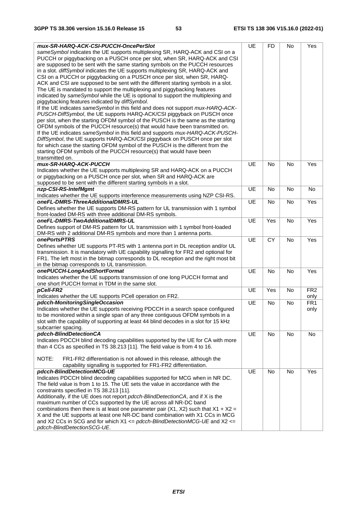| mux-SR-HARQ-ACK-CSI-PUCCH-OncePerSlot                                                              | UE        | <b>FD</b> | No        | Yes             |
|----------------------------------------------------------------------------------------------------|-----------|-----------|-----------|-----------------|
| sameSymbol indicates the UE supports multiplexing SR, HARQ-ACK and CSI on a                        |           |           |           |                 |
| PUCCH or piggybacking on a PUSCH once per slot, when SR, HARQ-ACK and CSI                          |           |           |           |                 |
| are supposed to be sent with the same starting symbols on the PUCCH resources                      |           |           |           |                 |
| in a slot. diffSymbol indicates the UE supports multiplexing SR, HARQ-ACK and                      |           |           |           |                 |
| CSI on a PUCCH or piggybacking on a PUSCH once per slot, when SR, HARQ-                            |           |           |           |                 |
| ACK and CSI are supposed to be sent with the different starting symbols in a slot.                 |           |           |           |                 |
| The UE is mandated to support the multiplexing and piggybacking features                           |           |           |           |                 |
| indicated by sameSymbol while the UE is optional to support the multiplexing and                   |           |           |           |                 |
| piggybacking features indicated by diffSymbol.                                                     |           |           |           |                 |
| If the UE indicates sameSymbol in this field and does not support mux-HARQ-ACK-                    |           |           |           |                 |
|                                                                                                    |           |           |           |                 |
| PUSCH-DiffSymbol, the UE supports HARQ-ACK/CSI piggyback on PUSCH once                             |           |           |           |                 |
| per slot, when the starting OFDM symbol of the PUSCH is the same as the starting                   |           |           |           |                 |
| OFDM symbols of the PUCCH resource(s) that would have been transmitted on.                         |           |           |           |                 |
| If the UE indicates sameSymbol in this field and supports mux-HARQ-ACK-PUSCH-                      |           |           |           |                 |
| DiffSymbol, the UE supports HARQ-ACK/CSI piggyback on PUSCH once per slot                          |           |           |           |                 |
| for which case the starting OFDM symbol of the PUSCH is the different from the                     |           |           |           |                 |
| starting OFDM symbols of the PUCCH resource(s) that would have been                                |           |           |           |                 |
| transmitted on.                                                                                    |           |           |           |                 |
| mux-SR-HARQ-ACK-PUCCH                                                                              | UE        | <b>No</b> | <b>No</b> | Yes             |
| Indicates whether the UE supports multiplexing SR and HARQ-ACK on a PUCCH                          |           |           |           |                 |
| or piggybacking on a PUSCH once per slot, when SR and HARQ-ACK are                                 |           |           |           |                 |
| supposed to be sent with the different starting symbols in a slot.                                 |           |           |           |                 |
| nzp-CSI-RS-IntefMgmt                                                                               | UE        | <b>No</b> | No        | No              |
| Indicates whether the UE supports interference measurements using NZP CSI-RS.                      |           |           |           |                 |
| oneFL-DMRS-ThreeAdditionalDMRS-UL                                                                  | <b>UE</b> | No        | No        | Yes             |
| Defines whether the UE supports DM-RS pattern for UL transmission with 1 symbol                    |           |           |           |                 |
| front-loaded DM-RS with three additional DM-RS symbols.                                            |           |           |           |                 |
| oneFL-DMRS-TwoAdditionalDMRS-UL                                                                    | UE        | Yes       | <b>No</b> | Yes             |
| Defines support of DM-RS pattern for UL transmission with 1 symbol front-loaded                    |           |           |           |                 |
| DM-RS with 2 additional DM-RS symbols and more than 1 antenna ports.                               |           |           |           |                 |
| onePortsPTRS                                                                                       | UE        | <b>CY</b> | No        | Yes             |
| Defines whether UE supports PT-RS with 1 antenna port in DL reception and/or UL                    |           |           |           |                 |
| transmission. It is mandatory with UE capability signalling for FR2 and optional for               |           |           |           |                 |
| FR1. The left most in the bitmap corresponds to DL reception and the right most bit                |           |           |           |                 |
| in the bitmap corresponds to UL transmission.                                                      |           |           |           |                 |
| onePUCCH-LongAndShortFormat                                                                        | UE        | <b>No</b> | <b>No</b> | Yes             |
| Indicates whether the UE supports transmission of one long PUCCH format and                        |           |           |           |                 |
| one short PUCCH format in TDM in the same slot.                                                    |           |           |           |                 |
| pCell-FR2                                                                                          | UE        | Yes       | No        | FR <sub>2</sub> |
| Indicates whether the UE supports PCell operation on FR2.                                          |           |           |           | only            |
| pdcch-MonitoringSingleOccasion                                                                     | UE        | No        | No        | FR <sub>1</sub> |
| Indicates whether the UE supports receiving PDCCH in a search space configured                     |           |           |           | only            |
| to be monitored within a single span of any three contiguous OFDM symbols in a                     |           |           |           |                 |
| slot with the capability of supporting at least 44 blind decodes in a slot for 15 kHz              |           |           |           |                 |
| subcarrier spacing.                                                                                |           |           |           |                 |
| pdcch-BlindDetectionCA                                                                             | UE        | No        | No        | No              |
| Indicates PDCCH blind decoding capabilities supported by the UE for CA with more                   |           |           |           |                 |
| than 4 CCs as specified in TS 38.213 [11]. The field value is from 4 to 16.                        |           |           |           |                 |
|                                                                                                    |           |           |           |                 |
| NOTE:<br>FR1-FR2 differentiation is not allowed in this release, although the                      |           |           |           |                 |
|                                                                                                    |           |           |           |                 |
| capability signalling is supported for FR1-FR2 differentiation.<br>pdcch-BlindDetectionMCG-UE      |           |           |           |                 |
|                                                                                                    | UE        | No        | No        | Yes             |
| Indicates PDCCH blind decoding capabilities supported for MCG when in NR DC.                       |           |           |           |                 |
| The field value is from 1 to 15. The UE sets the value in accordance with the                      |           |           |           |                 |
| constraints specified in TS 38.213 [11].                                                           |           |           |           |                 |
| Additionally, if the UE does not report pdcch-BlindDetectionCA, and if X is the                    |           |           |           |                 |
| maximum number of CCs supported by the UE across all NR-DC band                                    |           |           |           |                 |
| combinations then there is at least one parameter pair (X1, X2) such that $X1 + X2 =$              |           |           |           |                 |
| X and the UE supports at least one NR-DC band combination with X1 CCs in MCG                       |           |           |           |                 |
| and X2 CCs in SCG and for which $X1 \leq p \cdot \text{dccch-BlindDetection} MCG-UE$ and X2 $\leq$ |           |           |           |                 |
| pdcch-BlindDetectionSCG-UE.                                                                        |           |           |           |                 |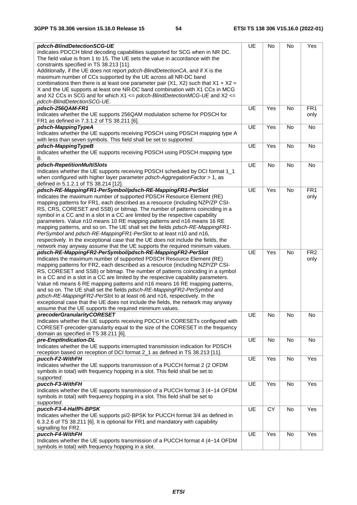| pdcch-BlindDetectionSCG-UE                                                            | UE | No        | No            | Yes             |
|---------------------------------------------------------------------------------------|----|-----------|---------------|-----------------|
| Indicates PDCCH blind decoding capabilities supported for SCG when in NR DC.          |    |           |               |                 |
| The field value is from 1 to 15. The UE sets the value in accordance with the         |    |           |               |                 |
| constraints specified in TS 38.213 [11].                                              |    |           |               |                 |
| Additionally, if the UE does not report pdcch-BlindDetectionCA, and if X is the       |    |           |               |                 |
| maximum number of CCs supported by the UE across all NR-DC band                       |    |           |               |                 |
| combinations then there is at least one parameter pair (X1, X2) such that $X1 + X2 =$ |    |           |               |                 |
| X and the UE supports at least one NR-DC band combination with X1 CCs in MCG          |    |           |               |                 |
| and X2 CCs in SCG and for which X1 <= pdcch-BlindDetectionMCG-UE and X2 <=            |    |           |               |                 |
| pdcch-BlindDetectionSCG-UE.                                                           |    |           |               |                 |
| pdsch-256QAM-FR1                                                                      | UE | Yes       | No            | FR <sub>1</sub> |
| Indicates whether the UE supports 256QAM modulation scheme for PDSCH for              |    |           |               | only            |
| FR1 as defined in 7.3.1.2 of TS 38.211 [6].                                           |    |           |               |                 |
| pdsch-MappingTypeA                                                                    | UE | Yes       | No            | No              |
| Indicates whether the UE supports receiving PDSCH using PDSCH mapping type A          |    |           |               |                 |
| with less than seven symbols. This field shall be set to supported.                   |    |           |               |                 |
|                                                                                       |    |           |               |                 |
| pdsch-MappingTypeB                                                                    | UE | Yes       | No            | No              |
| Indicates whether the UE supports receiving PDSCH using PDSCH mapping type            |    |           |               |                 |
| В.                                                                                    |    |           |               |                 |
| pdsch-RepetitionMultiSlots                                                            | UE | No        | No            | No              |
| Indicates whether the UE supports receiving PDSCH scheduled by DCI format 1_1         |    |           |               |                 |
| when configured with higher layer parameter pdsch-Aggregation Factor > 1, as          |    |           |               |                 |
| defined in 5.1.2.1 of TS 38.214 [12].                                                 |    |           |               |                 |
| pdsch-RE-MappingFR1-PerSymbol/pdsch-RE-MappingFR1-PerSlot                             | UE | Yes       | No            | FR <sub>1</sub> |
| Indicates the maximum number of supported PDSCH Resource Element (RE)                 |    |           |               | only            |
| mapping patterns for FR1, each described as a resource (including NZP/ZP CSI-         |    |           |               |                 |
| RS, CRS, CORESET and SSB) or bitmap. The number of patterns coinciding in a           |    |           |               |                 |
| symbol in a CC and in a slot in a CC are limited by the respective capability         |    |           |               |                 |
| parameters. Value n10 means 10 RE mapping patterns and n16 means 16 RE                |    |           |               |                 |
| mapping patterns, and so on. The UE shall set the fields pdsch-RE-MappingFR1-         |    |           |               |                 |
| PerSymbol and pdsch-RE-MappingFR1-PerSlot to at least n10 and n16,                    |    |           |               |                 |
| respectively. In the exceptional case that the UE does not include the fields, the    |    |           |               |                 |
| network may anyway assume that the UE supports the required minimum values.           |    |           |               |                 |
| pdsch-RE-MappingFR2-PerSymbol/pdsch-RE-MappingFR2-PerSlot                             | UE | Yes       | No            | FR <sub>2</sub> |
| Indicates the maximum number of supported PDSCH Resource Element (RE)                 |    |           |               | only            |
| mapping patterns for FR2, each described as a resource (including NZP/ZP CSI-         |    |           |               |                 |
| RS, CORESET and SSB) or bitmap. The number of patterns coinciding in a symbol         |    |           |               |                 |
| in a CC and in a slot in a CC are limited by the respective capability parameters.    |    |           |               |                 |
| Value n6 means 6 RE mapping patterns and n16 means 16 RE mapping patterns,            |    |           |               |                 |
| and so on. The UE shall set the fields pdsch-RE-MappingFR2-PerSymbol and              |    |           |               |                 |
| pdsch-RE-MappingFR2-PerSlot to at least n6 and n16, respectively. In the              |    |           |               |                 |
| exceptional case that the UE does not include the fields, the network may anyway      |    |           |               |                 |
| assume that the UE supports the required minimum values.                              |    |           |               |                 |
| precoderGranularityCORESET                                                            | UE | No        | No            | No              |
| Indicates whether the UE supports receiving PDCCH in CORESETs configured with         |    |           |               |                 |
| CORESET-precoder-granularity equal to the size of the CORESET in the frequency        |    |           |               |                 |
| domain as specified in TS 38.211 [6].                                                 |    |           |               |                 |
| pre-EmptIndication-DL                                                                 | UE | No        | No            | No              |
| Indicates whether the UE supports interrupted transmission indication for PDSCH       |    |           |               |                 |
| reception based on reception of DCI format 2_1 as defined in TS 38.213 [11].          |    |           |               |                 |
| pucch-F2-WithFH                                                                       | UE | Yes       | No            | Yes             |
| Indicates whether the UE supports transmission of a PUCCH format 2 (2 OFDM            |    |           |               |                 |
| symbols in total) with frequency hopping in a slot. This field shall be set to        |    |           |               |                 |
| supported.                                                                            |    |           |               |                 |
| pucch-F3-WithFH                                                                       | UE | Yes       | No            | Yes             |
|                                                                                       |    |           |               |                 |
| Indicates whether the UE supports transmission of a PUCCH format 3 (4~14 OFDM         |    |           |               |                 |
| symbols in total) with frequency hopping in a slot. This field shall be set to        |    |           |               |                 |
| supported.                                                                            |    |           |               |                 |
| pucch-F3-4-HalfPi-BPSK                                                                | UE | <b>CY</b> | $\mathsf{No}$ | Yes             |
| Indicates whether the UE supports pi/2-BPSK for PUCCH format 3/4 as defined in        |    |           |               |                 |
| 6.3.2.6 of TS 38.211 [6]. It is optional for FR1 and mandatory with capability        |    |           |               |                 |
| signalling for FR2.                                                                   |    |           |               |                 |
| pucch-F4-WithFH                                                                       | UE | Yes       | No            | Yes             |
| Indicates whether the UE supports transmission of a PUCCH format 4 (4~14 OFDM         |    |           |               |                 |
| symbols in total) with frequency hopping in a slot.                                   |    |           |               |                 |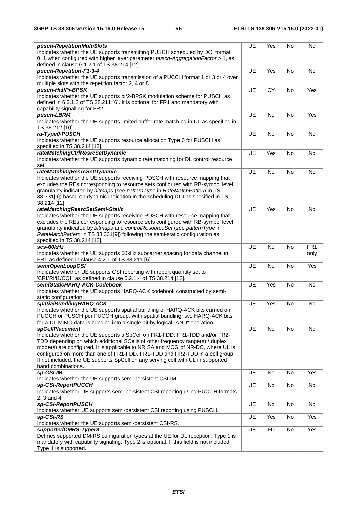| pusch-RepetitionMultiSlots                                                                                      | UE        | Yes       | No        | No              |
|-----------------------------------------------------------------------------------------------------------------|-----------|-----------|-----------|-----------------|
| Indicates whether the UE supports transmitting PUSCH scheduled by DCI format                                    |           |           |           |                 |
| 0_1 when configured with higher layer parameter pusch-AggregationFactor > 1, as                                 |           |           |           |                 |
| defined in clause 6.1.2.1 of TS 38.214 [12].                                                                    |           |           |           |                 |
| pucch-Repetition-F1-3-4                                                                                         | UE        | Yes       | <b>No</b> | <b>No</b>       |
| Indicates whether the UE supports transmission of a PUCCH format 1 or 3 or 4 over                               |           |           |           |                 |
| multiple slots with the repetition factor 2, 4 or 8.                                                            |           |           |           |                 |
|                                                                                                                 |           |           |           |                 |
| pusch-HalfPi-BPSK                                                                                               | UE        | CY        | No        | Yes             |
| Indicates whether the UE supports pi/2-BPSK modulation scheme for PUSCH as                                      |           |           |           |                 |
| defined in 6.3.1.2 of TS 38.211 [6]. It is optional for FR1 and mandatory with                                  |           |           |           |                 |
| capability signalling for FR2.                                                                                  |           |           |           |                 |
| pusch-LBRM                                                                                                      | UE        | No        | <b>No</b> | Yes             |
| Indicates whether the UE supports limited buffer rate matching in UL as specified in                            |           |           |           |                 |
| TS 38.212 [10].                                                                                                 |           |           |           |                 |
| ra-Type0-PUSCH                                                                                                  | UE        | <b>No</b> | <b>No</b> | No              |
| Indicates whether the UE supports resource allocation Type 0 for PUSCH as                                       |           |           |           |                 |
| specified in TS 38.214 [12].                                                                                    |           |           |           |                 |
| rateMatchingCtrlResrcSetDynamic                                                                                 | UE        | Yes       | No        | No              |
| Indicates whether the UE supports dynamic rate matching for DL control resource                                 |           |           |           |                 |
| set.                                                                                                            |           |           |           |                 |
|                                                                                                                 |           |           |           |                 |
| rateMatchingResrcSetDynamic                                                                                     | UE        | No        | No        | No              |
| Indicates whether the UE supports receiving PDSCH with resource mapping that                                    |           |           |           |                 |
| excludes the REs corresponding to resource sets configured with RB-symbol level                                 |           |           |           |                 |
| granularity indicated by bitmaps (see patternType in RateMatchPattern in TS                                     |           |           |           |                 |
| 38.331[9]) based on dynamic indication in the scheduling DCI as specified in TS                                 |           |           |           |                 |
| 38.214 [12].                                                                                                    |           |           |           |                 |
| rateMatchingResrcSetSemi-Static                                                                                 | UE        | Yes       | <b>No</b> | No              |
| Indicates whether the UE supports receiving PDSCH with resource mapping that                                    |           |           |           |                 |
| excludes the REs corresponding to resource sets configured with RB-symbol level                                 |           |           |           |                 |
| granularity indicated by bitmaps and controlResourceSet (see patternType in                                     |           |           |           |                 |
| RateMatchPattern in TS 38.331[9]) following the semi-static configuration as                                    |           |           |           |                 |
| specified in TS 38.214 [12].                                                                                    |           |           |           |                 |
| scs-60kHz                                                                                                       | UE        | No        | No        | FR <sub>1</sub> |
|                                                                                                                 |           |           |           |                 |
| Indicates whether the UE supports 60kHz subcarrier spacing for data channel in                                  |           |           |           | only            |
| FR1 as defined in clause 4.2-1 of TS 38.211 [6].                                                                |           |           |           |                 |
| semiOpenLoopCSI                                                                                                 | UE        | No        | No        | Yes             |
| Indicates whether UE supports CSI reporting with report quantity set to                                         |           |           |           |                 |
| 'CRI/RI/i1/CQI ' as defined in clause 5.2.1.4 of TS 38.214 [12].                                                |           |           |           |                 |
| semiStaticHARQ-ACK-Codebook                                                                                     | UE        | Yes       | No        | No              |
| Indicates whether the UE supports HARQ-ACK codebook constructed by semi-                                        |           |           |           |                 |
| static configuration.                                                                                           |           |           |           |                 |
| spatialBundlingHARQ-ACK                                                                                         | UE        | Yes       | No        | No              |
| Indicates whether the UE supports spatial bundling of HARQ-ACK bits carried on                                  |           |           |           |                 |
| PUCCH or PUSCH per PUCCH group. With spatial bundling, two HARQ-ACK bits                                        |           |           |           |                 |
| for a DL MIMO data is bundled into a single bit by logical "AND" operation.                                     |           |           |           |                 |
|                                                                                                                 |           |           |           |                 |
|                                                                                                                 |           |           |           |                 |
| <b>spCellPlacement</b>                                                                                          | UE        | No        | No        | No              |
| Indicates whether the UE supports a SpCell on FR1-FDD, FR1-TDD and/or FR2-                                      |           |           |           |                 |
| TDD depending on which additional SCells of other frequency range(s) / duplex                                   |           |           |           |                 |
| mode(s) are configured. It is applicable to NR SA and MCG of NR-DC, where UL is                                 |           |           |           |                 |
| configured on more than one of FR1-FDD, FR1-TDD and FR2-TDD in a cell group.                                    |           |           |           |                 |
| If not included, the UE supports SpCell on any serving cell with UL in supported                                |           |           |           |                 |
| band combinations.                                                                                              |           |           |           |                 |
| sp-CSI-IM                                                                                                       | UE        | No        | No        | Yes             |
| Indicates whether the UE supports semi-persistent CSI-IM.                                                       |           |           |           |                 |
| sp-CSI-ReportPUCCH                                                                                              | <b>UE</b> | No        | No        | No              |
| Indicates whether UE supports semi-persistent CSI reporting using PUCCH formats                                 |           |           |           |                 |
| 2, 3 and 4.                                                                                                     |           |           |           |                 |
|                                                                                                                 |           |           | <b>No</b> |                 |
| sp-CSI-ReportPUSCH                                                                                              | UE        | No        |           | No              |
| Indicates whether UE supports semi-persistent CSI reporting using PUSCH.                                        |           |           |           |                 |
| sp-CSI-RS                                                                                                       | UE        | Yes       | No        | Yes             |
| Indicates whether the UE supports semi-persistent CSI-RS.                                                       |           |           |           |                 |
| supportedDMRS-TypeDL                                                                                            | UE        | <b>FD</b> | No        | Yes             |
| Defines supported DM-RS configuration types at the UE for DL reception. Type 1 is                               |           |           |           |                 |
| mandatory with capability signaling. Type 2 is optional. If this field is not included,<br>Type 1 is supported. |           |           |           |                 |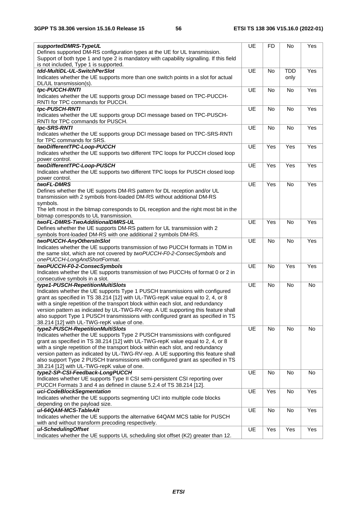| supportedDMRS-TypeUL                                                                                                                                                   | UE        | <b>FD</b> | No         | Yes |
|------------------------------------------------------------------------------------------------------------------------------------------------------------------------|-----------|-----------|------------|-----|
| Defines supported DM-RS configuration types at the UE for UL transmission.<br>Support of both type 1 and type 2 is mandatory with capability signalling. If this field |           |           |            |     |
| is not included, Type 1 is supported.                                                                                                                                  |           |           |            |     |
| tdd-MultiDL-UL-SwitchPerSlot                                                                                                                                           | UE        | No        | <b>TDD</b> | Yes |
| Indicates whether the UE supports more than one switch points in a slot for actual<br>DL/UL transmission(s).                                                           |           |           | only       |     |
| tpc-PUCCH-RNTI                                                                                                                                                         | UE        | No        | No         | Yes |
| Indicates whether the UE supports group DCI message based on TPC-PUCCH-                                                                                                |           |           |            |     |
| RNTI for TPC commands for PUCCH.                                                                                                                                       |           |           |            |     |
| tpc-PUSCH-RNTI                                                                                                                                                         | UE        | No        | <b>No</b>  | Yes |
| Indicates whether the UE supports group DCI message based on TPC-PUSCH-                                                                                                |           |           |            |     |
| RNTI for TPC commands for PUSCH.                                                                                                                                       |           |           |            |     |
| tpc-SRS-RNTI                                                                                                                                                           | <b>UE</b> | <b>No</b> | <b>No</b>  | Yes |
| Indicates whether the UE supports group DCI message based on TPC-SRS-RNTI                                                                                              |           |           |            |     |
| for TPC commands for SRS.                                                                                                                                              |           |           |            |     |
| twoDifferentTPC-Loop-PUCCH                                                                                                                                             | UE        | Yes       | Yes        | Yes |
| Indicates whether the UE supports two different TPC loops for PUCCH closed loop<br>power control.                                                                      |           |           |            |     |
| twoDifferentTPC-Loop-PUSCH                                                                                                                                             | UE        | Yes       | Yes        | Yes |
| Indicates whether the UE supports two different TPC loops for PUSCH closed loop                                                                                        |           |           |            |     |
| power control.                                                                                                                                                         |           |           |            |     |
| twoFL-DMRS                                                                                                                                                             | UE        | Yes       | <b>No</b>  | Yes |
| Defines whether the UE supports DM-RS pattern for DL reception and/or UL                                                                                               |           |           |            |     |
| transmission with 2 symbols front-loaded DM-RS without additional DM-RS                                                                                                |           |           |            |     |
| symbols.                                                                                                                                                               |           |           |            |     |
| The left most in the bitmap corresponds to DL reception and the right most bit in the                                                                                  |           |           |            |     |
| bitmap corresponds to UL transmission.                                                                                                                                 |           |           |            |     |
| twoFL-DMRS-TwoAdditionalDMRS-UL<br>Defines whether the UE supports DM-RS pattern for UL transmission with 2                                                            | UE        | Yes       | No         | Yes |
| symbols front-loaded DM-RS with one additional 2 symbols DM-RS.                                                                                                        |           |           |            |     |
| twoPUCCH-AnyOthersInSlot                                                                                                                                               | <b>UE</b> | <b>No</b> | <b>No</b>  | Yes |
| Indicates whether the UE supports transmission of two PUCCH formats in TDM in                                                                                          |           |           |            |     |
| the same slot, which are not covered by twoPUCCH-F0-2-ConsecSymbols and                                                                                                |           |           |            |     |
| onePUCCH-LongAndShortFormat.                                                                                                                                           |           |           |            |     |
| twoPUCCH-F0-2-ConsecSymbols                                                                                                                                            | UE        | No        | Yes        | Yes |
| Indicates whether the UE supports transmission of two PUCCHs of format 0 or 2 in                                                                                       |           |           |            |     |
| consecutive symbols in a slot.<br>type1-PUSCH-RepetitionMultiSlots                                                                                                     | UE        | <b>No</b> | <b>No</b>  | No  |
| Indicates whether the UE supports Type 1 PUSCH transmissions with configured                                                                                           |           |           |            |     |
| grant as specified in TS 38.214 [12] with UL-TWG-repK value equal to 2, 4, or 8                                                                                        |           |           |            |     |
| with a single repetition of the transport block within each slot, and redundancy                                                                                       |           |           |            |     |
| version pattern as indicated by UL-TWG-RV-rep. A UE supporting this feature shall                                                                                      |           |           |            |     |
| also support Type 1 PUSCH transmissions with configured grant as specified in TS                                                                                       |           |           |            |     |
| 38.214 [12] with UL-TWG-repK value of one.                                                                                                                             |           |           |            |     |
| type2-PUSCH-RepetitionMultiSlots                                                                                                                                       | UE        | No        | No         | No  |
| Indicates whether the UE supports Type 2 PUSCH transmissions with configured                                                                                           |           |           |            |     |
| grant as specified in TS 38.214 [12] with UL-TWG-repK value equal to 2, 4, or 8<br>with a single repetition of the transport block within each slot, and redundancy    |           |           |            |     |
| version pattern as indicated by UL-TWG-RV-rep. A UE supporting this feature shall                                                                                      |           |           |            |     |
| also support Type 2 PUSCH transmissions with configured grant as specified in TS                                                                                       |           |           |            |     |
| 38.214 [12] with UL-TWG-repK value of one.                                                                                                                             |           |           |            |     |
| type2-SP-CSI-Feedback-LongPUCCH                                                                                                                                        | <b>UE</b> | No        | No         | No  |
| Indicates whether UE supports Type II CSI semi-persistent CSI reporting over                                                                                           |           |           |            |     |
| PUCCH Formats 3 and 4 as defined in clause 5.2.4 of TS 38.214 [12].                                                                                                    |           |           |            |     |
| uci-CodeBlockSegmentation                                                                                                                                              | <b>UE</b> | Yes       | No         | Yes |
| Indicates whether the UE supports segmenting UCI into multiple code blocks<br>depending on the payload size.                                                           |           |           |            |     |
| ul-64QAM-MCS-TableAlt                                                                                                                                                  | UE        | No        | No         | Yes |
| Indicates whether the UE supports the alternative 64QAM MCS table for PUSCH                                                                                            |           |           |            |     |
| with and without transform precoding respectively.                                                                                                                     |           |           |            |     |
| ul-SchedulingOffset                                                                                                                                                    | UE        | Yes       | Yes        | Yes |
| Indicates whether the UE supports UL scheduling slot offset (K2) greater than 12.                                                                                      |           |           |            |     |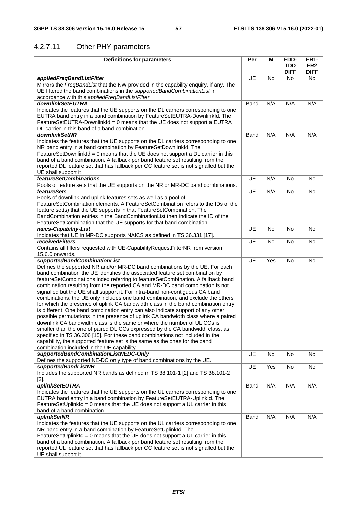# 4.2.7.11 Other PHY parameters

| <b>Definitions for parameters</b>                                                                                                                        | Per       | М         | FDD-        | <b>FR1-</b>     |
|----------------------------------------------------------------------------------------------------------------------------------------------------------|-----------|-----------|-------------|-----------------|
|                                                                                                                                                          |           |           | TDD         | FR <sub>2</sub> |
|                                                                                                                                                          |           |           | <b>DIFF</b> | <b>DIFF</b>     |
| appliedFreqBandListFilter                                                                                                                                | <b>UE</b> | No        | No.         | <b>No</b>       |
| Mirrors the FreqBandList that the NW provided in the capability enquiry, if any. The                                                                     |           |           |             |                 |
| UE filtered the band combinations in the supportedBandCombinationList in                                                                                 |           |           |             |                 |
| accordance with this appliedFreqBandListFilter.                                                                                                          |           |           |             |                 |
| downlinkSetEUTRA                                                                                                                                         | Band      | N/A       | N/A         | N/A             |
| Indicates the features that the UE supports on the DL carriers corresponding to one                                                                      |           |           |             |                 |
| EUTRA band entry in a band combination by FeatureSetEUTRA-DownlinkId. The                                                                                |           |           |             |                 |
| FeatureSetEUTRA-DownlinkId = 0 means that the UE does not support a EUTRA                                                                                |           |           |             |                 |
| DL carrier in this band of a band combination.                                                                                                           |           |           |             |                 |
| downlinkSetNR                                                                                                                                            | Band      | N/A       | N/A         | N/A             |
| Indicates the features that the UE supports on the DL carriers corresponding to one                                                                      |           |           |             |                 |
| NR band entry in a band combination by FeatureSetDownlinkId. The                                                                                         |           |           |             |                 |
| FeatureSetDownlinkId = 0 means that the UE does not support a DL carrier in this                                                                         |           |           |             |                 |
| band of a band combination. A fallback per band feature set resulting from the                                                                           |           |           |             |                 |
| reported DL feature set that has fallback per CC feature set is not signalled but the                                                                    |           |           |             |                 |
| UE shall support it.                                                                                                                                     |           |           |             |                 |
| <i>featureSetCombinations</i>                                                                                                                            | <b>UE</b> | N/A       | <b>No</b>   | <b>No</b>       |
| Pools of feature sets that the UE supports on the NR or MR-DC band combinations.                                                                         |           |           |             |                 |
| <i>featureSets</i>                                                                                                                                       | UE        | N/A       | <b>No</b>   | <b>No</b>       |
| Pools of downlink and uplink features sets as well as a pool of                                                                                          |           |           |             |                 |
| FeatureSetCombination elements. A FeatureSetCombination refers to the IDs of the                                                                         |           |           |             |                 |
| feature set(s) that the UE supports in that FeatureSetCombination. The<br>BandCombination entries in the BandCombinationList then indicate the ID of the |           |           |             |                 |
|                                                                                                                                                          |           |           |             |                 |
| FeatureSetCombination that the UE supports for that band combination.                                                                                    | UE        | <b>No</b> | No          | No              |
| naics-Capability-List<br>Indicates that UE in MR-DC supports NAICS as defined in TS 36.331 [17].                                                         |           |           |             |                 |
| <i>receivedFilters</i>                                                                                                                                   | UE        | <b>No</b> | <b>No</b>   | <b>No</b>       |
| Contains all filters requested with UE-Capability Request Filter NR from version                                                                         |           |           |             |                 |
| 15.6.0 onwards.                                                                                                                                          |           |           |             |                 |
| supportedBandCombinationList                                                                                                                             | UE        | Yes       | <b>No</b>   | No              |
| Defines the supported NR and/or MR-DC band combinations by the UE. For each                                                                              |           |           |             |                 |
| band combination the UE identifies the associated feature set combination by                                                                             |           |           |             |                 |
| featureSetCombinations index referring to featureSetCombination. A fallback band                                                                         |           |           |             |                 |
| combination resulting from the reported CA and MR-DC band combination is not                                                                             |           |           |             |                 |
| signalled but the UE shall support it. For intra-band non-contiguous CA band                                                                             |           |           |             |                 |
| combinations, the UE only includes one band combination, and exclude the others                                                                          |           |           |             |                 |
| for which the presence of uplink CA bandwidth class in the band combination entry                                                                        |           |           |             |                 |
| is different. One band combination entry can also indicate support of any other                                                                          |           |           |             |                 |
| possible permutations in the presence of uplink CA bandwidth class where a paired                                                                        |           |           |             |                 |
| downlink CA bandwidth class is the same or where the number of UL CCs is                                                                                 |           |           |             |                 |
| smaller than the one of paired DL CCs expressed by the CA bandwidth class, as                                                                            |           |           |             |                 |
| specified in TS 36.306 [15]. For these band combinations not included in the                                                                             |           |           |             |                 |
| capability, the supported feature set is the same as the ones for the band                                                                               |           |           |             |                 |
| combination included in the UE capability.                                                                                                               |           |           |             |                 |
| supportedBandCombinationListNEDC-Only                                                                                                                    | UE        | No        | No          | No              |
| Defines the supported NE-DC only type of band combinations by the UE.                                                                                    |           |           |             |                 |
| supportedBandListNR                                                                                                                                      | UE        | Yes       | No          | No              |
| Includes the supported NR bands as defined in TS 38.101-1 [2] and TS 38.101-2                                                                            |           |           |             |                 |
| $[3].$                                                                                                                                                   |           |           |             |                 |
| uplinkSetEUTRA                                                                                                                                           | Band      | N/A       | N/A         | N/A             |
| Indicates the features that the UE supports on the UL carriers corresponding to one                                                                      |           |           |             |                 |
| EUTRA band entry in a band combination by FeatureSetEUTRA-UplinkId. The                                                                                  |           |           |             |                 |
| FeatureSetUplinkId = 0 means that the UE does not support a UL carrier in this                                                                           |           |           |             |                 |
| band of a band combination.                                                                                                                              |           |           |             |                 |
| uplinkSetNR                                                                                                                                              | Band      | N/A       | N/A         | N/A             |
| Indicates the features that the UE supports on the UL carriers corresponding to one                                                                      |           |           |             |                 |
| NR band entry in a band combination by FeatureSetUplinkId. The                                                                                           |           |           |             |                 |
| FeatureSetUplinkId = 0 means that the UE does not support a UL carrier in this                                                                           |           |           |             |                 |
| band of a band combination. A fallback per band feature set resulting from the                                                                           |           |           |             |                 |
| reported UL feature set that has fallback per CC feature set is not signalled but the                                                                    |           |           |             |                 |
| UE shall support it.                                                                                                                                     |           |           |             |                 |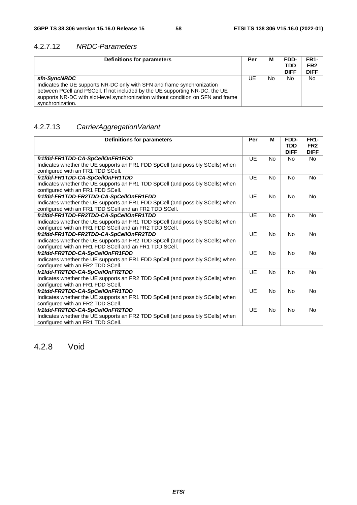### 4.2.7.12 *NRDC-Parameters*

| Definitions for parameters                                                                                                                                                                                                                                                       | Per | М  | FDD-<br><b>TDD</b><br><b>DIFF</b> | FR <sub>1</sub> -<br>FR <sub>2</sub><br><b>DIFF</b> |
|----------------------------------------------------------------------------------------------------------------------------------------------------------------------------------------------------------------------------------------------------------------------------------|-----|----|-----------------------------------|-----------------------------------------------------|
| sfn-SyncNRDC<br>Indicates the UE supports NR-DC only with SFN and frame synchronization<br>between PCell and PSCell. If not included by the UE supporting NR-DC, the UE<br>supports NR-DC with slot-level synchronization without condition on SFN and frame<br>synchronization. | UE  | No | No                                | <b>No</b>                                           |

### 4.2.7.13 *CarrierAggregationVariant*

| <b>Definitions for parameters</b>                                              | Per       | м         | FDD-<br><b>TDD</b><br><b>DIFF</b> | <b>FR1-</b><br>FR <sub>2</sub><br><b>DIFF</b> |
|--------------------------------------------------------------------------------|-----------|-----------|-----------------------------------|-----------------------------------------------|
| fr1fdd-FR1TDD-CA-SpCellOnFR1FDD                                                | UE        | <b>No</b> | <b>No</b>                         | <b>No</b>                                     |
| Indicates whether the UE supports an FR1 FDD SpCell (and possibly SCells) when |           |           |                                   |                                               |
| configured with an FR1 TDD SCell.                                              |           |           |                                   |                                               |
| fr1fdd-FR1TDD-CA-SpCellOnFR1TDD                                                | UE        | <b>No</b> | <b>No</b>                         | No                                            |
| Indicates whether the UE supports an FR1 TDD SpCell (and possibly SCells) when |           |           |                                   |                                               |
| configured with an FR1 FDD SCell.                                              |           |           |                                   |                                               |
| fr1fdd-FR1TDD-FR2TDD-CA-SpCellOnFR1FDD                                         | UE        | <b>No</b> | <b>No</b>                         | <b>No</b>                                     |
| Indicates whether the UE supports an FR1 FDD SpCell (and possibly SCells) when |           |           |                                   |                                               |
| configured with an FR1 TDD SCell and an FR2 TDD SCell.                         |           |           |                                   |                                               |
| fr1fdd-FR1TDD-FR2TDD-CA-SpCellOnFR1TDD                                         | <b>UE</b> | <b>No</b> | <b>No</b>                         | <b>No</b>                                     |
| Indicates whether the UE supports an FR1 TDD SpCell (and possibly SCells) when |           |           |                                   |                                               |
| configured with an FR1 FDD SCell and an FR2 TDD SCell.                         |           |           |                                   |                                               |
| fr1fdd-FR1TDD-FR2TDD-CA-SpCellOnFR2TDD                                         | UE        | <b>No</b> | <b>No</b>                         | <b>No</b>                                     |
| Indicates whether the UE supports an FR2 TDD SpCell (and possibly SCells) when |           |           |                                   |                                               |
| configured with an FR1 FDD SCell and an FR1 TDD SCell.                         |           |           |                                   |                                               |
| fr1fdd-FR2TDD-CA-SpCellOnFR1FDD                                                | <b>UE</b> | <b>No</b> | <b>No</b>                         | No                                            |
| Indicates whether the UE supports an FR1 FDD SpCell (and possibly SCells) when |           |           |                                   |                                               |
| configured with an FR2 TDD SCell.                                              |           |           |                                   |                                               |
| fr1fdd-FR2TDD-CA-SpCellOnFR2TDD                                                | <b>UE</b> | <b>No</b> | <b>No</b>                         | <b>No</b>                                     |
| Indicates whether the UE supports an FR2 TDD SpCell (and possibly SCells) when |           |           |                                   |                                               |
| configured with an FR1 FDD SCell.                                              |           |           |                                   |                                               |
| fr1tdd-FR2TDD-CA-SpCellOnFR1TDD                                                | UE        | <b>No</b> | <b>No</b>                         | No                                            |
| Indicates whether the UE supports an FR1 TDD SpCell (and possibly SCells) when |           |           |                                   |                                               |
| configured with an FR2 TDD SCell.                                              |           |           |                                   |                                               |
| fr1tdd-FR2TDD-CA-SpCellOnFR2TDD                                                | UE        | No        | No                                | No                                            |
| Indicates whether the UE supports an FR2 TDD SpCell (and possibly SCells) when |           |           |                                   |                                               |
| configured with an FR1 TDD SCell.                                              |           |           |                                   |                                               |

### 4.2.8 Void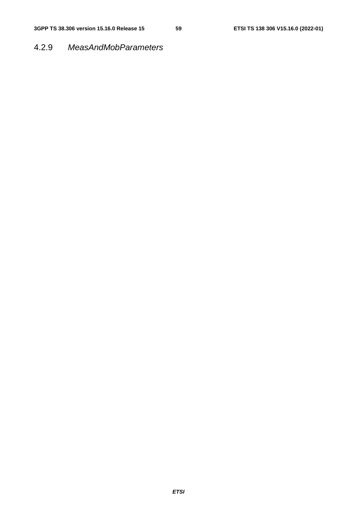### 4.2.9 *MeasAndMobParameters*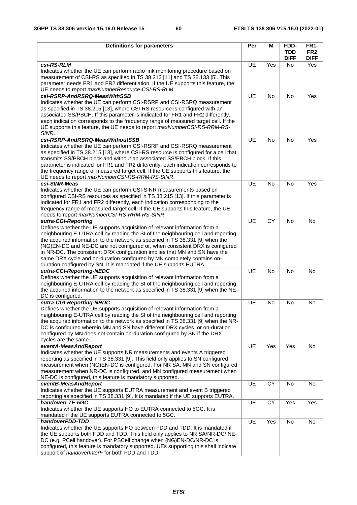| <b>Definitions for parameters</b>                                                                                                                                     | Per       | М         | FDD-                      | <b>FR1-</b>                    |
|-----------------------------------------------------------------------------------------------------------------------------------------------------------------------|-----------|-----------|---------------------------|--------------------------------|
|                                                                                                                                                                       |           |           | <b>TDD</b><br><b>DIFF</b> | FR <sub>2</sub><br><b>DIFF</b> |
| csi-RS-RLM                                                                                                                                                            | UE        | Yes       | No                        | Yes                            |
| Indicates whether the UE can perform radio link monitoring procedure based on                                                                                         |           |           |                           |                                |
| measurement of CSI-RS as specified in TS 38.213 [11] and TS 38.133 [5]. This<br>parameter needs FR1 and FR2 differentiation. If the UE supports this feature, the     |           |           |                           |                                |
| UE needs to report maxNumberResource-CSI-RS-RLM.                                                                                                                      |           |           |                           |                                |
| csi-RSRP-AndRSRQ-MeasWithSSB                                                                                                                                          | UE        | No        | No                        | Yes                            |
| Indicates whether the UE can perform CSI-RSRP and CSI-RSRQ measurement                                                                                                |           |           |                           |                                |
| as specified in TS 38.215 [13], where CSI-RS resource is configured with an                                                                                           |           |           |                           |                                |
| associated SS/PBCH. If this parameter is indicated for FR1 and FR2 differently,<br>each indication corresponds to the frequency range of measured target cell. If the |           |           |                           |                                |
| UE supports this feature, the UE needs to report maxNumberCSI-RS-RRM-RS-                                                                                              |           |           |                           |                                |
| SINR.                                                                                                                                                                 |           |           |                           |                                |
| csi-RSRP-AndRSRQ-MeasWithoutSSB                                                                                                                                       | UE        | <b>No</b> | <b>No</b>                 | Yes                            |
| Indicates whether the UE can perform CSI-RSRP and CSI-RSRQ measurement                                                                                                |           |           |                           |                                |
| as specified in TS 38.215 [13], where CSI-RS resource is configured for a cell that<br>transmits SS/PBCH block and without an associated SS/PBCH block. If this       |           |           |                           |                                |
| parameter is indicated for FR1 and FR2 differently, each indication corresponds to                                                                                    |           |           |                           |                                |
| the frequency range of measured target cell. If the UE supports this feature, the                                                                                     |           |           |                           |                                |
| UE needs to report maxNumberCSI-RS-RRM-RS-SINR.                                                                                                                       |           |           |                           |                                |
| csi-SINR-Meas<br>Indicates whether the UE can perform CSI-SINR measurements based on                                                                                  | UE        | <b>No</b> | No                        | Yes                            |
| configured CSI-RS resources as specified in TS 38.215 [13]. If this parameter is                                                                                      |           |           |                           |                                |
| indicated for FR1 and FR2 differently, each indication corresponding to the                                                                                           |           |           |                           |                                |
| frequency range of measured target cell. If the UE supports this feature, the UE                                                                                      |           |           |                           |                                |
| needs to report maxNumberCSI-RS-RRM-RS-SINR.                                                                                                                          |           |           |                           |                                |
| eutra-CGI-Reporting<br>Defines whether the UE supports acquisition of relevant information from a                                                                     | UE        | CY        | <b>No</b>                 | No                             |
| neighbouring E-UTRA cell by reading the SI of the neighbouring cell and reporting                                                                                     |           |           |                           |                                |
| the acquired information to the network as specified in TS 38.331 [9] when the                                                                                        |           |           |                           |                                |
| (NG)EN-DC and NE-DC are not configured or, when consistent DRX is configured                                                                                          |           |           |                           |                                |
| in NR-DC. The consistent DRX configuration implies that MN and SN have the                                                                                            |           |           |                           |                                |
| same DRX cycle and on-duration configured by MN completely contains on-<br>duration configured by SN. It is mandated if the UE supports EUTRA.                        |           |           |                           |                                |
| eutra-CGI-Reporting-NEDC                                                                                                                                              | UE        | <b>No</b> | No                        | No                             |
| Defines whether the UE supports acquisition of relevant information from a                                                                                            |           |           |                           |                                |
| neighbouring E-UTRA cell by reading the SI of the neighbouring cell and reporting                                                                                     |           |           |                           |                                |
| the acquired information to the network as specified in TS 38.331 [9] when the NE-<br>DC is configured.                                                               |           |           |                           |                                |
| eutra-CGI-Reporting-NRDC                                                                                                                                              | <b>UE</b> | No        | <b>No</b>                 | No                             |
| Defines whether the UE supports acquisition of relevant information from a                                                                                            |           |           |                           |                                |
| neighbouring E-UTRA cell by reading the SI of the neighbouring cell and reporting                                                                                     |           |           |                           |                                |
| the acquired information to the network as specified in TS 38.331 [9] when the NR-                                                                                    |           |           |                           |                                |
| DC is configured wherein MN and SN have different DRX cycles, or on-duration<br>configured by MN does not contain on-duration configured by SN if the DRX             |           |           |                           |                                |
| cycles are the same.                                                                                                                                                  |           |           |                           |                                |
| eventA-MeasAndReport                                                                                                                                                  | UE        | Yes       | Yes                       | No                             |
| Indicates whether the UE supports NR measurements and events A triggered                                                                                              |           |           |                           |                                |
| reporting as specified in TS 38.331 [9]. This field only applies to SN configured<br>measurement when (NG)EN-DC is configured. For NR SA, MN and SN configured        |           |           |                           |                                |
| measurement when NR-DC is configured, and MN configured measurement when                                                                                              |           |           |                           |                                |
| NE-DC is configured, this feature is mandatory supported.                                                                                                             |           |           |                           |                                |
| eventB-MeasAndReport                                                                                                                                                  | UE        | CY        | No                        | No                             |
| Indicates whether the UE supports EUTRA measurement and event B triggered<br>reporting as specified in TS 38.331 [9]. It is mandated if the UE supports EUTRA.        |           |           |                           |                                |
| handoverLTE-5GC                                                                                                                                                       | UE        | CY        | Yes                       | Yes                            |
| Indicates whether the UE supports HO to EUTRA connected to 5GC. It is                                                                                                 |           |           |                           |                                |
| mandated if the UE supports EUTRA connected to 5GC.                                                                                                                   |           |           |                           |                                |
| handoverFDD-TDD                                                                                                                                                       | UE        | Yes       | No                        | No                             |
| Indicates whether the UE supports HO between FDD and TDD. It is mandated if<br>the UE supports both FDD and TDD. This field only applies to NR SA/NR-DC/ NE-          |           |           |                           |                                |
| DC (e.g. PCell handover). For PSCell change when (NG)EN-DC/NR-DC is                                                                                                   |           |           |                           |                                |
| configured, this feature is mandatory supported. UEs supporting this shall indicate                                                                                   |           |           |                           |                                |
| support of handoverInterF for both FDD and TDD.                                                                                                                       |           |           |                           |                                |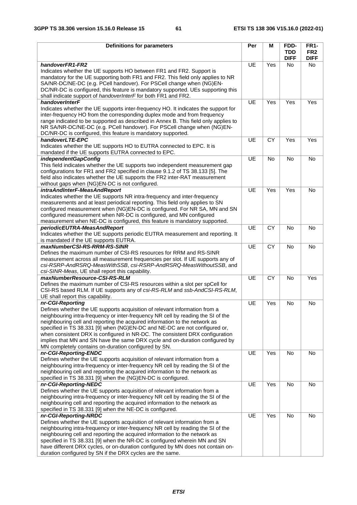| <b>Definitions for parameters</b>                                                                                                                              | Per       | M         | FDD-        | <b>FR1-</b>     |
|----------------------------------------------------------------------------------------------------------------------------------------------------------------|-----------|-----------|-------------|-----------------|
|                                                                                                                                                                |           |           | <b>TDD</b>  | FR <sub>2</sub> |
|                                                                                                                                                                |           |           | <b>DIFF</b> | <b>DIFF</b>     |
| handoverFR1-FR2                                                                                                                                                | UE        | Yes       | No.         | <b>No</b>       |
| Indicates whether the UE supports HO between FR1 and FR2. Support is<br>mandatory for the UE supporting both FR1 and FR2. This field only applies to NR        |           |           |             |                 |
| SA/NR-DC/NE-DC (e.g. PCell handover). For PSCell change when (NG)EN-                                                                                           |           |           |             |                 |
| DC/NR-DC is configured, this feature is mandatory supported. UEs supporting this                                                                               |           |           |             |                 |
| shall indicate support of handoverInterF for both FR1 and FR2.                                                                                                 |           |           |             |                 |
| handoverInterF                                                                                                                                                 | UE        | Yes       | Yes         | Yes             |
| Indicates whether the UE supports inter-frequency HO. It indicates the support for                                                                             |           |           |             |                 |
| inter-frequency HO from the corresponding duplex mode and from frequency                                                                                       |           |           |             |                 |
| range indicated to be supported as described in Annex B. This field only applies to                                                                            |           |           |             |                 |
| NR SA/NR-DC/NE-DC (e.g. PCell handover). For PSCell change when (NG)EN-                                                                                        |           |           |             |                 |
| DC/NR-DC is configured, this feature is mandatory supported.<br>handoverLTE-EPC                                                                                | <b>UE</b> | CY        | Yes         | Yes             |
| Indicates whether the UE supports HO to EUTRA connected to EPC. It is                                                                                          |           |           |             |                 |
| mandated if the UE supports EUTRA connected to EPC.                                                                                                            |           |           |             |                 |
| independentGapConfig                                                                                                                                           | UE        | <b>No</b> | <b>No</b>   | <b>No</b>       |
| This field indicates whether the UE supports two independent measurement gap                                                                                   |           |           |             |                 |
| configurations for FR1 and FR2 specified in clause 9.1.2 of TS 38.133 [5]. The                                                                                 |           |           |             |                 |
| field also indicates whether the UE supports the FR2 inter-RAT measurement                                                                                     |           |           |             |                 |
| without gaps when (NG)EN-DC is not configured.                                                                                                                 |           |           |             |                 |
| intraAndInterF-MeasAndReport                                                                                                                                   | <b>UE</b> | Yes       | Yes         | <b>No</b>       |
| Indicates whether the UE supports NR intra-frequency and inter-frequency                                                                                       |           |           |             |                 |
| measurements and at least periodical reporting. This field only applies to SN                                                                                  |           |           |             |                 |
| configured measurement when (NG)EN-DC is configured. For NR SA, MN and SN                                                                                      |           |           |             |                 |
| configured measurement when NR-DC is configured, and MN configured<br>measurement when NE-DC is configured, this feature is mandatory supported.               |           |           |             |                 |
| periodicEUTRA-MeasAndReport                                                                                                                                    | <b>UE</b> | <b>CY</b> | <b>No</b>   | No              |
| Indicates whether the UE supports periodic EUTRA measurement and reporting. It                                                                                 |           |           |             |                 |
| is mandated if the UE supports EUTRA.                                                                                                                          |           |           |             |                 |
| maxNumberCSI-RS-RRM-RS-SINR                                                                                                                                    | UE        | <b>CY</b> | <b>No</b>   | <b>No</b>       |
| Defines the maximum number of CSI-RS resources for RRM and RS-SINR                                                                                             |           |           |             |                 |
| measurement across all measurement frequencies per slot. If UE supports any of                                                                                 |           |           |             |                 |
| csi-RSRP-AndRSRQ-MeasWithSSB, csi-RSRP-AndRSRQ-MeasWithoutSSB, and                                                                                             |           |           |             |                 |
| csi-SINR-Meas, UE shall report this capability.                                                                                                                |           |           |             |                 |
| maxNumberResource-CSI-RS-RLM                                                                                                                                   | <b>UE</b> | <b>CY</b> | <b>No</b>   | Yes             |
| Defines the maximum number of CSI-RS resources within a slot per spCell for<br>CSI-RS based RLM. If UE supports any of csi-RS-RLM and ssb-AndCSI-RS-RLM,       |           |           |             |                 |
| UE shall report this capability.                                                                                                                               |           |           |             |                 |
| nr-CGI-Reporting                                                                                                                                               | <b>UE</b> | Yes       | <b>No</b>   | No              |
| Defines whether the UE supports acquisition of relevant information from a                                                                                     |           |           |             |                 |
| neighbouring intra-frequency or inter-frequency NR cell by reading the SI of the                                                                               |           |           |             |                 |
| neighbouring cell and reporting the acquired information to the network as                                                                                     |           |           |             |                 |
| specified in TS 38.331 [9] when (NG)EN-DC and NE-DC are not configured or,                                                                                     |           |           |             |                 |
| when consistent DRX is configured in NR-DC. The consistent DRX configuration                                                                                   |           |           |             |                 |
| implies that MN and SN have the same DRX cycle and on-duration configured by                                                                                   |           |           |             |                 |
| MN completely contains on-duration configured by SN.<br>nr-CGI-Reporting-ENDC                                                                                  |           |           |             |                 |
| Defines whether the UE supports acquisition of relevant information from a                                                                                     | UE        | Yes       | No          | No              |
| neighbouring intra-frequency or inter-frequency NR cell by reading the SI of the                                                                               |           |           |             |                 |
| neighbouring cell and reporting the acquired information to the network as                                                                                     |           |           |             |                 |
| specified in TS 38.331 [9] when the (NG)EN-DC is configured.                                                                                                   |           |           |             |                 |
| nr-CGI-Reporting-NEDC                                                                                                                                          | UE        | Yes       | No          | No              |
| Defines whether the UE supports acquisition of relevant information from a                                                                                     |           |           |             |                 |
| neighbouring intra-frequency or inter-frequency NR cell by reading the SI of the                                                                               |           |           |             |                 |
| neighbouring cell and reporting the acquired information to the network as                                                                                     |           |           |             |                 |
| specified in TS 38.331 [9] when the NE-DC is configured.                                                                                                       |           |           |             |                 |
| nr-CGI-Reporting-NRDC                                                                                                                                          | UE        | Yes       | No          | No              |
| Defines whether the UE supports acquisition of relevant information from a                                                                                     |           |           |             |                 |
| neighbouring intra-frequency or inter-frequency NR cell by reading the SI of the<br>neighbouring cell and reporting the acquired information to the network as |           |           |             |                 |
| specified in TS 38.331 [9] when the NR-DC is configured wherein MN and SN                                                                                      |           |           |             |                 |
| have different DRX cycles, or on-duration configured by MN does not contain on-                                                                                |           |           |             |                 |
| duration configured by SN if the DRX cycles are the same.                                                                                                      |           |           |             |                 |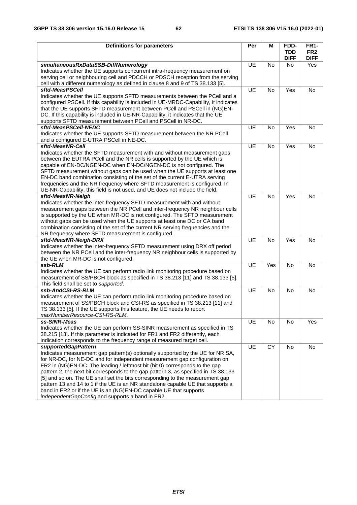| <b>Definitions for parameters</b>                                                                                                                               | Per       | M         | FDD-                      | <b>FR1-</b>                    |
|-----------------------------------------------------------------------------------------------------------------------------------------------------------------|-----------|-----------|---------------------------|--------------------------------|
|                                                                                                                                                                 |           |           | <b>TDD</b><br><b>DIFF</b> | FR <sub>2</sub><br><b>DIFF</b> |
| simultaneousRxDataSSB-DiffNumerology                                                                                                                            | <b>UE</b> | <b>No</b> | No.                       | Yes                            |
| Indicates whether the UE supports concurrent intra-frequency measurement on                                                                                     |           |           |                           |                                |
| serving cell or neighbouring cell and PDCCH or PDSCH reception from the serving                                                                                 |           |           |                           |                                |
| cell with a different numerology as defined in clause 8 and 9 of TS 38.133 [5].                                                                                 |           |           |                           |                                |
| sftd-MeasPSCell                                                                                                                                                 | UE        | <b>No</b> | Yes                       | No                             |
| Indicates whether the UE supports SFTD measurements between the PCell and a                                                                                     |           |           |                           |                                |
| configured PSCell. If this capability is included in UE-MRDC-Capability, it indicates                                                                           |           |           |                           |                                |
| that the UE supports SFTD measurement between PCell and PSCell in (NG)EN-                                                                                       |           |           |                           |                                |
| DC. If this capability is included in UE-NR-Capability, it indicates that the UE                                                                                |           |           |                           |                                |
| supports SFTD measurement between PCell and PSCell in NR-DC.                                                                                                    |           |           |                           |                                |
| sftd-MeasPSCell-NEDC                                                                                                                                            | <b>UE</b> | No        | Yes                       | No                             |
| Indicates whether the UE supports SFTD measurement between the NR PCell                                                                                         |           |           |                           |                                |
| and a configured E-UTRA PSCell in NE-DC.                                                                                                                        |           |           |                           |                                |
| sftd-MeasNR-Cell                                                                                                                                                | UE        | No        | Yes                       | No                             |
| Indicates whether the SFTD measurement with and without measurement gaps                                                                                        |           |           |                           |                                |
| between the EUTRA PCell and the NR cells is supported by the UE which is                                                                                        |           |           |                           |                                |
| capable of EN-DC/NGEN-DC when EN-DC/NGEN-DC is not configured. The                                                                                              |           |           |                           |                                |
| SFTD measurement without gaps can be used when the UE supports at least one                                                                                     |           |           |                           |                                |
| EN-DC band combination consisting of the set of the current E-UTRA serving                                                                                      |           |           |                           |                                |
| frequencies and the NR frequency where SFTD measurement is configured. In                                                                                       |           |           |                           |                                |
| UE-NR-Capability, this field is not used, and UE does not include the field.                                                                                    |           |           |                           |                                |
| sftd-MeasNR-Neigh                                                                                                                                               | UE        | <b>No</b> | Yes                       | <b>No</b>                      |
| Indicates whether the inter-frequency SFTD measurement with and without                                                                                         |           |           |                           |                                |
| measurement gaps between the NR PCell and inter-frequency NR neighbour cells                                                                                    |           |           |                           |                                |
| is supported by the UE when MR-DC is not configured. The SFTD measurement                                                                                       |           |           |                           |                                |
| without gaps can be used when the UE supports at least one DC or CA band                                                                                        |           |           |                           |                                |
| combination consisting of the set of the current NR serving frequencies and the                                                                                 |           |           |                           |                                |
| NR frequency where SFTD measurement is configured.                                                                                                              |           |           |                           |                                |
| sftd-MeasNR-Neigh-DRX                                                                                                                                           | UE        | <b>No</b> | Yes                       | <b>No</b>                      |
| Indicates whether the inter-frequency SFTD measurement using DRX off period                                                                                     |           |           |                           |                                |
| between the NR PCell and the inter-frequency NR neighbour cells is supported by                                                                                 |           |           |                           |                                |
| the UE when MR-DC is not configured.                                                                                                                            | UE        | Yes       |                           |                                |
| ssb-RLM                                                                                                                                                         |           |           | No                        | No                             |
| Indicates whether the UE can perform radio link monitoring procedure based on<br>measurement of SS/PBCH block as specified in TS 38.213 [11] and TS 38.133 [5]. |           |           |                           |                                |
| This field shall be set to supported.                                                                                                                           |           |           |                           |                                |
| ssb-AndCSI-RS-RLM                                                                                                                                               | UE        | No        | No                        | No                             |
| Indicates whether the UE can perform radio link monitoring procedure based on                                                                                   |           |           |                           |                                |
| measurement of SS/PBCH block and CSI-RS as specified in TS 38.213 [11] and                                                                                      |           |           |                           |                                |
| TS 38.133 [5]. If the UE supports this feature, the UE needs to report                                                                                          |           |           |                           |                                |
| maxNumberResource-CSI-RS-RLM.                                                                                                                                   |           |           |                           |                                |
| ss-SINR-Meas                                                                                                                                                    | UE        | No        | No                        | Yes                            |
| Indicates whether the UE can perform SS-SINR measurement as specified in TS                                                                                     |           |           |                           |                                |
| 38.215 [13]. If this parameter is indicated for FR1 and FR2 differently, each                                                                                   |           |           |                           |                                |
| indication corresponds to the frequency range of measured target cell.                                                                                          |           |           |                           |                                |
| supportedGapPattern                                                                                                                                             | UE        | CY        | No                        | $\mathsf{No}$                  |
| Indicates measurement gap pattern(s) optionally supported by the UE for NR SA,                                                                                  |           |           |                           |                                |
| for NR-DC, for NE-DC and for independent measurement gap configuration on                                                                                       |           |           |                           |                                |
| FR2 in (NG)EN-DC. The leading / leftmost bit (bit 0) corresponds to the gap                                                                                     |           |           |                           |                                |
| pattern 2, the next bit corresponds to the gap pattern 3, as specified in TS 38.133                                                                             |           |           |                           |                                |
| [5] and so on. The UE shall set the bits corresponding to the measurement gap                                                                                   |           |           |                           |                                |
| pattern 13 and 14 to 1 if the UE is an NR standalone capable UE that supports a                                                                                 |           |           |                           |                                |
| band in FR2 or if the UE is an (NG)EN-DC capable UE that supports                                                                                               |           |           |                           |                                |
| independentGapConfig and supports a band in FR2.                                                                                                                |           |           |                           |                                |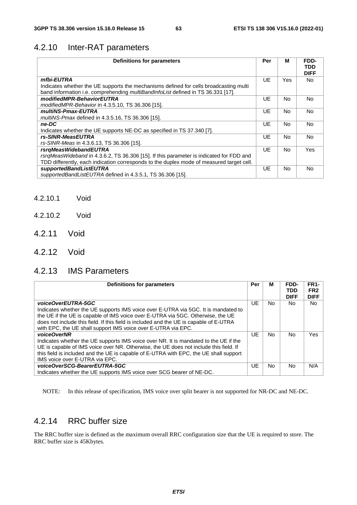### 4.2.10 Inter-RAT parameters

| <b>Definitions for parameters</b>                                                                                                                                         | Per | м         | FDD-<br>TDD<br><b>DIFF</b> |
|---------------------------------------------------------------------------------------------------------------------------------------------------------------------------|-----|-----------|----------------------------|
| mfbi-EUTRA                                                                                                                                                                | UE  | Yes.      | No.                        |
| Indicates whether the UE supports the mechanisms defined for cells broadcasting multi<br>band information i.e. comprehending multiBandInfoList defined in TS 36.331 [17]. |     |           |                            |
| modifiedMPR-BehaviorEUTRA                                                                                                                                                 | UE  | No.       | No.                        |
| modifiedMPR-Behavior in 4.3.5.10, TS 36.306 [15].                                                                                                                         |     |           |                            |
| multiNS-Pmax-EUTRA                                                                                                                                                        | UE  | No.       | <b>No</b>                  |
| multiNS-Pmax defined in 4.3.5.16, TS 36.306 [15].                                                                                                                         |     |           |                            |
| ne-DC                                                                                                                                                                     | UE  | No.       | <b>No</b>                  |
| Indicates whether the UE supports NE-DC as specified in TS 37.340 [7].                                                                                                    |     |           |                            |
| rs-SINR-MeasEUTRA                                                                                                                                                         | UE  | <b>No</b> | No.                        |
| rs-SINR-Meas in 4.3.6.13, TS 36.306 [15].                                                                                                                                 |     |           |                            |
| rsrgMeasWidebandEUTRA                                                                                                                                                     | UE  | No.       | <b>Yes</b>                 |
| rsrgMeasWideband in 4.3.6.2, TS 36.306 [15]. If this parameter is indicated for FDD and                                                                                   |     |           |                            |
| TDD differently, each indication corresponds to the duplex mode of measured target cell.                                                                                  |     |           |                            |
| supportedBandListEUTRA                                                                                                                                                    | UE  | No.       | No.                        |
| supportedBandListEUTRA defined in 4.3.5.1, TS 36.306 [15].                                                                                                                |     |           |                            |

- 4.2.10.1 Void
- 4.2.10.2 Void
- 4.2.11 Void
- 4.2.12 Void

### 4.2.13 IMS Parameters

| Definitions for parameters                                                                                                                                                                                                                                                                                                                             | Per | м   | FDD-<br>TDD<br><b>DIFF</b> | <b>FR1-</b><br>FR <sub>2</sub><br><b>DIFF</b> |
|--------------------------------------------------------------------------------------------------------------------------------------------------------------------------------------------------------------------------------------------------------------------------------------------------------------------------------------------------------|-----|-----|----------------------------|-----------------------------------------------|
| voiceOverEUTRA-5GC<br>Indicates whether the UE supports IMS voice over E-UTRA via 5GC. It is mandated to<br>the UE if the UE is capable of IMS voice over E-UTRA via 5GC. Otherwise, the UE<br>does not include this field. If this field is included and the UE is capable of E-UTRA<br>with EPC, the UE shall support IMS voice over E-UTRA via EPC. | UE. | No. | No.                        | No.                                           |
| voiceOverNR<br>Indicates whether the UE supports IMS voice over NR. It is mandated to the UE if the<br>UE is capable of IMS voice over NR. Otherwise, the UE does not include this field. If<br>this field is included and the UE is capable of E-UTRA with EPC, the UE shall support<br>IMS voice over E-UTRA via EPC.                                | UE. | No. | No.                        | Yes                                           |
| voiceOverSCG-BearerEUTRA-5GC<br>Indicates whether the UE supports IMS voice over SCG bearer of NE-DC.                                                                                                                                                                                                                                                  | UE. | No. | No.                        | N/A                                           |

NOTE: In this release of specification, IMS voice over split bearer is not supported for NR-DC and NE-DC.

### 4.2.14 RRC buffer size

The RRC buffer size is defined as the maximum overall RRC configuration size that the UE is required to store. The RRC buffer size is 45Kbytes.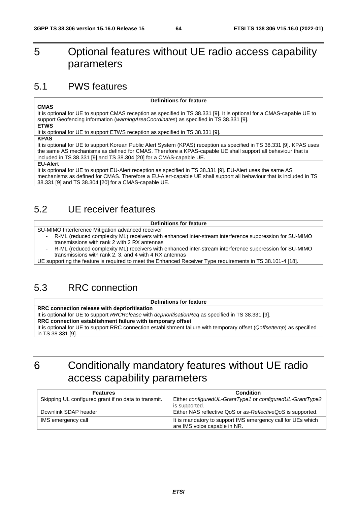# 5 Optional features without UE radio access capability parameters

## 5.1 PWS features

#### **CMAS**

It is optional for UE to support CMAS reception as specified in TS 38.331 [9]. It is optional for a CMAS-capable UE to support Geofencing information (*warningAreaCoordinates*) as specified in TS 38.331 [9].

**Definitions for feature**

**ETWS**

It is optional for UE to support ETWS reception as specified in TS 38.331 [9].

**KPAS**

It is optional for UE to support Korean Public Alert System (KPAS) reception as specified in TS 38.331 [9]. KPAS uses the same AS mechanisms as defined for CMAS. Therefore a KPAS-capable UE shall support all behaviour that is included in TS 38.331 [9] and TS 38.304 [20] for a CMAS-capable UE.

#### **EU-Alert**

It is optional for UE to support EU-Alert reception as specified in TS 38.331 [9]. EU-Alert uses the same AS mechanisms as defined for CMAS. Therefore a EU-Alert-capable UE shall support all behaviour that is included in TS 38.331 [9] and TS 38.304 [20] for a CMAS-capable UE.

# 5.2 UE receiver features

#### **Definitions for feature**

SU-MIMO Interference Mitigation advanced receiver

- R-ML (reduced complexity ML) receivers with enhanced inter-stream interference suppression for SU-MIMO transmissions with rank 2 with 2 RX antennas
- R-ML (reduced complexity ML) receivers with enhanced inter-stream interference suppression for SU-MIMO transmissions with rank 2, 3, and 4 with 4 RX antennas

UE supporting the feature is required to meet the Enhanced Receiver Type requirements in TS 38.101-4 [18].

# 5.3 RRC connection

### **Definitions for feature**

**RRC connection release with deprioritisation**

It is optional for UE to support *RRCRelease* with *deprioritisationReq* as specified in TS 38.331 [9].

**RRC connection establishment failure with temporary offset**

It is optional for UE to support RRC connection establishment failure with temporary offset (*Qoffsettemp*) as specified in TS 38.331 [9].

# 6 Conditionally mandatory features without UE radio access capability parameters

| <b>Features</b>                                      | <b>Condition</b>                                                                            |
|------------------------------------------------------|---------------------------------------------------------------------------------------------|
| Skipping UL configured grant if no data to transmit. | Either configuredUL-GrantType1 or configuredUL-GrantType2<br>is supported.                  |
| Downlink SDAP header                                 | Either NAS reflective QoS or as-ReflectiveQoS is supported.                                 |
| IMS emergency call                                   | It is mandatory to support IMS emergency call for UEs which<br>are IMS voice capable in NR. |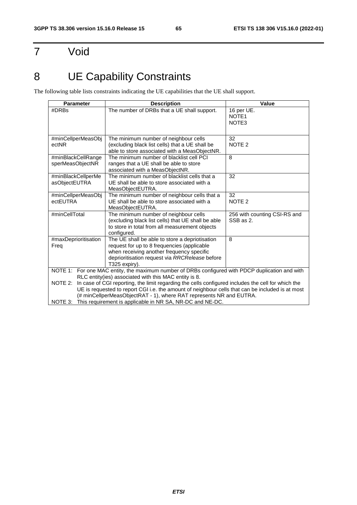# 7 Void

# 8 UE Capability Constraints

The following table lists constraints indicating the UE capabilities that the UE shall support.

| <b>Parameter</b>                                                                                              | <b>Description</b>                                                                                   | Value                                                |  |  |
|---------------------------------------------------------------------------------------------------------------|------------------------------------------------------------------------------------------------------|------------------------------------------------------|--|--|
| #DRBs                                                                                                         | The number of DRBs that a UE shall support.                                                          | 16 per UE.<br>NOTE <sub>1</sub><br>NOTE <sub>3</sub> |  |  |
|                                                                                                               | The minimum number of neighbour cells                                                                | 32                                                   |  |  |
| #minCellperMeasObj<br>ectNR                                                                                   | (excluding black list cells) that a UE shall be                                                      | NOTE <sub>2</sub>                                    |  |  |
|                                                                                                               | able to store associated with a MeasObjectNR.                                                        |                                                      |  |  |
| #minBlackCellRange                                                                                            | The minimum number of blacklist cell PCI                                                             | 8                                                    |  |  |
| sperMeasObjectNR                                                                                              | ranges that a UE shall be able to store                                                              |                                                      |  |  |
|                                                                                                               | associated with a MeasObjectNR.                                                                      |                                                      |  |  |
| #minBlackCellperMe                                                                                            | The minimum number of blacklist cells that a<br>UE shall be able to store associated with a          | 32                                                   |  |  |
| asObjectEUTRA                                                                                                 | MeasObjectEUTRA.                                                                                     |                                                      |  |  |
| #minCellperMeasObj                                                                                            | The minimum number of neighbour cells that a                                                         | 32                                                   |  |  |
| ectEUTRA                                                                                                      | UE shall be able to store associated with a                                                          | NOTE <sub>2</sub>                                    |  |  |
|                                                                                                               | MeasObjectEUTRA.                                                                                     |                                                      |  |  |
| #minCellTotal                                                                                                 | The minimum number of neighbour cells                                                                | 256 with counting CSI-RS and                         |  |  |
|                                                                                                               | (excluding black list cells) that UE shall be able<br>to store in total from all measurement objects | SSB as 2.                                            |  |  |
|                                                                                                               | configured.                                                                                          |                                                      |  |  |
| #maxDeprioritisation                                                                                          | The UE shall be able to store a depriotisation                                                       | 8                                                    |  |  |
| Freq                                                                                                          | request for up to 8 frequencies (applicable                                                          |                                                      |  |  |
|                                                                                                               | when receiving another frequency specific                                                            |                                                      |  |  |
|                                                                                                               | deprioritisation request via RRCRelease before<br>T325 expiry).                                      |                                                      |  |  |
|                                                                                                               | NOTE 1: For one MAC entity, the maximum number of DRBs configured with PDCP duplication and with     |                                                      |  |  |
|                                                                                                               | RLC entity(ies) associated with this MAC entity is 8.                                                |                                                      |  |  |
| In case of CGI reporting, the limit regarding the cells configured includes the cell for which the<br>NOTE 2: |                                                                                                      |                                                      |  |  |
| UE is requested to report CGI i.e. the amount of neighbour cells that can be included is at most              |                                                                                                      |                                                      |  |  |
| (# minCellperMeasObjectRAT - 1), where RAT represents NR and EUTRA.                                           |                                                                                                      |                                                      |  |  |
| NOTE 3:                                                                                                       | This requirement is applicable in NR SA, NR-DC and NE-DC.                                            |                                                      |  |  |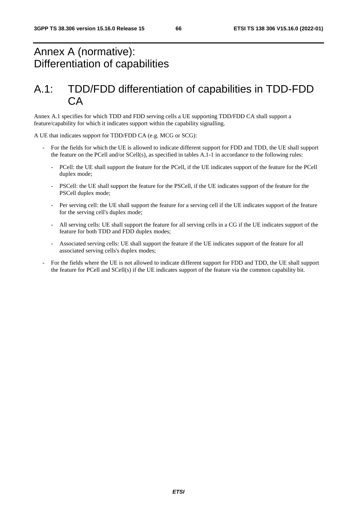# Annex A (normative): Differentiation of capabilities

# A.1: TDD/FDD differentiation of capabilities in TDD-FDD CA

Annex A.1 specifies for which TDD and FDD serving cells a UE supporting TDD/FDD CA shall support a feature/capability for which it indicates support within the capability signalling.

A UE that indicates support for TDD/FDD CA (e.g. MCG or SCG):

- For the fields for which the UE is allowed to indicate different support for FDD and TDD, the UE shall support the feature on the PCell and/or SCell(s), as specified in tables A.1-1 in accordance to the following rules:
	- PCell: the UE shall support the feature for the PCell, if the UE indicates support of the feature for the PCell duplex mode;
	- PSCell: the UE shall support the feature for the PSCell, if the UE indicates support of the feature for the PSCell duplex mode;
	- Per serving cell: the UE shall support the feature for a serving cell if the UE indicates support of the feature for the serving cell's duplex mode;
	- All serving cells: UE shall support the feature for all serving cells in a CG if the UE indicates support of the feature for both TDD and FDD duplex modes;
	- Associated serving cells: UE shall support the feature if the UE indicates support of the feature for all associated serving cells's duplex modes;
- For the fields where the UE is not allowed to indicate different support for FDD and TDD, the UE shall support the feature for PCell and SCell(s) if the UE indicates support of the feature via the common capability bit.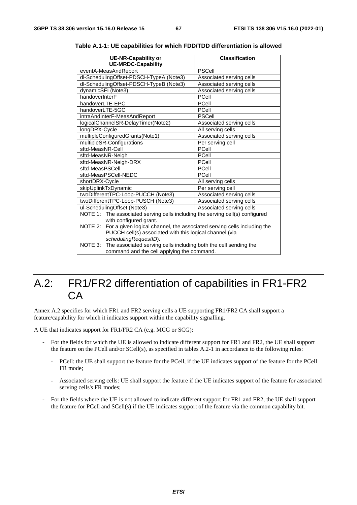|                                            | <b>UE-NR-Capability or</b><br><b>UE-MRDC-Capability</b>                       | <b>Classification</b>    |  |  |  |
|--------------------------------------------|-------------------------------------------------------------------------------|--------------------------|--|--|--|
|                                            | eventA-MeasAndReport                                                          | <b>PSCell</b>            |  |  |  |
| dl-SchedulingOffset-PDSCH-TypeA (Note3)    |                                                                               | Associated serving cells |  |  |  |
|                                            | dl-SchedulingOffset-PDSCH-TypeB (Note3)                                       | Associated serving cells |  |  |  |
| dynamicSFI (Note3)                         |                                                                               | Associated serving cells |  |  |  |
| handoverInterF                             |                                                                               | PCell                    |  |  |  |
| handoverLTE-EPC                            |                                                                               | PCell                    |  |  |  |
| handoverLTE-5GC                            |                                                                               | PCell                    |  |  |  |
|                                            | intraAndInterF-MeasAndReport                                                  | <b>PSCell</b>            |  |  |  |
|                                            | logicalChannelSR-DelayTimer(Note2)                                            | Associated serving cells |  |  |  |
| longDRX-Cycle                              |                                                                               | All serving cells        |  |  |  |
|                                            | multipleConfiguredGrants(Note1)                                               | Associated serving cells |  |  |  |
|                                            | multipleSR-Configurations                                                     | Per serving cell         |  |  |  |
| sftd-MeasNR-Cell                           | PCell                                                                         |                          |  |  |  |
| sftd-MeasNR-Neigh                          |                                                                               | PCell                    |  |  |  |
|                                            | sftd-MeasNR-Neigh-DRX                                                         | PCell                    |  |  |  |
| sftd-MeasPSCell                            |                                                                               | PCell                    |  |  |  |
| sftd-MeasPSCell-NEDC<br>PCell              |                                                                               |                          |  |  |  |
| shortDRX-Cycle                             |                                                                               | All serving cells        |  |  |  |
|                                            | skipUplinkTxDynamic                                                           | Per serving cell         |  |  |  |
|                                            | twoDifferentTPC-Loop-PUCCH (Note3)                                            | Associated serving cells |  |  |  |
|                                            | twoDifferentTPC-Loop-PUSCH (Note3)                                            | Associated serving cells |  |  |  |
|                                            | ul-SchedulingOffset (Note3)                                                   | Associated serving cells |  |  |  |
|                                            | NOTE 1: The associated serving cells including the serving cell(s) configured |                          |  |  |  |
|                                            | with configured grant.                                                        |                          |  |  |  |
| NOTE 2:                                    | For a given logical channel, the associated serving cells including the       |                          |  |  |  |
|                                            | PUCCH cell(s) associated with this logical channel (via                       |                          |  |  |  |
|                                            | schedulingRequestID).                                                         |                          |  |  |  |
| NOTE 3:                                    | The associated serving cells including both the cell sending the              |                          |  |  |  |
| command and the cell applying the command. |                                                                               |                          |  |  |  |

**Table A.1-1: UE capabilities for which FDD/TDD differentiation is allowed** 

# A.2: FR1/FR2 differentiation of capabilities in FR1-FR2 CA

Annex A.2 specifies for which FR1 and FR2 serving cells a UE supporting FR1/FR2 CA shall support a feature/capability for which it indicates support within the capability signalling.

A UE that indicates support for FR1/FR2 CA (e.g. MCG or SCG):

- For the fields for which the UE is allowed to indicate different support for FR1 and FR2, the UE shall support the feature on the PCell and/or SCell(s), as specified in tables A.2-1 in accordance to the following rules:
	- PCell: the UE shall support the feature for the PCell, if the UE indicates support of the feature for the PCell FR mode;
	- Associated serving cells: UE shall support the feature if the UE indicates support of the feature for associated serving cells's FR modes;
- For the fields where the UE is not allowed to indicate different support for FR1 and FR2, the UE shall support the feature for PCell and SCell(s) if the UE indicates support of the feature via the common capability bit.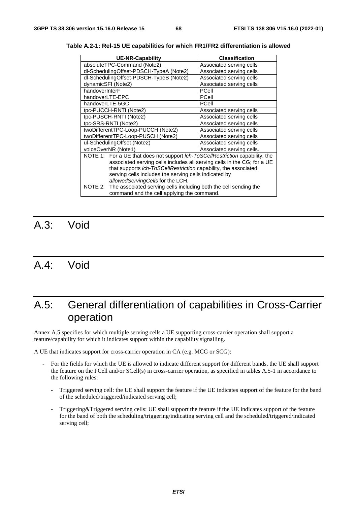| <b>UE-NR-Capability</b>                                                                                                   | <b>Classification</b>     |  |  |  |
|---------------------------------------------------------------------------------------------------------------------------|---------------------------|--|--|--|
| absoluteTPC-Command (Note2)                                                                                               | Associated serving cells  |  |  |  |
| dl-SchedulingOffset-PDSCH-TypeA (Note2)                                                                                   | Associated serving cells  |  |  |  |
| dl-SchedulingOffset-PDSCH-TypeB (Note2)                                                                                   | Associated serving cells  |  |  |  |
| dynamicSFI (Note2)                                                                                                        | Associated serving cells  |  |  |  |
| handoverInterF                                                                                                            | PCell                     |  |  |  |
| handoverLTE-EPC                                                                                                           | PCell                     |  |  |  |
| handoverLTE-5GC                                                                                                           | PCell                     |  |  |  |
| tpc-PUCCH-RNTI (Note2)                                                                                                    | Associated serving cells  |  |  |  |
| tpc-PUSCH-RNTI (Note2)                                                                                                    | Associated serving cells  |  |  |  |
| tpc-SRS-RNTI (Note2)                                                                                                      | Associated serving cells  |  |  |  |
| twoDifferentTPC-Loop-PUCCH (Note2)                                                                                        | Associated serving cells  |  |  |  |
| twoDifferentTPC-Loop-PUSCH (Note2)                                                                                        | Associated serving cells  |  |  |  |
| ul-SchedulingOffset (Note2)                                                                                               | Associated serving cells  |  |  |  |
| voiceOverNR (Note1)                                                                                                       | Associated serving cells. |  |  |  |
| NOTE 1: For a UE that does not support Ich-ToSCellRestriction capability, the                                             |                           |  |  |  |
| associated serving cells includes all serving cells in the CG; for a UE                                                   |                           |  |  |  |
| that supports Ich-ToSCellRestriction capability, the associated                                                           |                           |  |  |  |
| serving cells includes the serving cells indicated by                                                                     |                           |  |  |  |
| allowedServingCells for the LCH.                                                                                          |                           |  |  |  |
| The associated serving cells including both the cell sending the<br>NOTE 2:<br>command and the cell applying the command. |                           |  |  |  |

**Table A.2-1: Rel-15 UE capabilities for which FR1/FR2 differentiation is allowed** 

# A.3: Void

# A.4: Void

# A.5: General differentiation of capabilities in Cross-Carrier operation

Annex A.5 specifies for which multiple serving cells a UE supporting cross-carrier operation shall support a feature/capability for which it indicates support within the capability signalling.

A UE that indicates support for cross-carrier operation in CA (e.g. MCG or SCG):

- For the fields for which the UE is allowed to indicate different support for different bands, the UE shall support the feature on the PCell and/or SCell(s) in cross-carrier operation, as specified in tables A.5-1 in accordance to the following rules:
	- Triggered serving cell: the UE shall support the feature if the UE indicates support of the feature for the band of the scheduled/triggered/indicated serving cell;
	- Triggering&Triggered serving cells: UE shall support the feature if the UE indicates support of the feature for the band of both the scheduling/triggering/indicating serving cell and the scheduled/triggered/indicated serving cell;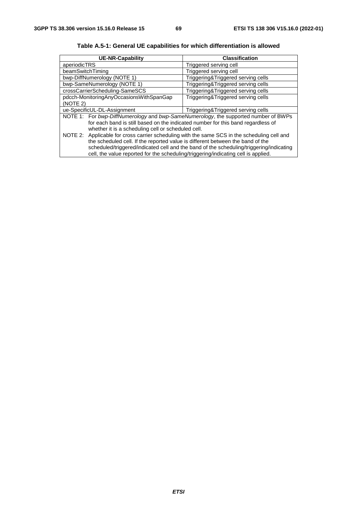| <b>UE-NR-Capability</b>                                                                      | Classification                     |  |  |  |
|----------------------------------------------------------------------------------------------|------------------------------------|--|--|--|
| aperiodicTRS                                                                                 | Triggered serving cell             |  |  |  |
| beamSwitchTiming                                                                             | Triggered serving cell             |  |  |  |
| bwp-DiffNumerology (NOTE 1)                                                                  | Triggering&Triggered serving cells |  |  |  |
| bwp-SameNumerology (NOTE 1)                                                                  | Triggering&Triggered serving cells |  |  |  |
| crossCarrierScheduling-SameSCS                                                               | Triggering&Triggered serving cells |  |  |  |
| pdcch-MonitoringAnyOccasionsWithSpanGap<br>Triggering&Triggered serving cells                |                                    |  |  |  |
| (NOTE 2)                                                                                     |                                    |  |  |  |
| ue-SpecificUL-DL-Assignment<br>Triggering&Triggered serving cells                            |                                    |  |  |  |
| NOTE 1: For bwp-DiffNumerology and bwp-SameNumerology, the supported number of BWPs          |                                    |  |  |  |
| for each band is still based on the indicated number for this band regardless of             |                                    |  |  |  |
| whether it is a scheduling cell or scheduled cell.                                           |                                    |  |  |  |
| NOTE 2: Applicable for cross carrier scheduling with the same SCS in the scheduling cell and |                                    |  |  |  |
| the scheduled cell. If the reported value is different between the band of the               |                                    |  |  |  |
| scheduled/triggered/indicated cell and the band of the scheduling/triggering/indicating      |                                    |  |  |  |
| cell, the value reported for the scheduling/triggering/indicating cell is applied.           |                                    |  |  |  |

**Table A.5-1: General UE capabilities for which differentiation is allowed**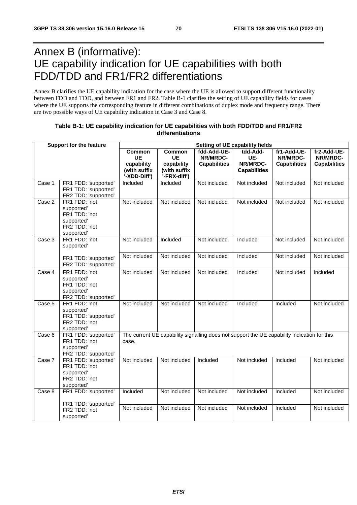# Annex B (informative): UE capability indication for UE capabilities with both FDD/TDD and FR1/FR2 differentiations

Annex B clarifies the UE capability indication for the case where the UE is allowed to support different functionality between FDD and TDD, and between FR1 and FR2. Table B-1 clarifies the setting of UE capability fields for cases where the UE supports the corresponding feature in different combinations of duplex mode and frequency range. There are two possible ways of UE capability indication in Case 3 and Case 8.

| <b>Support for the feature</b> |                                                                                          | Setting of UE capability fields   |                              |                                                |                                                                                             |                                                |                                                |
|--------------------------------|------------------------------------------------------------------------------------------|-----------------------------------|------------------------------|------------------------------------------------|---------------------------------------------------------------------------------------------|------------------------------------------------|------------------------------------------------|
|                                |                                                                                          | <b>Common</b><br>UE<br>capability | Common<br>UE<br>capability   | fdd-Add-UE-<br>NR/MRDC-<br><b>Capabilities</b> | tdd-Add-<br>UE-<br>NR/MRDC-                                                                 | fr1-Add-UE-<br>NR/MRDC-<br><b>Capabilities</b> | fr2-Add-UE-<br>NR/MRDC-<br><b>Capabilities</b> |
|                                |                                                                                          | (with suffix<br>'-XDD-Diff')      | (with suffix<br>'-FRX-diff') |                                                | <b>Capabilities</b>                                                                         |                                                |                                                |
| Case 1                         | FR1 FDD: 'supported'<br>FR1 TDD: 'supported'<br>FR2 TDD: 'supported'                     | Included                          | Included                     | Not included                                   | Not included                                                                                | Not included                                   | Not included                                   |
| Case 2                         | FR1 FDD: 'not<br>supported'<br>FR1 TDD: 'not<br>supported'<br>FR2 TDD: 'not<br>supported | Not included                      | Not included                 | Not included                                   | Not included                                                                                | Not included                                   | Not included                                   |
| Case 3                         | FR1 FDD: 'not<br>supported'                                                              | Not included                      | Included                     | Not included                                   | Included                                                                                    | Not included                                   | Not included                                   |
|                                | FR1 TDD: 'supported'<br>FR2 TDD: 'supported'                                             | Not included                      | Not included                 | Not included                                   | Included                                                                                    | Not included                                   | Not included                                   |
| Case 4                         | FR1 FDD: 'not<br>supported'<br>FR1 TDD: 'not<br>supported'<br>FR2 TDD: 'supported'       | Not included                      | Not included                 | Not included                                   | Included                                                                                    | Not included                                   | Included                                       |
| Case 5                         | FR1 FDD: 'not<br>supported'<br>FR1 TDD: 'supported'<br>FR2 TDD: 'not<br>supported'       | Not included                      | Not included                 | Not included                                   | Included                                                                                    | Included                                       | Not included                                   |
| Case 6                         | FR1 FDD: 'supported'<br>FR1 TDD: 'not<br>supported'<br>FR2 TDD: 'supported'              | case.                             |                              |                                                | The current UE capability signalling does not support the UE capability indication for this |                                                |                                                |
| Case 7                         | FR1 FDD: 'supported'<br>FR1 TDD: 'not<br>supported'<br>FR2 TDD: 'not<br>supported'       | Not included                      | Not included                 | Included                                       | Not included                                                                                | Included                                       | Not included                                   |
| Case 8                         | FR1 FDD: 'supported'                                                                     | Included                          | Not included                 | Not included                                   | Not included                                                                                | Included                                       | Not included                                   |
|                                | FR1 TDD: 'supported'<br>FR2 TDD: 'not<br>supported'                                      | Not included                      | Not included                 | Not included                                   | Not included                                                                                | Included                                       | Not included                                   |

### **Table B-1: UE capability indication for UE capabilities with both FDD/TDD and FR1/FR2 differentiations**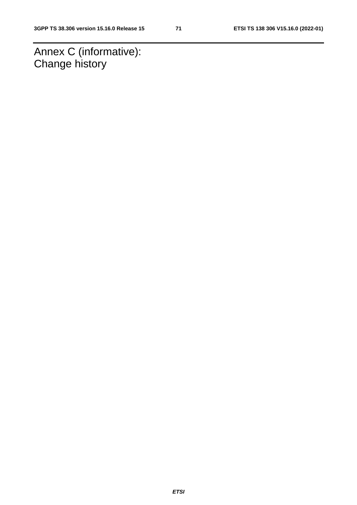Annex C (informative): Change history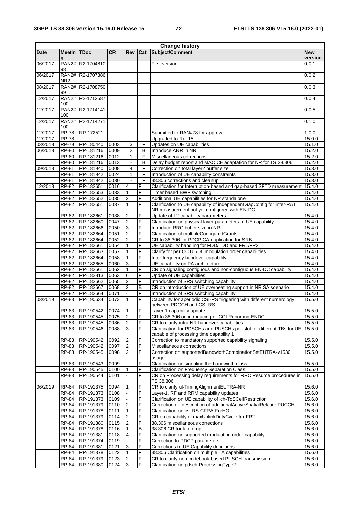| <b>Change history</b> |                         |                        |              |                                |             |                                                                                                                       |                       |
|-----------------------|-------------------------|------------------------|--------------|--------------------------------|-------------|-----------------------------------------------------------------------------------------------------------------------|-----------------------|
| Date                  | <b>Meetin TDoc</b><br>g |                        | <b>CR</b>    | Rev                            | Cat         | Subject/Comment                                                                                                       | <b>New</b><br>version |
| 06/2017               | 98                      | RAN2# R2-1704810       |              |                                |             | First version                                                                                                         | 0.0.1                 |
| 06/2017               | NR <sub>2</sub>         | RAN2# R2-1707386       |              |                                |             |                                                                                                                       | 0.0.2                 |
| 08/2017               | 99                      | RAN2# R2-1708750       |              |                                |             |                                                                                                                       | 0.0.3                 |
| 12/2017               | 100                     | RAN2# R2-1712587       |              |                                |             |                                                                                                                       | 0.0.4                 |
| 12/2017               |                         | RAN2# R2-1714141       |              |                                |             |                                                                                                                       | 0.0.5                 |
| 12/2017               | 100                     | RAN2# R2-1714271       |              |                                |             |                                                                                                                       | 0.1.0                 |
| 12/2017               | 100<br><b>RP-78</b>     | RP-172521              |              |                                |             | Submitted to RAN#78 for approval                                                                                      | 1.0.0                 |
| 12/2017               | <b>RP-78</b>            |                        |              |                                |             | Upgraded to Rel-15                                                                                                    | 15.0.0                |
| 03/2018               | <b>RP-79</b>            | RP-180440              | 0003         | 3                              | F           | Updates on UE capabilities                                                                                            | 15.1.0                |
| 06/2018               | RP-80                   | RP-181216              | 0009         | $\overline{2}$                 | B           | Introduce ANR in NR                                                                                                   | 15.2.0                |
|                       | <b>RP-80</b>            | RP-181216              | 0012         | $\mathbf{1}$                   | F           | Miscellaneous corrections                                                                                             | 15.2.0                |
|                       | <b>RP-80</b>            | RP-181216              | 0013         | $\blacksquare$                 | B           | Delay budget report and MAC CE adaptation for NR for TS 38.306                                                        | 15.2.0                |
| 09/2018               | RP-81                   | RP-181940              | 0008         | $\overline{4}$                 | F           | Correction on total layer2 buffer size                                                                                | 15.3.0                |
|                       | RP-81                   | RP-181942              | 0024         | 1                              | F           | Introduction of UE capability constraints                                                                             | 15.3.0                |
|                       | RP-81                   | RP-181942              | 0030         |                                | F           | 38.306 corrections and cleanup                                                                                        | 15.3.0                |
| 12/2018               | $RP-82$                 | RP-182651              | 0016         | $\overline{4}$                 | F           | Clarification for Interruption-based and gap-based SFTD measurement                                                   | 15.4.0                |
|                       | RP-82                   | RP-182653              | 0033         | $\mathbf{1}$                   | F           | Timer based BWP switching                                                                                             | 15.4.0                |
|                       | RP-82                   | RP-182652              | 0035         | $\overline{2}$                 | F           | Additional UE capabilities for NR standalone                                                                          | 15.4.0                |
|                       | $RP-82$                 | RP-182651              | 0037         | $\mathbf{1}$                   | F           | Clarification to UE capability of independentGapConfig for inter-RAT<br>NR measurement not yet configured with EN-DC  | 15.4.0                |
|                       | $\overline{RP}$ -82     | RP-182661              | 0038         | $\overline{2}$                 | F           | Update of L2 capability parameters                                                                                    | 15.4.0                |
|                       | $RP-82$                 | RP-182660              | 0047         | $\overline{2}$                 | F           | Clarification on physical layer parameters of UE capability                                                           | 15.4.0                |
|                       | RP-82                   | RP-182666              | 0050         | $\overline{3}$                 | F           | Introduce RRC buffer size in NR                                                                                       | 15.4.0                |
|                       | RP-82                   | RP-182664              | 0051         | $\overline{2}$                 | F           | Clarification of multipleConfiguredGrants                                                                             | 15.4.0                |
|                       | RP-82                   | RP-182664              | 0052         | $\overline{2}$                 | F           | CR to 38.306 for PDCP CA duplication for SRB                                                                          | 15.4.0                |
|                       | RP-82                   | RP-182661              | 0054         | $\mathbf{1}$                   | F           | UE capability handling for FDD/TDD and FR1/FR2                                                                        | 15.4.0                |
|                       | RP-82                   | RP-182663              | 0057         | $\mathbf{1}$                   | F           | Clarify for per CC UL/DL modulation order capabilities                                                                | 15.4.0                |
|                       | $RP-82$                 | RP-182664              | 0058         | $\mathbf{1}$                   | F           | Inter-frequency handover capability                                                                                   | 15.4.0                |
|                       | RP-82                   | RP-182665              | 0060         | $\overline{3}$                 | F           | UE capability on PA architecture                                                                                      | 15.4.0                |
|                       | RP-82                   | RP-182661              | 0062         | $\overline{1}$                 | F           | CR on signaling contiguous and non-contiguous EN-DC capability                                                        | 15.4.0                |
|                       | RP-82                   | RP-182813              | 0063         | 6                              | F           | Update of UE capabilities                                                                                             | 15.4.0                |
|                       | RP-82                   | RP-182662              | 0065         | $\boldsymbol{2}$               | F           | Introduction of SRS switching capability                                                                              | 15.4.0                |
|                       | <b>RP-82</b>            | RP-182667              | 0068         | $\overline{2}$                 | $\mathsf B$ | CR on introduction of UE overheating support in NR SA scenario                                                        | 15.4.0                |
| 03/2019               | RP-82<br>RP-83          | RP-182664<br>RP-190634 | 0071<br>0073 | $\blacksquare$<br>$\mathbf{1}$ | F<br>F      | Introduction of SRS switching capability<br>Capability for aperiodic CSI-RS triggering with different numerology      | 15.4.0<br>15.5.0      |
|                       |                         |                        |              |                                |             | between PDCCH and CSI-RS                                                                                              |                       |
|                       | RP-83                   | RP-190542              | 0074         | $\mathbf{1}$                   | $\mathsf F$ | Layer-1 capability update                                                                                             | 15.5.0                |
|                       | RP-83                   | RP-190545              | 0075         | $\overline{2}$                 | F           | CR to 38.306 on introducing nr-CGI-Reporting-ENDC                                                                     | 15.5.0                |
|                       | RP-83                   | RP-190545<br>RP-190546 | 0086         | $\overline{2}$                 | F<br>F      | CR to clarify intra-NR handover capabilities<br>Clarification for PDSCHs and PUSCHs per slot for different TBs for UE | 15.5.0                |
|                       | RP-83                   |                        | 0088         | 3                              |             | capable of processing time capability 1                                                                               | 15.5.0                |
|                       | $RP-83$                 | RP-190542              | 0092         | $\overline{2}$                 | F           | Correction to mandatory supported capability signaling                                                                | 15.5.0                |
|                       | RP-83                   | RP-190542              | 0097         | $\overline{2}$                 | F           | Miscellaneous corrections                                                                                             | 15.5.0                |
|                       | RP-83                   | RP-190545              | 0098         | $\overline{2}$                 | F           | Correction on supportedBandwidthCombinationSetEUTRA-v1530<br>usage                                                    | 15.5.0                |
|                       | RP-83                   | RP-190543              | 0099         |                                | F           | Clarification on signaling the bandwidth class                                                                        | 15.5.0                |
|                       | RP-83                   | RP-190545              | 0100         | $\mathbf{1}$                   | F           | Clarification on Frequency Separation Class                                                                           | 15.5.0                |
|                       | RP-83                   | RP-190544              | 0101         |                                | F           | CR on Processing delay requirements for RRC Resume procedures in<br>TS 38.306                                         | 15.5.0                |
| 06/2019               | $\overline{RP}$ -84     | RP-191375              | 0094         | 1                              | F           | CR to clarify ul-TimingAlignmentEUTRA-NR                                                                              | 15.6.0                |
|                       | RP-84                   | RP-191373              | 0108         |                                | F           | Layer-1, RF and RRM capability updates                                                                                | 15.6.0                |
|                       | RP-84                   | RP-191373              | 0109         |                                | F           | Clarification on UE capability of Ich-ToSCellRestriction                                                              | 15.6.0                |
|                       | RP-84                   | RP-191379              | 0110         | $\overline{2}$                 | F           | Correction on description of additionalActiveSpatialRelationPUCCH                                                     | 15.6.0                |
|                       | RP-84                   | RP-191378              | 0111         | $\overline{1}$                 | F           | Clarification on csi-RS-CFRA-ForHO                                                                                    | 15.6.0                |
|                       | RP-84                   | RP-191379              | 0114         | $\overline{2}$                 | F           | CR on capability of maxUplinkDutyCycle for FR2                                                                        | 15.6.0                |
|                       | RP-84                   | RP-191380              | 0115         | $\overline{2}$                 | F           | 38.306 miscellaneous corrections                                                                                      | 15.6.0                |
|                       | RP-84                   | RP-191378              | 0116         | $\mathbf{1}$                   | B           | 38.306 CR for late drop                                                                                               | 15.6.0                |
|                       | RP-84                   | RP-191381              | 0118         | 4                              | F           | Clarification on supported modulation order capability                                                                | 15.6.0                |
|                       | RP-84                   | RP-191374              | 0119         |                                | F           | Correction to PDCP parameters                                                                                         | 15.6.0                |
|                       | RP-84                   | RP-191381              | 0121         | $\overline{3}$                 | F           | Corrections to UE Capability definitions                                                                              | 15.6.0                |
|                       | RP-84                   | RP-191378              | 0122         | $\overline{1}$                 | F           | 38.306 Clarification on multiple TA capabilities                                                                      | 15.6.0                |
|                       | RP-84                   | RP-191379              | 0123         | $\sqrt{2}$                     | F           | CR to clarify non-codebook based PUSCH transmission                                                                   | 15.6.0                |
|                       | RP-84                   | RP-191380              | 0124         | $\overline{3}$                 | F           | Clarification on pdsch-ProcessingType2                                                                                | 15.6.0                |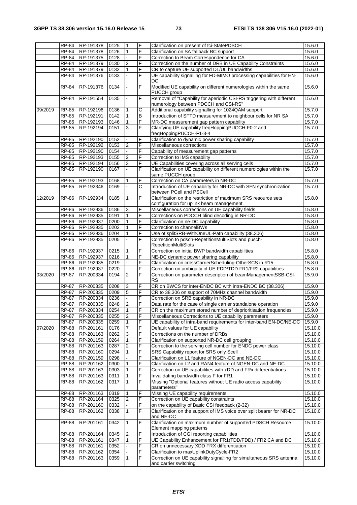|         |                     | RP-84 RP-191378  | 0125         | 1                       | F | Clarification on present of tci-StatePDSCH                                                             | 15.6.0             |
|---------|---------------------|------------------|--------------|-------------------------|---|--------------------------------------------------------------------------------------------------------|--------------------|
|         | RP-84               | RP-191378        | 0126         | 1                       | F | Clarification on SA fallback BC support                                                                | 15.6.0             |
|         | RP-84               | RP-191375        | 0128         |                         | F | Correction to Beam Correspondence for CA                                                               | 15.6.0             |
|         | RP-84               | RP-191379        | 0130         | 2                       | F | Correction on the number of DRB in UE Capability Constraints                                           | 15.6.0             |
|         | RP-84               | RP-191379        | 0132         | $\mathbf{1}$            | F | CR to capture UE supported DL/UL bandwidths                                                            | 15.6.0             |
|         | RP-84               | RP-191376        | 0133         |                         | F | UE capability signalling for FD-MIMO processing capabilities for EN-                                   | 15.6.0             |
|         |                     |                  |              |                         |   | DC                                                                                                     |                    |
|         | RP-84               | RP-191376        | 0134         | $\mathbf{r}$            | F | Modified UE capability on different numerologies within the same                                       | 15.6.0             |
|         |                     |                  |              |                         |   | PUCCH group                                                                                            |                    |
|         | RP-84               | RP-191554        | 0135         |                         | F | Removal of "Capability for aperiodic CSI-RS triggering with different                                  | 15.6.0             |
|         |                     |                  |              |                         |   |                                                                                                        |                    |
|         |                     |                  |              |                         |   | numerology between PDCCH and CSI-RS"                                                                   |                    |
| 09/2019 | RP-85               | RP-192196        | 0136         | 1                       | С | Additional capability signalling for 1024QAM support                                                   | 15.7.0             |
|         | RP-85               | RP-192191        | 0142         | $\mathbf{1}$            | B | Introduction of SFTD measurement to neighbour cells for NR SA                                          | 15.7.0             |
|         | <b>RP-85</b>        | RP-192193        | 0146         | 1                       | F | MR-DC measurement gap pattern capability                                                               | 15.7.0             |
|         | RP-85               | RP-192194        | 0151         | 3                       | F | Clarifying UE capability freqHoppingPUCCH-F0-2 and                                                     | 15.7.0             |
|         |                     |                  |              |                         |   | freqHoppingPUCCH-F1-3-4                                                                                |                    |
|         | RP-85               | RP-192190        | 0152         |                         | F | Clarification to dynamic power sharing capability                                                      | 15.7.0             |
|         | RP-85               | RP-192192        | 0153         | $\overline{2}$          | F | Miscellaneous corrections                                                                              | 15.7.0             |
|         | RP-85               | RP-192190        | 0154         |                         | F | Capability of measurement gap patterns                                                                 | 15.7.0             |
|         | RP-85               | RP-192193        | 0155         | $\boldsymbol{2}$        | F | Correction to IMS capability                                                                           | 15.7.0             |
|         | RP-85               | RP-192194        | 0156         | $\sqrt{3}$              | F | UE Capabilities covering across all serving cells                                                      | 15.7.0             |
|         | <b>RP-85</b>        | RP-192190        | 0167         |                         | F | Clarification on UE capability on different numerologies within the                                    | 15.7.0             |
|         |                     |                  |              |                         |   | same PUCCH group                                                                                       |                    |
|         | RP-85               | RP-192193        | 0168         | $\mathbf{1}$            | F | Correction on CA parameters in NR-DC                                                                   | 15.7.0             |
|         | RP-85               | RP-192346        | 0169         |                         | С | Introduction of UE capability for NR-DC with SFN synchronization                                       | 15.7.0             |
|         |                     |                  |              |                         |   | between PCell and PSCell                                                                               |                    |
| 12/2019 | <b>RP-86</b>        | RP-192934        | 0185         | $\mathbf{1}$            | F | Clarification on the restriction of maximum SRS resource sets                                          | 15.8.0             |
|         |                     |                  |              |                         |   | configuration for uplink beam management.                                                              |                    |
|         | RP-86               | RP-192936        | 0186         | 3                       | F | Miscellaneous corrections on UE capability fields                                                      | 15.8.0             |
|         | $\overline{RP}$ -86 | RP-192935        | 0191         | $\mathbf{1}$            | F | Corrections on PDCCH blind decoding in NR-DC                                                           | 15.8.0             |
|         | RP-86               | RP-192937        | 0200         | $\mathbf{1}$            | F | Clarification on ne-DC capability                                                                      | 15.8.0             |
|         | RP-86               | RP-192935        |              | $\mathbf{1}$            | F | Correction to channelBWs                                                                               | 15.8.0             |
|         |                     |                  | 0202<br>0204 | $\mathbf{1}$            | F | Use of splitSRB-WithOneUL-Path capability (38.306)                                                     |                    |
|         | RP-86               | RP-192936        |              |                         |   |                                                                                                        | 15.8.0             |
|         | <b>RP-86</b>        | RP-192935        | 0205         |                         | F | Correction to pdsch-RepetitionMultiSlots and pusch-                                                    | 15.8.0             |
|         |                     |                  |              |                         |   | <b>RepetitionMultiSlots</b>                                                                            |                    |
|         | RP-86               | RP-192937        | 0215         | 1                       | F | Correction on initial BWP bandwidth capabilities                                                       | 15.8.0             |
|         | RP-86               | RP-192937        | 0216         | 1                       | F | NE-DC dynamic power sharing capability                                                                 | 15.8.0             |
|         | RP-86               | RP-192935        | 0219         |                         | F | Clarification on crossCarrierScheduling-OtherSCS in R15                                                | 15.8.0             |
|         | <b>RP-86</b>        | RP-192937        | 0220         |                         | F | Correction on ambiguity of UE FDD/TDD FR1/FR2 capabilities                                             | 15.8.0             |
| 03/2020 | <b>RP-87</b>        | RP-200334        | 0194         | 2                       | F | Correction on parameter description of beamManagementSSB-CSI-                                          | 15.9.0             |
|         |                     |                  |              |                         |   | <b>RS</b>                                                                                              |                    |
|         | RP-87               | RP-200335        | 0208         | 3                       | F | CR on BWCS for inter-ENDC BC with intra-ENDC BC (38.306)                                               | 15.9.0             |
|         | RP-87               | RP-200335        | 0209         | 5                       | F | CR to 38.306 on support of 70MHz channel bandwidth                                                     | 15.9.0             |
|         | RP-87               | RP-200334        | 0236         |                         | F | Correction on SRB capability in NR-DC                                                                  | 15.9.0             |
|         | RP-87               | RP-200335        | 0248         | $\overline{2}$          | F | Data rate for the case of single carrier standalone operation                                          | 15.9.0             |
|         |                     | RP-87 RP-200334  | 0254         | $\overline{1}$          | E | CR on the maximum stored number of deprioritisation frequencies                                        | 15.9.0             |
|         |                     | RP-87 RP-200335  | 0255         | $\overline{\mathbf{c}}$ | F | Miscellaneous Corrections to UE capability parameters                                                  | 15.9.0             |
|         | RP-87               | RP-200335        | 0259         | $\mathbf{1}$            | F | UE capability of intra-band requirements for inter-band EN-DC/NE-DC                                    | 15.9.0             |
| 07/2020 |                     | RP-88 RP-201161  | 0176         | $\overline{7}$          | F | Default values for UE capability                                                                       | 15.10.0            |
|         |                     | RP-88 RP-201163  | 0262         | 3                       | F | Corrections on the number of DRBs                                                                      | 15.10.0            |
|         |                     | RP-88 RP-201159  | 0264         | $\mathbf{1}$            | F | Clarification on supported NR-DC cell grouping                                                         | 15.10.0            |
|         |                     |                  | 0287         | $\overline{2}$          | F |                                                                                                        |                    |
|         |                     | RP-88 RP-201163  |              |                         | F | Correction to the serving cell number for ENDC power class<br>SRS Capability report for SRS only Scell | 15.10.0<br>15.10.0 |
|         |                     | RP-88 RP-201160  | 0294         | $\mathbf{1}$            |   |                                                                                                        |                    |
|         |                     | RP-88 RP-201159  | 0298         |                         | F | Clarification on L1 feature of NGEN-DC and NE-DC                                                       | 15.10.0            |
|         |                     | RP-88 RP-201162  | 0300         | $\mathbf{1}$            | F | Clarification on L2 and RAN4 feature of NGEN-DC and NE-DC                                              | 15.10.0            |
|         | RP-88               | RP-201163        | 0303         | 1                       | F | Correction on UE capabilities with xDD and FRx differentiations                                        | 15.10.0            |
|         |                     | RP-88 RP-201163  | 0311         | $\mathbf{1}$            | F | Invalidating bandwidth class F for FR1                                                                 | 15.10.0            |
|         | <b>RP-88</b>        | RP-201162        | 0317         | $\mathbf{1}$            | F | Missing "Optional features without UE radio access capability                                          | 15.10.0            |
|         |                     |                  |              |                         |   | parameters"                                                                                            |                    |
|         | RP-88               | RP-201163        | 0319         |                         | F | Missing UE capability requirements                                                                     | 15.10.0            |
|         |                     | RP-88 RP-201164  | 0325         | $\overline{2}$          | F | Correction on UE capability constraints                                                                | 15.10.0            |
|         |                     | RP-88 RP-201160  | 0332         |                         | F | on the capability of Basic CSI feedback (2-32)                                                         | 15.10.0            |
|         | RP-88               | RP-201162        | 0338         | $\mathbf{1}$            | F | Clarification on the support of IMS voice over split bearer for NR-DC                                  | 15.10.0            |
|         |                     |                  |              |                         |   | and NE-DC                                                                                              |                    |
|         | RP-88               | RP-201161        | 0342         | 1                       | F | Clarification on maximum number of supported PDSCH Resource                                            | 15.10.0            |
|         |                     |                  |              |                         |   | Element mapping patterns                                                                               |                    |
|         | RP-88               | RP-201164        | 0345         | 2                       | F | Introduction of CGI reporting capabilities                                                             | 15.10.0            |
|         |                     | RP-88  RP-201161 | 0347         | $\mathbf{1}$            | F | UE Capability Enhancement for FR1(TDD/FDD) / FR2 CA and DC                                             | 15.10.0            |
|         |                     | RP-88 RP-201161  | 0352         |                         | F | CR on unnecessary XDD FRX differentiation                                                              | 15.10.0            |
|         | RP-88               | RP-201162        | 0354         |                         | F | Clarification to maxUplinkDutyCycle-FR2                                                                | 15.10.0            |
|         | RP-88               | RP-201163        | 0359         | $\mathbf{1}$            | F | Correction on UE capability signalling for simultaneous SRS antenna                                    | 15.10.0            |
|         |                     |                  |              |                         |   | and carrier switching                                                                                  |                    |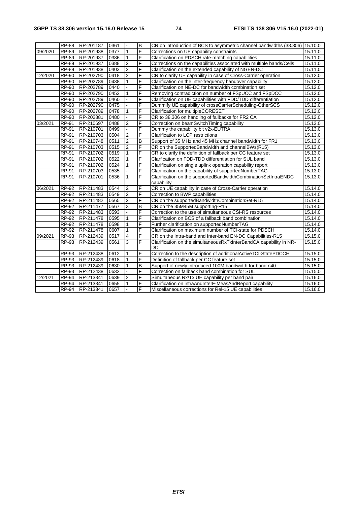|         | <b>RP-88</b> | RP-201187 | 0361 |                  | $\mathsf B$    | CR on introduction of BCS to asymmetric channel bandwidths (38.306) 15.10.0 |         |
|---------|--------------|-----------|------|------------------|----------------|-----------------------------------------------------------------------------|---------|
| 09/2020 | <b>RP-89</b> | RP-201938 | 0377 | $\mathbf{1}$     | F              | Corrections on UE capability constraints                                    | 15.11.0 |
|         | RP-89        | RP-201937 | 0386 | $\mathbf{1}$     | F              | Clarification on PDSCH rate-matching capabilities                           | 15.11.0 |
|         | RP-89        | RP-201937 | 0388 | $\overline{c}$   | F              | Corrections on the capabilities associated with multiple bands/Cells        | 15.11.0 |
|         | <b>RP-89</b> | RP-201938 | 0403 | $\overline{2}$   | F              | Clarification on the extended capability of NGEN-DC                         | 15.11.0 |
| 12/2020 | RP-90        | RP-202790 | 0418 | $\overline{2}$   | F              | CR to clarify UE capability in case of Cross-Carrier operation              | 15.12.0 |
|         | RP-90        | RP-202789 | 0438 | $\mathbf{1}$     | F              | Clarification on the inter-frequency handover capability                    | 15.12.0 |
|         | $RP-90$      | RP-202789 | 0440 |                  | F              | Clarification on NE-DC for bandwidth combination set                        | 15.12.0 |
|         | RP-90        | RP-202790 | 0452 | $\mathbf{1}$     | F              | Removing contradiction on number of FSpUCC and FSpDCC                       | 15.12.0 |
|         | <b>RP-90</b> | RP-202789 | 0460 |                  | F              | Clarification on UE capabilities with FDD/TDD differentiation               | 15.12.0 |
|         | RP-90        | RP-202790 | 0475 |                  | F              | Dummify UE capability of crossCarrierScheduling-OtherSCS                    | 15.12.0 |
|         | <b>RP-90</b> | RP-202789 | 0478 | $\mathbf{1}$     | F              | Clarification for multipleCORESET                                           | 15.12.0 |
|         | <b>RP-90</b> | RP-202881 | 0480 |                  | F              | CR to 38.306 on handling of fallbacks for FR2 CA                            | 15.12.0 |
| 03/2021 | RP-91        | RP-210697 | 0488 | 2                | F              | Correction on beamSwitchTiming capability                                   | 15.13.0 |
|         | RP-91        | RP-210701 | 0499 |                  | F              | Dummy the capability bit v2x-EUTRA                                          | 15.13.0 |
|         | RP-91        | RP-210703 | 0504 | $\overline{2}$   | F              | Clarification to LCP restrictions                                           | 15.13.0 |
|         | RP-91        | RP-210748 | 0511 | $\overline{2}$   | $\overline{B}$ | Support of 35 MHz and 45 MHz channel bandwidth for FR1                      | 15.13.0 |
|         | RP-91        | RP-210703 | 0515 | $\overline{2}$   | F              | CR on the SupportedBandwidth and channelBWs(R15)                            | 15.13.0 |
|         | RP-91        | RP-210702 | 0519 | $\mathbf{1}$     | F              | CR to clarify the definition of fallback per CC feature set                 | 15.13.0 |
|         | RP-91        | RP-210702 | 0522 | $\mathbf{1}$     | F              | Clarfication on FDD-TDD differentiation for SUL band                        | 15.13.0 |
|         | <b>RP-91</b> | RP-210702 | 0524 | $\mathbf{1}$     | F              | Clarification on single uplink operation capability report                  | 15.13.0 |
|         | RP-91        | RP-210703 | 0535 |                  | F              | Clarification on the capability of supportedNumberTAG                       | 15.13.0 |
|         | <b>RP-91</b> | RP-210701 | 0536 | $\mathbf{1}$     | F              | Clarification on the supportedBandwidthCombinationSetIntraENDC              | 15.13.0 |
|         |              |           |      |                  |                | capability                                                                  |         |
| 06/2021 | RP-92        | RP-211483 | 0544 | $\overline{2}$   | F              | CR on UE capability in case of Cross-Carrier operation                      | 15.14.0 |
|         | RP-92        | RP-211483 | 0549 | $\overline{2}$   | F              | Correction to BWP capabilities                                              | 15.14.0 |
|         | RP-92        | RP-211482 | 0565 | $\boldsymbol{2}$ | F              | CR on the supportedBandwidthCombinationSet-R15                              | 15.14.0 |
|         | RP-92        | RP-211477 | 0567 | $\overline{3}$   | $\overline{B}$ | CR on the 35M45M supporting-R15                                             | 15.14.0 |
|         | RP-92        | RP-211483 | 0593 |                  | F              | Correction to the use of simultaneous CSI-RS resources                      | 15.14.0 |
|         | $RP-92$      | RP-211478 | 0595 | $\mathbf{1}$     | F              | Clarification on BCS of a fallback band combination                         | 15.14.0 |
|         | <b>RP-92</b> | RP-211478 | 0598 | $\mathbf{1}$     | F              | Further clarification on supportedNumberTAG                                 | 15.14.0 |
|         | RP-92        | RP-211478 | 0607 | 1                | F              | Clarification on maximum number of TCI-state for PDSCH                      | 15.14.0 |
| 09/2021 | RP-93        | RP-212439 | 0517 | $\overline{4}$   | F              | CR on the Intra-band and Inter-band EN-DC Capabilities-R15                  | 15.15.0 |
|         | RP-93        | RP-212439 | 0561 | $\overline{3}$   | F              | Clarification on the simultaneous RxTxInterBandCA capability in NR-<br>DC   | 15.15.0 |
|         | RP-93        | RP-212438 | 0612 | 1                | F              | Correction to the description of additionalActiveTCI-StatePDCCH             | 15.15.0 |
|         | RP-93        | RP-212439 | 0618 | 1                | $\overline{F}$ | Definition of fallback per CC feature set                                   | 15.15.0 |
|         | RP-93        | RP-212439 | 0630 | $\mathbf{1}$     | $\overline{B}$ | Support of newly introduced 100M bandwidth for band n40                     | 15.15.0 |
|         | RP-93        | RP-212438 | 0632 |                  | F              | Correction on fallback band combination for SUL                             | 15.15.0 |
| 12/2021 | <b>RP-94</b> | RP-213341 | 0639 | $\boldsymbol{2}$ | F              | Simultaneous Rx/Tx UE capability per band pair                              | 15.16.0 |
|         | <b>RP-94</b> | RP-213341 | 0655 | 1                | F              | Clarification on intraAndInterF-MeasAndReport capability                    | 15.16.0 |
|         | <b>RP-94</b> | RP-213341 | 0657 |                  | F              | Miscellaneous corrections for Rel-15 UE capabilities                        | 15.16.0 |